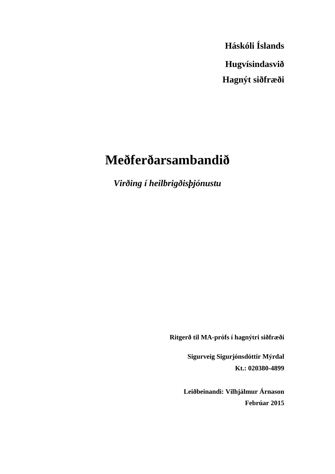**Háskóli Íslands Hugvísindasvið Hagnýt siðfræði**

# **Meðferðarsambandið**

*Virðing í heilbrigðisþjónustu*

**Ritgerð til MA-prófs í hagnýtri siðfræði** 

 **Sigurveig Sigurjónsdóttir Mýrdal Kt.: 020380-4899** 

**Leiðbeinandi: Vilhjálmur Árnason Febrúar 2015**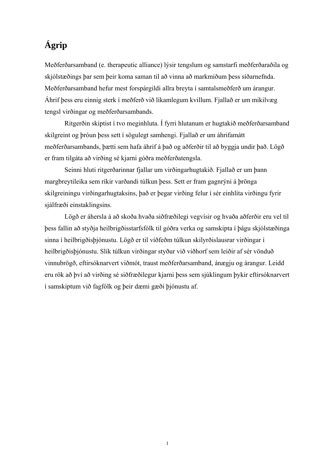# **Ágrip**

Meðferðarsamband (e. therapeutic alliance) lýsir tengslum og samstarfi meðferðaraðila og skjólstæðings þar sem þeir koma saman til að vinna að markmiðum þess síðarnefnda. Meðferðarsamband hefur mest forspárgildi allra breyta í samtalsmeðferð um árangur. Áhrif þess eru einnig sterk í meðferð við líkamlegum kvillum. Fjallað er um mikilvæg tengsl virðingar og meðferðarsambands.

 Ritgerðin skiptist í tvo meginhluta. Í fyrri hlutanum er hugtakið meðferðarsamband skilgreint og þróun þess sett í sögulegt samhengi. Fjallað er um áhrifamátt meðferðarsambands, þætti sem hafa áhrif á það og aðferðir til að byggja undir það. Lögð er fram tilgáta að virðing sé kjarni góðra meðferðatengsla.

 Seinni hluti ritgerðarinnar fjallar um virðingarhugtakið. Fjallað er um þann margbreytileika sem ríkir varðandi túlkun þess. Sett er fram gagnrýni á þrönga skilgreiningu virðingarhugtaksins, það er þegar virðing felur í sér einhlíta virðingu fyrir sjálfræði einstaklingsins.

 Lögð er áhersla á að skoða hvaða siðfræðilegi vegvísir og hvaða aðferðir eru vel til þess fallin að styðja heilbrigðisstarfsfólk til góðra verka og samskipta í þágu skjólstæðinga sinna í heilbrigðisþjónustu. Lögð er til víðfeðm túlkun skilyrðislausrar virðingar í heilbrigðisþjónustu. Slík túlkun virðingar styður við viðhorf sem leiðir af sér vönduð vinnubrögð, eftirsóknarvert viðmót, traust meðferðarsamband, ánægju og árangur. Leidd eru rök að því að virðing sé siðfræðilegur kjarni þess sem sjúklingum þykir eftirsóknarvert í samskiptum við fagfólk og þeir dæmi gæði þjónustu af.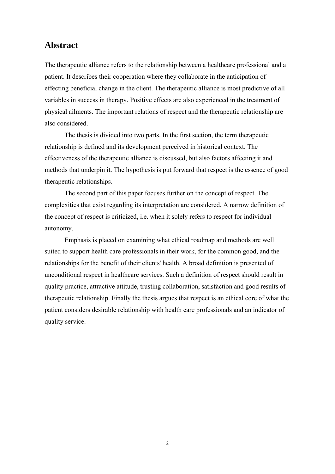## **Abstract**

The therapeutic alliance refers to the relationship between a healthcare professional and a patient. It describes their cooperation where they collaborate in the anticipation of effecting beneficial change in the client. The therapeutic alliance is most predictive of all variables in success in therapy. Positive effects are also experienced in the treatment of physical ailments. The important relations of respect and the therapeutic relationship are also considered.

 The thesis is divided into two parts. In the first section, the term therapeutic relationship is defined and its development perceived in historical context. The effectiveness of the therapeutic alliance is discussed, but also factors affecting it and methods that underpin it. The hypothesis is put forward that respect is the essence of good therapeutic relationships.

 The second part of this paper focuses further on the concept of respect. The complexities that exist regarding its interpretation are considered. A narrow definition of the concept of respect is criticized, i.e. when it solely refers to respect for individual autonomy.

 Emphasis is placed on examining what ethical roadmap and methods are well suited to support health care professionals in their work, for the common good, and the relationships for the benefit of their clients' health. A broad definition is presented of unconditional respect in healthcare services. Such a definition of respect should result in quality practice, attractive attitude, trusting collaboration, satisfaction and good results of therapeutic relationship. Finally the thesis argues that respect is an ethical core of what the patient considers desirable relationship with health care professionals and an indicator of quality service.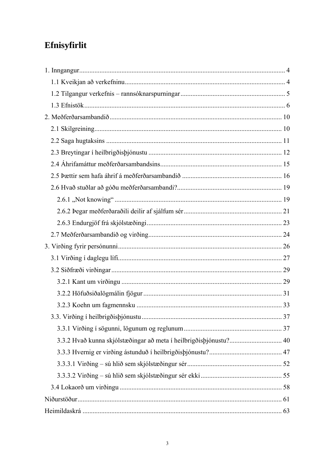# Efnisyfirlit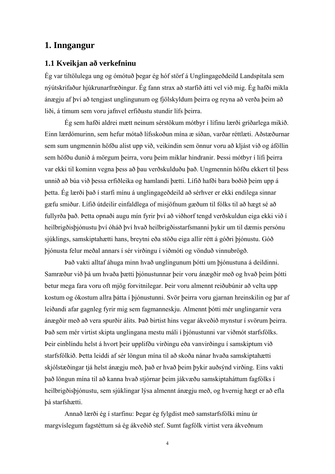## **1. Inngangur**

## **1.1 Kveikjan að verkefninu**

Ég var tiltölulega ung og ómótuð þegar ég hóf störf á Unglingageðdeild Landspítala sem nýútskrifaður hjúkrunarfræðingur. Ég fann strax að starfið átti vel við mig. Ég hafði mikla ánægju af því að tengjast unglingunum og fjölskyldum þeirra og reyna að verða þeim að liði, á tímum sem voru jafnvel erfiðustu stundir lífs þeirra.

 Ég sem hafði aldrei mætt neinum sérstökum mótbyr í lífinu lærði gríðarlega mikið. Einn lærdómurinn, sem hefur mótað lífsskoðun mína æ síðan, varðar réttlæti. Aðstæðurnar sem sum ungmennin höfðu alist upp við, veikindin sem önnur voru að kljást við og áföllin sem höfðu dunið á mörgum þeirra, voru þeim miklar hindranir. Þessi mótbyr í lífi þeirra var ekki til kominn vegna þess að þau verðskulduðu það. Ungmennin höfðu ekkert til þess unnið að búa við þessa erfiðleika og hamlandi þætti. Lífið hafði bara boðið þeim upp á þetta. Ég lærði það í starfi mínu á unglingageðdeild að sérhver er ekki endilega sinnar gæfu smiður. Lífið útdeilir einfaldlega of misjöfnum gæðum til fólks til að hægt sé að fullyrða það. Þetta opnaði augu mín fyrir því að viðhorf tengd verðskuldun eiga ekki við í heilbrigðisþjónustu því óháð því hvað heilbrigðisstarfsmanni þykir um til dæmis persónu sjúklings, samskiptahætti hans, breytni eða stöðu eiga allir rétt á góðri þjónustu. Góð þjónusta felur meðal annars í sér virðingu í viðmóti og vönduð vinnubrögð.

 Það vakti alltaf áhuga minn hvað unglingunum þótti um þjónustuna á deildinni. Samræður við þá um hvaða þætti þjónustunnar þeir voru ánægðir með og hvað þeim þótti betur mega fara voru oft mjög forvitnilegar. Þeir voru almennt reiðubúnir að velta upp kostum og ókostum allra þátta í þjónustunni. Svör þeirra voru gjarnan hreinskilin og þar af leiðandi afar gagnleg fyrir mig sem fagmanneskju. Almennt þótti mér unglingarnir vera ánægðir með að vera spurðir álits. Það birtist hins vegar ákveðið mynstur í svörum þeirra. Það sem mér virtist skipta unglingana mestu máli í þjónustunni var viðmót starfsfólks. Þeir einblíndu helst á hvort þeir upplifðu virðingu eða vanvirðingu í samskiptum við starfsfólkið. Þetta leiddi af sér löngun mína til að skoða nánar hvaða samskiptahætti skjólstæðingar tjá helst ánægju með, það er hvað þeim þykir auðsýnd virðing. Eins vakti það löngun mína til að kanna hvað stjórnar þeim jákvæðu samskiptaháttum fagfólks í heilbrigðisþjónustu, sem sjúklingar lýsa almennt ánægju með, og hvernig hægt er að efla þá starfshætti.

 Annað lærði ég í starfinu: Þegar ég fylgdist með samstarfsfólki mínu úr margvíslegum fagstéttum sá ég ákveðið stef. Sumt fagfólk virtist vera ákveðnum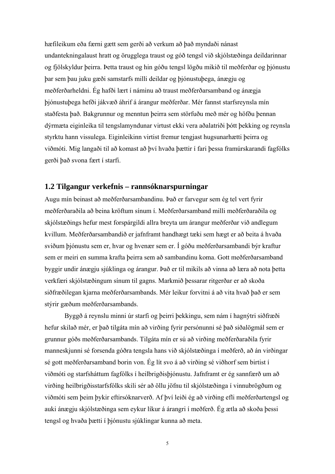hæfileikum eða færni gætt sem gerði að verkum að það myndaði nánast undantekningalaust hratt og örugglega traust og góð tengsl við skjólstæðinga deildarinnar og fjölskyldur þeirra. Þetta traust og hin góðu tengsl lögðu mikið til meðferðar og þjónustu þar sem þau juku gæði samstarfs milli deildar og þjónustuþega, ánægju og meðferðarheldni. Ég hafði lært í náminu að traust meðferðarsamband og ánægja þjónustuþega hefði jákvæð áhrif á árangur meðferðar. Mér fannst starfsreynsla mín staðfesta það. Bakgrunnur og menntun þeirra sem störfuðu með mér og höfðu þennan dýrmæta eiginleika til tengslamyndunar virtust ekki vera aðalatriði þótt þekking og reynsla styrktu hann vissulega. Eiginleikinn virtist fremur tengjast hugsunarhætti þeirra og viðmóti. Mig langaði til að komast að því hvaða þættir í fari þessa framúrskarandi fagfólks gerði það svona fært í starfi.

### **1.2 Tilgangur verkefnis – rannsóknarspurningar**

Augu mín beinast að meðferðarsambandinu. Það er farvegur sem ég tel vert fyrir meðferðaraðila að beina kröftum sínum í. Meðferðarsamband milli meðferðaraðila og skjólstæðings hefur mest forspárgildi allra breyta um árangur meðferðar við andlegum kvillum. Meðferðarsambandið er jafnframt handhægt tæki sem hægt er að beita á hvaða sviðum þjónustu sem er, hvar og hvenær sem er. Í góðu meðferðarsambandi býr kraftur sem er meiri en summa krafta þeirra sem að sambandinu koma. Gott meðferðarsamband byggir undir ánægju sjúklinga og árangur. Það er til mikils að vinna að læra að nota þetta verkfæri skjólstæðingum sínum til gagns. Markmið þessarar ritgerðar er að skoða siðfræðilegan kjarna meðferðarsambands. Mér leikur forvitni á að vita hvað það er sem stýrir gæðum meðferðarsambands.

 Byggð á reynslu minni úr starfi og þeirri þekkingu, sem nám í hagnýtri siðfræði hefur skilað mér, er það tilgáta mín að virðing fyrir persónunni sé það siðalögmál sem er grunnur góðs meðferðarsambands. Tilgáta mín er sú að virðing meðferðaraðila fyrir manneskjunni sé forsenda góðra tengsla hans við skjólstæðinga í meðferð, að án virðingar sé gott meðferðarsamband borin von. Ég lít svo á að virðing sé viðhorf sem birtist í viðmóti og starfsháttum fagfólks í heilbrigðisþjónustu. Jafnframt er ég sannfærð um að virðing heilbrigðisstarfsfólks skili sér að öllu jöfnu til skjólstæðinga í vinnubrögðum og viðmóti sem þeim þykir eftirsóknarverð. Af því leiði ég að virðing efli meðferðartengsl og auki ánægju skjólstæðinga sem eykur líkur á árangri í meðferð. Ég ætla að skoða þessi tengsl og hvaða þætti í þjónustu sjúklingar kunna að meta.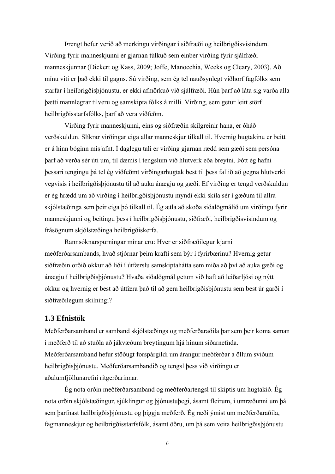Þrengt hefur verið að merkingu virðingar í siðfræði og heilbrigðisvísindum. Virðing fyrir manneskjunni er gjarnan túlkuð sem einber virðing fyrir sjálfræði manneskjunnar (Dickert og Kass, 2009; Joffe, Manocchia, Weeks og Cleary, 2003). Að mínu viti er það ekki til gagns. Sú virðing, sem ég tel nauðsynlegt viðhorf fagfólks sem starfar í heilbrigðisþjónustu, er ekki afmörkuð við sjálfræði. Hún þarf að láta sig varða alla þætti mannlegrar tilveru og samskipta fólks á milli. Virðing, sem getur leitt störf heilbrigðisstarfsfólks, þarf að vera víðfeðm.

 Virðing fyrir manneskjunni, eins og siðfræðin skilgreinir hana, er óháð verðskuldun. Slíkrar virðingar eiga allar manneskjur tilkall til. Hvernig hugtakinu er beitt er á hinn bóginn misjafnt. Í daglegu tali er virðing gjarnan rædd sem gæði sem persóna þarf að verða sér úti um, til dæmis í tengslum við hlutverk eða breytni. Þótt ég hafni þessari tengingu þá tel ég víðfeðmt virðingarhugtak best til þess fallið að gegna hlutverki vegvísis í heilbrigðisþjónustu til að auka ánægju og gæði. Ef virðing er tengd verðskuldun er ég hrædd um að virðing í heilbrigðisþjónustu myndi ekki skila sér í gæðum til allra skjólstæðinga sem þeir eiga þó tilkall til. Ég ætla að skoða siðalögmálið um virðingu fyrir manneskjunni og beitingu þess í heilbrigðisþjónustu, siðfræði, heilbrigðisvísindum og frásögnum skjólstæðinga heilbrigðiskerfa.

 Rannsóknarspurningar mínar eru: Hver er siðfræðilegur kjarni meðferðarsambands, hvað stjórnar þeim krafti sem býr í fyrirbærinu? Hvernig getur siðfræðin orðið okkur að liði í útfærslu samskiptahátta sem miða að því að auka gæði og ánægju í heilbrigðisþjónustu? Hvaða siðalögmál getum við haft að leiðarljósi og nýtt okkur og hvernig er best að útfæra það til að gera heilbrigðisþjónustu sem best úr garði í siðfræðilegum skilningi?

### **1.3 Efnistök**

Meðferðarsamband er samband skjólstæðings og meðferðaraðila þar sem þeir koma saman í meðferð til að stuðla að jákvæðum breytingum hjá hinum síðarnefnda. Meðferðarsamband hefur stöðugt forspárgildi um árangur meðferðar á öllum sviðum heilbrigðisþjónustu. Meðferðarsambandið og tengsl þess við virðingu er aðalumfjöllunarefni ritgerðarinnar.

 Ég nota orðin meðferðarsamband og meðferðartengsl til skiptis um hugtakið. Ég nota orðin skjólstæðingur, sjúklingur og þjónustuþegi, ásamt fleirum, í umræðunni um þá sem þarfnast heilbrigðisþjónustu og þiggja meðferð. Ég ræði ýmist um meðferðaraðila, fagmanneskjur og heilbrigðisstarfsfólk, ásamt öðru, um þá sem veita heilbrigðisþjónustu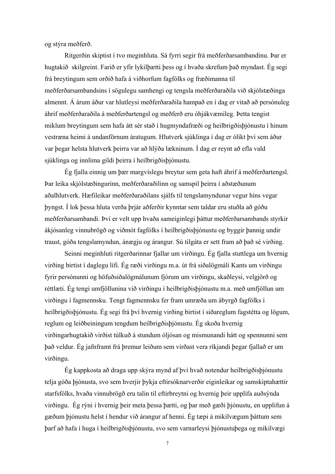og stýra meðferð.

 Ritgerðin skiptist í tvo meginhluta. Sá fyrri segir frá meðferðarsambandinu. Þar er hugtakið skilgreint. Farið er yfir lykilþætti þess og í hvaða skrefum það myndast. Ég segi frá breytingum sem orðið hafa á viðhorfum fagfólks og fræðimanna til meðferðarsambandsins í sögulegu samhengi og tengsla meðferðaraðila við skjólstæðinga almennt. Á árum áður var hlutleysi meðferðaraðila hampað en í dag er vitað að persónuleg áhrif meðferðaraðila á meðferðartengsl og meðferð eru óhjákvæmileg. Þetta tengist miklum breytingum sem hafa átt sér stað í hugmyndafræði og heilbrigðisþjónustu í hinum vestræna heimi á undanförnum áratugum. Hlutverk sjúklinga í dag er ólíkt því sem áður var þegar helsta hlutverk þeirra var að hlýða lækninum. Í dag er reynt að efla vald sjúklinga og innlima gildi þeirra í heilbrigðisþjónustu.

 Ég fjalla einnig um þær margvíslegu breytur sem geta haft áhrif á meðferðartengsl. Þar leika skjólstæðingurinn, meðferðaraðilinn og samspil þeirra í aðstæðunum aðalhlutverk. Hæfileikar meðferðaraðilans sjálfs til tengslamyndunar vegur hins vegar þyngst. Í lok þessa hluta verða þrjár aðferðir kynntar sem taldar eru stuðla að góðu meðferðarsambandi. Því er velt upp hvaða sameiginlegi þáttur meðferðarsambands styrkir ákjósanleg vinnubrögð og viðmót fagfólks í heilbrigðisþjónustu og byggir þannig undir traust, góða tengslamyndun, ánægju og árangur. Sú tilgáta er sett fram að það sé virðing.

 Seinni meginhluti ritgerðarinnar fjallar um virðingu. Ég fjalla stuttlega um hvernig virðing birtist í daglegu lífi. Ég ræði virðingu m.a. út frá siðalögmáli Kants um virðingu fyrir persónunni og höfuðsiðalögmálunum fjórum um virðingu, skaðleysi, velgjörð og réttlæti. Ég tengi umfjöllunina við virðingu í heilbrigðisþjónustu m.a. með umfjöllun um virðingu í fagmennsku. Tengt fagmennsku fer fram umræða um ábyrgð fagfólks í heilbrigðisþjónustu. Ég segi frá því hvernig virðing birtist í siðareglum fagstétta og lögum, reglum og leiðbeiningum tengdum heilbrigðisþjónustu. Ég skoða hvernig virðingarhugtakið virðist túlkuð á stundum óljósan og mismunandi hátt og spennunni sem það veldur. Ég jafnframt frá þremur leiðum sem virðast vera ríkjandi þegar fjallað er um virðingu.

 Ég kappkosta að draga upp skýra mynd af því hvað notendur heilbrigðisþjónustu telja góða þjónusta, svo sem hverjir þykja eftirsóknarverðir eiginleikar og samskiptahættir starfsfólks, hvaða vinnubrögð eru talin til eftirbreytni og hvernig þeir upplifa auðsýnda virðingu. Ég rýni í hvernig þeir meta þessa þætti, og þar með gæði þjónustu, en upplifun á gæðum þjónustu helst í hendur við árangur af henni. Ég tæpi á mikilvægum þáttum sem þarf að hafa í huga í heilbrigðisþjónustu, svo sem varnarleysi þjónustuþega og mikilvægi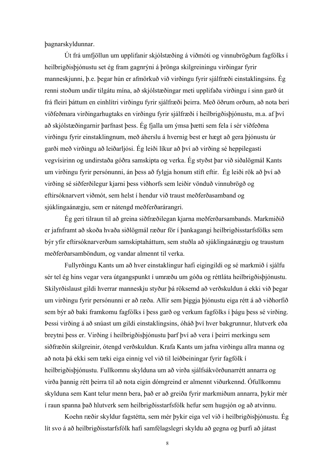þagnarskyldunnar.

 Út frá umfjöllun um upplifanir skjólstæðing á viðmóti og vinnubrögðum fagfólks í heilbrigðisþjónustu set ég fram gagnrýni á þrönga skilgreiningu virðingar fyrir manneskjunni, þ.e. þegar hún er afmörkuð við virðingu fyrir sjálfræði einstaklingsins. Ég renni stoðum undir tilgátu mína, að skjólstæðingar meti upplifaða virðingu í sinn garð út frá fleiri þáttum en einhlítri virðingu fyrir sjálfræði þeirra. Með öðrum orðum, að nota beri víðfeðmara virðingarhugtaks en virðingu fyrir sjálfræði í heilbrigðisþjónustu, m.a. af því að skjólstæðingarnir þarfnast þess. Ég fjalla um ýmsa þætti sem fela í sér víðfeðma virðingu fyrir einstaklingnum, með áherslu á hvernig best er hægt að gera þjónustu úr garði með virðingu að leiðarljósi. Ég leiði líkur að því að virðing sé heppilegasti vegvísirinn og undirstaða góðra samskipta og verka. Ég styðst þar við siðalögmál Kants um virðingu fyrir persónunni, án þess að fylgja honum stíft eftir. Ég leiði rök að því að virðing sé siðferðilegur kjarni þess viðhorfs sem leiðir vönduð vinnubrögð og eftirsóknarvert viðmót, sem helst í hendur við traust meðferðasamband og sjúklingaánægju, sem er nátengd meðferðarárangri.

 Ég geri tilraun til að greina siðfræðilegan kjarna meðferðarsambands. Markmiðið er jafnframt að skoða hvaða siðlögmál ræður för í þankagangi heilbrigðisstarfsfólks sem býr yfir eftirsóknarverðum samskiptaháttum, sem stuðla að sjúklingaánægju og traustum meðferðarsamböndum, og vandar almennt til verka.

 Fullyrðingu Kants um að hver einstaklingur hafi eigingildi og sé markmið í sjálfu sér tel ég hins vegar vera útgangspunkt í umræðu um góða og réttláta heilbrigðisþjónustu. Skilyrðislaust gildi hverrar manneskju styður þá röksemd að verðskuldun á ekki við þegar um virðingu fyrir persónunni er að ræða. Allir sem þiggja þjónustu eiga rétt á að viðhorfið sem býr að baki framkomu fagfólks í þess garð og verkum fagfólks í þágu þess sé virðing. Þessi virðing á að snúast um gildi einstaklingsins, óháð því hver bakgrunnur, hlutverk eða breytni þess er. Virðing í heilbrigðisþjónustu þarf því að vera í þeirri merkingu sem siðfræðin skilgreinir, ótengd verðskuldun. Krafa Kants um jafna virðingu allra manna og að nota þá ekki sem tæki eiga einnig vel við til leiðbeiningar fyrir fagfólk í heilbrigðisþjónustu. Fullkomnu skylduna um að virða sjálfsákvörðunarrétt annarra og virða þannig rétt þeirra til að nota eigin dómgreind er almennt viðurkennd. Ófullkomnu skylduna sem Kant telur menn bera, það er að greiða fyrir markmiðum annarra, þykir mér í raun spanna það hlutverk sem heilbrigðisstarfsfólk hefur sem hugsjón og að atvinnu.

 Koehn ræðir skyldur fagstétta, sem mér þykir eiga vel við í heilbrigðisþjónustu. Ég lít svo á að heilbrigðisstarfsfólk hafi samfélagslegri skyldu að gegna og þurfi að játast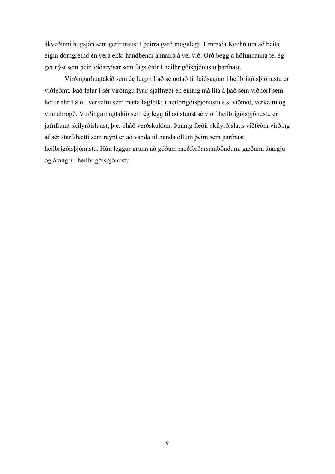ákveðinni hugsjón sem gerir traust í þeirra garð mögulegt. Umræða Koehn um að beita eigin dómgreind en vera ekki handbendi annarra á vel við. Orð beggja höfundanna tel ég get nýst sem þeir leiðarvísar sem fagstéttir í heilbrigðisþjónustu þarfnast.

Virðingarhugtakið sem ég legg til að sé notað til leiðsagnar í heilbrigðisþjónustu er víðfeðmt. Það felur í sér virðingu fyrir sjálfræði en einnig má líta á það sem viðhorf sem hefur áhrif á öll verkefni sem mæta fagfólki í heilbrigðisþjónustu s.s. viðmót, verkefni og vinnubrögð. Virðingarhugtakið sem ég legg til að stuðst sé við í heilbrigðisþjónustu er jafnframt skilyrðislaust, þ.e. óháð verðskuldun. Þannig fæðir skilyrðislaus víðfeðm virðing af sér starfshætti sem reynt er að vanda til handa öllum þeim sem þarfnast heilbrigðisþjónustu. Hún leggur grunn að góðum meðferðarsamböndum, gæðum, ánægju og árangri í heilbrigðisþjónustu.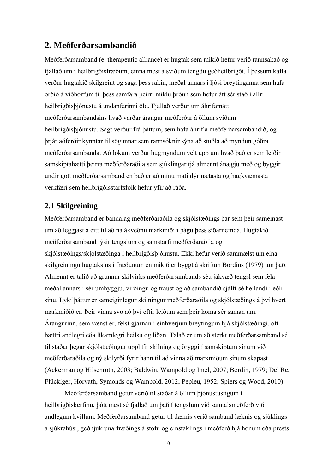# **2. Meðferðarsambandið**

Meðferðarsamband (e. therapeutic alliance) er hugtak sem mikið hefur verið rannsakað og fjallað um í heilbrigðisfræðum, einna mest á sviðum tengdu geðheilbrigði. Í þessum kafla verður hugtakið skilgreint og saga þess rakin, meðal annars í ljósi breytinganna sem hafa orðið á viðhorfum til þess samfara þeirri miklu þróun sem hefur átt sér stað í allri heilbrigðisþjónustu á undanfarinni öld. Fjallað verður um áhrifamátt meðferðarsambandsins hvað varðar árangur meðferðar á öllum sviðum heilbrigðisþjónustu. Sagt verður frá þáttum, sem hafa áhrif á meðferðarsambandið, og þrjár aðferðir kynntar til sögunnar sem rannsóknir sýna að stuðla að myndun góðra meðferðarsambanda. Að lokum verður hugmyndum velt upp um hvað það er sem leiðir samskiptahætti þeirra meðferðaraðila sem sjúklingar tjá almennt ánægju með og byggir undir gott meðferðarsamband en það er að mínu mati dýrmætasta og hagkvæmasta verkfæri sem heilbrigðisstarfsfólk hefur yfir að ráða.

## **2.1 Skilgreining**

Meðferðarsamband er bandalag meðferðaraðila og skjólstæðings þar sem þeir sameinast um að leggjast á eitt til að ná ákveðnu markmiði í þágu þess síðarnefnda. Hugtakið meðferðarsamband lýsir tengslum og samstarfi meðferðaraðila og skjólstæðings/skjólstæðinga í heilbrigðisþjónustu. Ekki hefur verið sammælst um eina skilgreiningu hugtaksins í fræðunum en mikið er byggt á skrifum Bordins (1979) um það. Almennt er talið að grunnur skilvirks meðferðarsambands séu jákvæð tengsl sem fela meðal annars í sér umhyggju, virðingu og traust og að sambandið sjálft sé heilandi í eðli sínu. Lykilþáttur er sameiginlegur skilningur meðferðaraðila og skjólstæðings á því hvert markmiðið er. Þeir vinna svo að því eftir leiðum sem þeir koma sér saman um. Árangurinn, sem vænst er, felst gjarnan í einhverjum breytingum hjá skjólstæðingi, oft bættri andlegri eða líkamlegri heilsu og líðan. Talað er um að sterkt meðferðarsamband sé til staðar þegar skjólstæðingur upplifir skilning og öryggi í samskiptum sínum við meðferðaraðila og ný skilyrði fyrir hann til að vinna að markmiðum sínum skapast (Ackerman og Hilsenroth, 2003; Baldwin, Wampold og Imel, 2007; Bordin, 1979; Del Re, Flückiger, Horvath, Symonds og Wampold, 2012; Pepleu, 1952; Spiers og Wood, 2010).

 Meðferðarsamband getur verið til staðar á öllum þjónustustigum í heilbrigðiskerfinu, þótt mest sé fjallað um það í tengslum við samtalsmeðferð við andlegum kvillum. Meðferðarsamband getur til dæmis verið samband læknis og sjúklings á sjúkrahúsi, geðhjúkrunarfræðings á stofu og einstaklings í meðferð hjá honum eða prests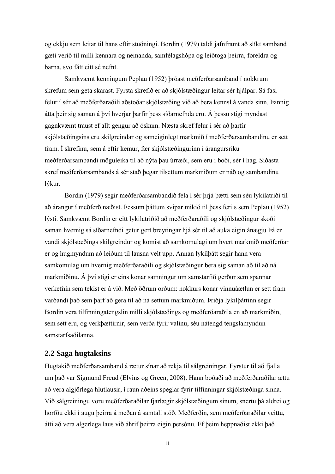og ekkju sem leitar til hans eftir stuðningi. Bordin (1979) taldi jafnframt að slíkt samband gæti verið til milli kennara og nemanda, samfélagshópa og leiðtoga þeirra, foreldra og barna, svo fátt eitt sé nefnt.

 Samkvæmt kenningum Peplau (1952) þróast meðferðarsamband í nokkrum skrefum sem geta skarast. Fyrsta skrefið er að skjólstæðingur leitar sér hjálpar. Sá fasi felur í sér að meðferðaraðili aðstoðar skjólstæðing við að bera kennsl á vanda sinn. Þannig átta þeir sig saman á því hverjar þarfir þess síðarnefnda eru. Á þessu stigi myndast gagnkvæmt traust ef allt gengur að óskum. Næsta skref felur í sér að þarfir skjólstæðingsins eru skilgreindar og sameiginlegt markmið í meðferðarsambandinu er sett fram. Í skrefinu, sem á eftir kemur, fær skjólstæðingurinn í árangursríku meðferðarsambandi möguleika til að nýta þau úrræði, sem eru í boði, sér í hag. Síðasta skref meðferðarsambands á sér stað þegar tilsettum markmiðum er náð og sambandinu lýkur.

 Bordin (1979) segir meðferðarsambandið fela í sér þrjá þætti sem séu lykilatriði til að árangur í meðferð næðist. Þessum þáttum svipar mikið til þess ferils sem Peplau (1952) lýsti. Samkvæmt Bordin er eitt lykilatriðið að meðferðaraðili og skjólstæðingur skoði saman hvernig sá síðarnefndi getur gert breytingar hjá sér til að auka eigin ánægju Þá er vandi skjólstæðings skilgreindur og komist að samkomulagi um hvert markmið meðferðar er og hugmyndum að leiðum til lausna velt upp. Annan lykilþátt segir hann vera samkomulag um hvernig meðferðaraðili og skjólstæðingur bera sig saman að til að ná markmiðinu. Á því stigi er eins konar samningur um samstarfið gerður sem spannar verkefnin sem tekist er á við. Með öðrum orðum: nokkurs konar vinnuáætlun er sett fram varðandi það sem þarf að gera til að ná settum markmiðum. Þriðja lykilþáttinn segir Bordin vera tilfinningatengslin milli skjólstæðings og meðferðaraðila en að markmiðin, sem sett eru, og verkþættirnir, sem verða fyrir valinu, séu nátengd tengslamyndun samstarfsaðilanna.

## **2.2 Saga hugtaksins**

Hugtakið meðferðarsamband á rætur sínar að rekja til sálgreiningar. Fyrstur til að fjalla um það var Sigmund Freud (Elvins og Green, 2008). Hann boðaði að meðferðaraðilar ættu að vera algjörlega hlutlausir, í raun aðeins speglar fyrir tilfinningar skjólstæðinga sinna. Við sálgreiningu voru meðferðaraðilar fjarlægir skjólstæðingum sínum, snertu þá aldrei og horfðu ekki í augu þeirra á meðan á samtali stóð. Meðferðin, sem meðferðaraðilar veittu, átti að vera algerlega laus við áhrif þeirra eigin persónu. Ef þeim heppnaðist ekki það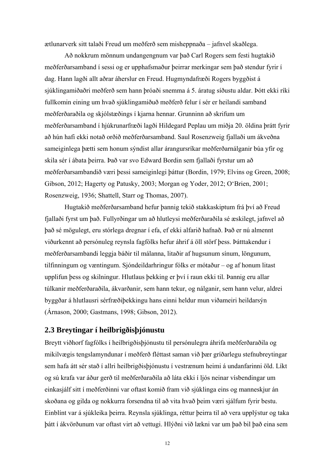ætlunarverk sitt talaði Freud um meðferð sem misheppnaða – jafnvel skaðlega.

 Að nokkrum mönnum undangengnum var það Carl Rogers sem festi hugtakið meðferðarsamband í sessi og er upphafsmaður þeirrar merkingar sem það stendur fyrir í dag. Hann lagði allt aðrar áherslur en Freud. Hugmyndafræði Rogers byggðist á sjúklingamiðaðri meðferð sem hann þróaði snemma á 5. áratug síðustu aldar. Þótt ekki ríki fullkomin eining um hvað sjúklingamiðuð meðferð felur í sér er heilandi samband meðferðaraðila og skjólstæðings í kjarna hennar. Grunninn að skrifum um meðferðarsamband í hjúkrunarfræði lagði Hildegard Peplau um miðja 20. öldina þrátt fyrir að hún hafi ekki notað orðið meðferðarsamband. Saul Rosenzweig fjallaði um ákveðna sameiginlega þætti sem honum sýndist allar árangursríkar meðferðarnálganir búa yfir og skila sér í ábata þeirra. Það var svo Edward Bordin sem fjallaði fyrstur um að meðferðarsambandið væri þessi sameiginlegi þáttur (Bordin, 1979; Elvins og Green, 2008; Gibson, 2012; Hagerty og Patusky, 2003; Morgan og Yoder, 2012; O'Brien, 2001; Rosenzweig, 1936; Shattell, Starr og Thomas, 2007).

 Hugtakið meðferðarsamband hefur þannig tekið stakkaskiptum frá því að Freud fjallaði fyrst um það. Fullyrðingar um að hlutleysi meðferðaraðila sé æskilegt, jafnvel að það sé mögulegt, eru stórlega dregnar í efa, ef ekki alfarið hafnað. Það er nú almennt viðurkennt að persónuleg reynsla fagfólks hefur áhrif á öll störf þess. Þátttakendur í meðferðarsambandi leggja báðir til málanna, litaðir af hugsunum sínum, löngunum, tilfinningum og væntingum. Sjóndeildarhringur fólks er mótaður – og af honum litast upplifun þess og skilningur. Hlutlaus þekking er því í raun ekki til. Þannig eru allar túlkanir meðferðaraðila, ákvarðanir, sem hann tekur, og nálganir, sem hann velur, aldrei byggðar á hlutlausri sérfræðiþekkingu hans einni heldur mun viðameiri heildarsýn (Árnason, 2000; Gastmans, 1998; Gibson, 2012).

## **2.3 Breytingar í heilbrigðisþjónustu**

Breytt viðhorf fagfólks í heilbrigðisþjónustu til persónulegra áhrifa meðferðaraðila og mikilvægis tengslamyndunar í meðferð fléttast saman við þær gríðarlegu stefnubreytingar sem hafa átt sér stað í allri heilbrigðisþjónustu í vestrænum heimi á undanfarinni öld. Líkt og sú krafa var áður gerð til meðferðaraðila að láta ekki í ljós neinar vísbendingar um einkasjálf sitt í meðferðinni var oftast komið fram við sjúklinga eins og manneskjur án skoðana og gilda og nokkurra forsendna til að vita hvað þeim væri sjálfum fyrir bestu. Einblínt var á sjúkleika þeirra. Reynsla sjúklinga, réttur þeirra til að vera upplýstur og taka þátt í ákvörðunum var oftast virt að vettugi. Hlýðni við lækni var um það bil það eina sem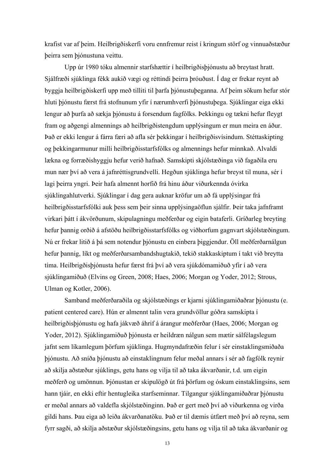krafist var af þeim. Heilbrigðiskerfi voru ennfremur reist í kringum störf og vinnuaðstæður þeirra sem þjónustuna veittu.

 Upp úr 1980 tóku almennir starfshættir í heilbrigðisþjónustu að breytast hratt. Sjálfræði sjúklinga fékk aukið vægi og réttindi þeirra þróuðust. Í dag er frekar reynt að byggja heilbrigðiskerfi upp með tilliti til þarfa þjónustuþeganna. Af þeim sökum hefur stór hluti þjónustu færst frá stofnunum yfir í nærumhverfi þjónustuþega. Sjúklingar eiga ekki lengur að þurfa að sækja þjónustu á forsendum fagfólks. Þekkingu og tækni hefur fleygt fram og aðgengi almennings að heilbrigðistengdum upplýsingum er mun meira en áður. Það er ekki lengur á fárra færi að afla sér þekkingar í heilbrigðisvísindum. Stéttaskipting og þekkingarmunur milli heilbrigðisstarfsfólks og almennings hefur minnkað. Alvaldi lækna og forræðishyggju hefur verið hafnað. Samskipti skjólstæðinga við fagaðila eru mun nær því að vera á jafnréttisgrundvelli. Hegðun sjúklinga hefur breyst til muna, sér í lagi þeirra yngri. Þeir hafa almennt horfið frá hinu áður viðurkennda óvirka sjúklingahlutverki. Sjúklingar í dag gera auknar kröfur um að fá upplýsingar frá heilbrigðisstarfsfólki auk þess sem þeir sinna upplýsingaöflun sjálfir. Þeir taka jafnframt virkari þátt í ákvörðunum, skipulagningu meðferðar og eigin bataferli. Gríðarleg breyting hefur þannig orðið á afstöðu heilbrigðisstarfsfólks og viðhorfum gagnvart skjólstæðingum. Nú er frekar litið á þá sem notendur þjónustu en einbera þiggjendur. Öll meðferðarnálgun hefur þannig, líkt og meðferðarsambandshugtakið, tekið stakkaskiptum í takt við breytta tíma. Heilbrigðisþjónusta hefur færst frá því að vera sjúkdómamiðuð yfir í að vera sjúklingamiðuð (Elvins og Green, 2008; Haes, 2006; Morgan og Yoder, 2012; Strous, Ulman og Kotler, 2006).

 Samband meðferðaraðila og skjólstæðings er kjarni sjúklingamiðaðrar þjónustu (e. patient centered care). Hún er almennt talin vera grundvöllur góðra samskipta í heilbrigðisþjónustu og hafa jákvæð áhrif á árangur meðferðar (Haes, 2006; Morgan og Yoder, 2012). Sjúklingamiðuð þjónusta er heildræn nálgun sem mætir sálfélagslegum jafnt sem líkamlegum þörfum sjúklinga. Hugmyndafræðin felur í sér einstaklingsmiðaða þjónustu. Að sníða þjónustu að einstaklingnum felur meðal annars í sér að fagfólk reynir að skilja aðstæður sjúklings, getu hans og vilja til að taka ákvarðanir, t.d. um eigin meðferð og umönnun. Þjónustan er skipulögð út frá þörfum og óskum einstaklingsins, sem hann tjáir, en ekki eftir hentugleika starfseminnar. Tilgangur sjúklingamiðaðrar þjónustu er meðal annars að valdefla skjólstæðinginn. Það er gert með því að viðurkenna og virða gildi hans. Þau eiga að leiða ákvarðanatöku. Það er til dæmis útfært með því að reyna, sem fyrr sagði, að skilja aðstæður skjólstæðingsins, getu hans og vilja til að taka ákvarðanir og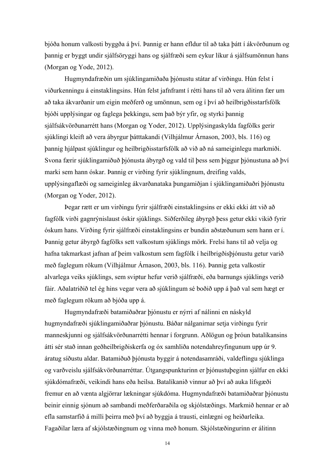bjóða honum valkosti byggða á því. Þannig er hann efldur til að taka þátt í ákvörðunum og þannig er byggt undir sjálfsöryggi hans og sjálfræði sem eykur líkur á sjálfsumönnun hans (Morgan og Yode, 2012).

 Hugmyndafræðin um sjúklingamiðaða þjónustu státar af virðingu. Hún felst í viðurkenningu á einstaklingsins. Hún felst jafnframt í rétti hans til að vera álitinn fær um að taka ákvarðanir um eigin meðferð og umönnun, sem og í því að heilbrigðisstarfsfólk bjóði upplýsingar og faglega þekkingu, sem það býr yfir, og styrki þannig sjálfsákvörðunarrétt hans (Morgan og Yoder, 2012). Upplýsingaskylda fagfólks gerir sjúklingi kleift að vera ábyrgur þátttakandi (Vilhjálmur Árnason, 2003, bls. 116) og þannig hjálpast sjúklingur og heilbrigðisstarfsfólk að við að ná sameiginlegu markmiði. Svona færir sjúklingamiðuð þjónusta ábyrgð og vald til þess sem þiggur þjónustuna að því marki sem hann óskar. Þannig er virðing fyrir sjúklingnum, dreifing valds, upplýsingaflæði og sameiginleg ákvarðanataka þungamiðjan í sjúklingamiðaðri þjónustu (Morgan og Yoder, 2012).

 Þegar rætt er um virðingu fyrir sjálfræði einstaklingsins er ekki ekki átt við að fagfólk virði gagnrýnislaust óskir sjúklings. Siðferðileg ábyrgð þess getur ekki vikið fyrir óskum hans. Virðing fyrir sjálfræði einstaklingsins er bundin aðstæðunum sem hann er í. Þannig getur ábyrgð fagfólks sett valkostum sjúklings mörk. Frelsi hans til að velja og hafna takmarkast jafnan af þeim valkostum sem fagfólk í heilbrigðisþjónustu getur varið með faglegum rökum (Vilhjálmur Árnason, 2003, bls. 116). Þannig geta valkostir alvarlega veiks sjúklings, sem sviptur hefur verið sjálfræði, eða barnungs sjúklings verið fáir. Aðalatriðið tel ég hins vegar vera að sjúklingum sé boðið upp á það val sem hægt er með faglegum rökum að bjóða upp á.

 Hugmyndafræði batamiðaðrar þjónustu er nýrri af nálinni en náskyld hugmyndafræði sjúklingamiðaðrar þjónustu. Báðar nálganirnar setja virðingu fyrir manneskjunni og sjálfsákvörðunarrétti hennar í forgrunn. Aðlögun og þróun batalíkansins átti sér stað innan geðheilbrigðiskerfa og óx samhliða notendahreyfingunum upp úr 9. áratug síðustu aldar. Batamiðuð þjónusta byggir á notendasamráði, valdeflingu sjúklinga og varðveislu sjálfsákvörðunarréttar. Útgangspunkturinn er þjónustuþeginn sjálfur en ekki sjúkdómafræði, veikindi hans eða heilsa. Batalíkanið vinnur að því að auka lífsgæði fremur en að vænta algjörrar lækningar sjúkdóma. Hugmyndafræði batamiðaðrar þjónustu beinir einnig sjónum að sambandi meðferðaraðila og skjólstæðings. Markmið hennar er að efla samstarfið á milli þeirra með því að byggja á trausti, einlægni og heiðarleika. Fagaðilar læra af skjólstæðingnum og vinna með honum. Skjólstæðingurinn er álitinn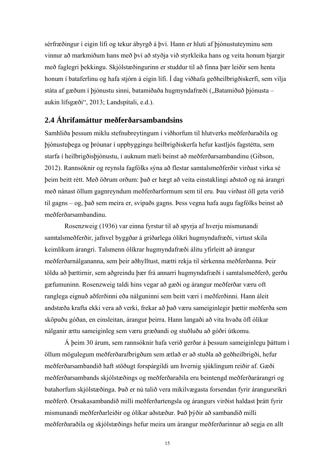sérfræðingur í eigin lífi og tekur ábyrgð á því. Hann er hluti af þjónustuteyminu sem vinnur að markmiðum hans með því að styðja við styrkleika hans og veita honum bjargir með faglegri þekkingu. Skjólstæðingurinn er studdur til að finna þær leiðir sem henta honum í bataferlinu og hafa stjórn á eigin lífi. Í dag viðhafa geðheilbrigðiskerfi, sem vilja státa af gæðum í þjónustu sinni, batamiðaða hugmyndafræði ("Batamiðuð þjónusta – aukin lífsgæði", 2013; Landspítali, e.d.).

## **2.4 Áhrifamáttur meðferðarsambandsins**

Samhliða þessum miklu stefnubreytingum í viðhorfum til hlutverks meðferðaraðila og þjónustuþega og þróunar í uppbyggingu heilbrigðiskerfa hefur kastljós fagstétta, sem starfa í heilbrigðisþjónustu, í auknum mæli beinst að meðferðarsambandinu (Gibson, 2012). Rannsóknir og reynsla fagfólks sýna að flestar samtalsmeðferðir virðast virka sé þeim beitt rétt. Með öðrum orðum: það er hægt að veita einstaklingi aðstoð og ná árangri með nánast öllum gagnreyndum meðferðarformum sem til eru. Þau virðast öll geta verið til gagns – og, það sem meira er, svipaðs gagns. Þess vegna hafa augu fagfólks beinst að meðferðarsambandinu.

 Rosenzweig (1936) var einna fyrstur til að spyrja af hverju mismunandi samtalsmeðferðir, jafnvel byggðar á gríðarlega ólíkri hugmyndafræði, virtust skila keimlíkum árangri. Talsmenn ólíkrar hugmyndafræði álitu yfirleitt að árangur meðferðarnálgananna, sem þeir aðhylltust, mætti rekja til sérkenna meðferðanna. Þeir töldu að þættirnir, sem aðgreindu þær frá annarri hugmyndafræði í samtalsmeðferð, gerðu gæfumuninn. Rosenzweig taldi hins vegar að gæði og árangur meðferðar væru oft ranglega eignuð aðferðinni eða nálguninni sem beitt væri í meðferðinni. Hann áleit andstæða krafta ekki vera að verki, frekar að það væru sameiginlegir þættir meðferða sem sköpuðu góðan, en einsleitan, árangur þeirra. Hann langaði að vita hvaða öfl ólíkar nálganir ættu sameiginleg sem væru græðandi og stuðluðu að góðri útkomu.

 Á þeim 30 árum, sem rannsóknir hafa verið gerðar á þessum sameiginlegu þáttum í öllum mögulegum meðferðarafbrigðum sem ætlað er að stuðla að geðheilbrigði, hefur meðferðarsambandið haft stöðugt forspárgildi um hvernig sjúklingum reiðir af. Gæði meðferðarsambands skjólstæðings og meðferðaraðila eru beintengd meðferðarárangri og batahorfum skjólstæðinga. Það er nú talið vera mikilvægasta forsendan fyrir árangursríkri meðferð. Orsakasambandið milli meðferðartengsla og árangurs virðist haldast þrátt fyrir mismunandi meðferðarleiðir og ólíkar aðstæður. Það þýðir að sambandið milli meðferðaraðila og skjólstæðings hefur meira um árangur meðferðarinnar að segja en allt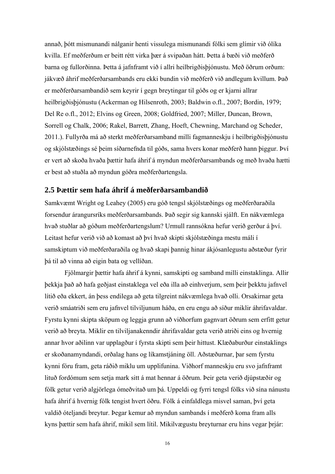annað, þótt mismunandi nálganir henti vissulega mismunandi fólki sem glímir við ólíka kvilla. Ef meðferðum er beitt rétt virka þær á svipaðan hátt. Þetta á bæði við meðferð barna og fullorðinna. Þetta á jafnframt við í allri heilbrigðisþjónustu. Með öðrum orðum: jákvæð áhrif meðferðarsambands eru ekki bundin við meðferð við andlegum kvillum. Það er meðferðarsambandið sem keyrir í gegn breytingar til góðs og er kjarni allrar heilbrigðisþjónustu (Ackerman og Hilsenroth, 2003; Baldwin o.fl., 2007; Bordin, 1979; Del Re o.fl., 2012; Elvins og Green, 2008; Goldfried, 2007; Miller, Duncan, Brown, Sorrell og Chalk, 2006; Rakel, Barrett, Zhang, Hoeft, Chewning, Marchand og Scheder, 2011.). Fullyrða má að sterkt meðferðarsamband milli fagmanneskju í heilbrigðisþjónustu og skjólstæðings sé þeim síðarnefnda til góðs, sama hvers konar meðferð hann þiggur. Því er vert að skoða hvaða þættir hafa áhrif á myndun meðferðarsambands og með hvaða hætti er best að stuðla að myndun góðra meðferðartengsla.

## **2.5 Þættir sem hafa áhrif á meðferðarsambandið**

Samkvæmt Wright og Leahey (2005) eru góð tengsl skjólstæðings og meðferðaraðila forsendur árangursríks meðferðarsambands. Það segir sig kannski sjálft. En nákvæmlega hvað stuðlar að góðum meðferðartengslum? Urmull rannsókna hefur verið gerður á því. Leitast hefur verið við að komast að því hvað skipti skjólstæðinga mestu máli í samskiptum við meðferðaraðila og hvað skapi þannig hinar ákjósanlegustu aðstæður fyrir þá til að vinna að eigin bata og vellíðan.

 Fjölmargir þættir hafa áhrif á kynni, samskipti og samband milli einstaklinga. Allir þekkja það að hafa geðjast einstaklega vel eða illa að einhverjum, sem þeir þekktu jafnvel lítið eða ekkert, án þess endilega að geta tilgreint nákvæmlega hvað olli. Orsakirnar geta verið smáatriði sem eru jafnvel tilviljunum háða, en eru engu að síður miklir áhrifavaldar. Fyrstu kynni skipta sköpum og leggja grunn að viðhorfum gagnvart öðrum sem erfitt getur verið að breyta. Miklir en tilviljanakenndir áhrifavaldar geta verið atriði eins og hvernig annar hvor aðilinn var upplagður í fyrsta skipti sem þeir hittust. Klæðaburður einstaklings er skoðanamyndandi, orðalag hans og líkamstjáning öll. Aðstæðurnar, þar sem fyrstu kynni fóru fram, geta ráðið miklu um upplifunina. Viðhorf manneskju eru svo jafnframt lituð fordómum sem setja mark sitt á mat hennar á öðrum. Þeir geta verið djúpstæðir og fólk getur verið algjörlega ómeðvitað um þá. Uppeldi og fyrri tengsl fólks við sína nánustu hafa áhrif á hvernig fólk tengist hvert öðru. Fólk á einfaldlega misvel saman, því geta valdið óteljandi breytur. Þegar kemur að myndun sambands í meðferð koma fram alls kyns þættir sem hafa áhrif, mikil sem lítil. Mikilvægustu breyturnar eru hins vegar þrjár: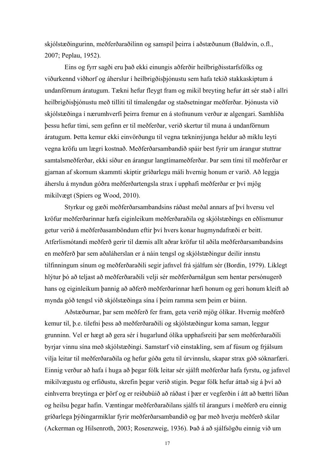skjólstæðingurinn, meðferðaraðilinn og samspil þeirra í aðstæðunum (Baldwin, o.fl., 2007; Peplau, 1952).

 Eins og fyrr sagði eru það ekki einungis aðferðir heilbrigðisstarfsfólks og viðurkennd viðhorf og áherslur í heilbrigðisþjónustu sem hafa tekið stakkaskiptum á undanförnum áratugum. Tækni hefur fleygt fram og mikil breyting hefur átt sér stað í allri heilbrigðisþjónustu með tilliti til tímalengdar og staðsetningar meðferðar. Þjónusta við skjólstæðinga í nærumhverfi þeirra fremur en á stofnunum verður æ algengari. Samhliða þessu hefur tími, sem gefinn er til meðferðar, verið skertur til muna á undanförnum áratugum. Þetta kemur ekki einvörðungu til vegna tækninýjunga heldur að miklu leyti vegna kröfu um lægri kostnað. Meðferðarsambandið spáir best fyrir um árangur stuttrar samtalsmeðferðar, ekki síður en árangur langtímameðferðar. Þar sem tími til meðferðar er gjarnan af skornum skammti skiptir gríðarlegu máli hvernig honum er varið. Að leggja áherslu á myndun góðra meðferðartengsla strax í upphafi meðferðar er því mjög mikilvægt (Spiers og Wood, 2010).

 Styrkur og gæði meðferðarsambandsins ráðast meðal annars af því hversu vel kröfur meðferðarinnar hæfa eiginleikum meðferðaraðila og skjólstæðings en eðlismunur getur verið á meðferðasamböndum eftir því hvers konar hugmyndafræði er beitt. Atferlismótandi meðferð gerir til dæmis allt aðrar kröfur til aðila meðferðarsambandsins en meðferð þar sem aðaláherslan er á náin tengsl og skjólstæðingur deilir innstu tilfinningum sínum og meðferðaraðili segir jafnvel frá sjálfum sér (Bordin, 1979). Líklegt hlýtur þó að teljast að meðferðaraðili velji sér meðferðarnálgun sem hentar persónugerð hans og eiginleikum þannig að aðferð meðferðarinnar hæfi honum og geri honum kleift að mynda góð tengsl við skjólstæðinga sína í þeim ramma sem þeim er búinn.

 Aðstæðurnar, þar sem meðferð fer fram, geta verið mjög ólíkar. Hvernig meðferð kemur til, þ.e. tilefni þess að meðferðaraðili og skjólstæðingur koma saman, leggur grunninn. Vel er hægt að gera sér í hugarlund ólíka upphafsreiti þar sem meðferðaraðili byrjar vinnu sína með skjólstæðingi. Samstarf við einstakling, sem af fúsum og frjálsum vilja leitar til meðferðaraðila og hefur góða getu til úrvinnslu, skapar strax góð sóknarfæri. Einnig verður að hafa í huga að þegar fólk leitar sér sjálft meðferðar hafa fyrstu, og jafnvel mikilvægustu og erfiðustu, skrefin þegar verið stigin. Þegar fólk hefur áttað sig á því að einhverra breytinga er þörf og er reiðubúið að ráðast í þær er vegferðin í átt að bættri líðan og heilsu þegar hafin. Væntingar meðferðaraðilans sjálfs til árangurs í meðferð eru einnig gríðarlega þýðingarmiklar fyrir meðferðarsambandið og þar með hverju meðferð skilar (Ackerman og Hilsenroth, 2003; Rosenzweig, 1936). Það á að sjálfsögðu einnig við um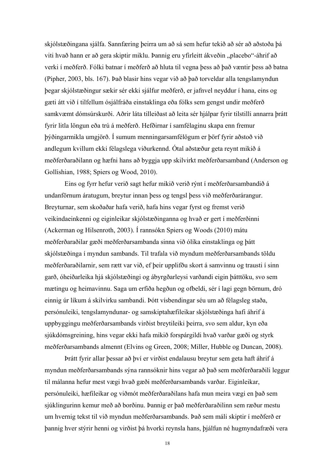skjólstæðingana sjálfa. Sannfæring þeirra um að sá sem hefur tekið að sér að aðstoða þá viti hvað hann er að gera skiptir miklu. Þannig eru yfirleitt ákveðin "placebo"-áhrif að verki í meðferð. Fólki batnar í meðferð að hluta til vegna þess að það væntir þess að batna (Pipher, 2003, bls. 167). Það blasir hins vegar við að það torveldar alla tengslamyndun þegar skjólstæðingur sækir sér ekki sjálfur meðferð, er jafnvel neyddur í hana, eins og gæti átt við í tilfellum ósjálfráða einstaklinga eða fólks sem gengst undir meðferð samkvæmt dómsúrskurði. Aðrir láta tilleiðast að leita sér hjálpar fyrir tilstilli annarra þrátt fyrir litla löngun eða trú á meðferð. Hefðirnar í samfélaginu skapa enn fremur þýðingarmikla umgjörð. Í sumum menningarsamfélögum er þörf fyrir aðstoð við andlegum kvillum ekki félagslega viðurkennd. Ótal aðstæður geta reynt mikið á meðferðaraðilann og hæfni hans að byggja upp skilvirkt meðferðarsamband (Anderson og Gollishian, 1988; Spiers og Wood, 2010).

 Eins og fyrr hefur verið sagt hefur mikið verið rýnt í meðferðarsambandið á undanförnum áratugum, breytur innan þess og tengsl þess við meðferðarárangur. Breyturnar, sem skoðaðar hafa verið, hafa hins vegar fyrst og fremst verið veikindaeinkenni og eiginleikar skjólstæðinganna og hvað er gert í meðferðinni (Ackerman og Hilsenroth, 2003). Í rannsókn Spiers og Woods (2010) mátu meðferðaraðilar gæði meðferðarsambanda sinna við ólíka einstaklinga og þátt skjólstæðinga í myndun sambands. Til trafala við myndum meðferðarsambands töldu meðferðaraðilarnir, sem rætt var við, ef þeir upplifðu skort á samvinnu og trausti í sinn garð, óheiðarleika hjá skjólstæðingi og ábyrgðarleysi varðandi eigin þátttöku, svo sem mætingu og heimavinnu. Saga um erfiða hegðun og ofbeldi, sér í lagi gegn börnum, dró einnig úr líkum á skilvirku sambandi. Þótt vísbendingar séu um að félagsleg staða, persónuleiki, tengslamyndunar- og samskiptahæfileikar skjólstæðinga hafi áhrif á uppbyggingu meðferðarsambands virðist breytileiki þeirra, svo sem aldur, kyn eða sjúkdómsgreining, hins vegar ekki hafa mikið forspárgildi hvað varðar gæði og styrk meðferðarsambands almennt (Elvins og Green, 2008; Miller, Hubble og Duncan, 2008).

 Þrátt fyrir allar þessar að því er virðist endalausu breytur sem geta haft áhrif á myndun meðferðarsambands sýna rannsóknir hins vegar að það sem meðferðaraðili leggur til málanna hefur mest vægi hvað gæði meðferðarsambands varðar. Eiginleikar, persónuleiki, hæfileikar og viðmót meðferðaraðilans hafa mun meira vægi en það sem sjúklingurinn kemur með að borðinu. Þannig er það meðferðaraðilinn sem ræður mestu um hvernig tekst til við myndun meðferðarsambands. Það sem máli skiptir í meðferð er þannig hver stýrir henni og virðist þá hvorki reynsla hans, þjálfun né hugmyndafræði vera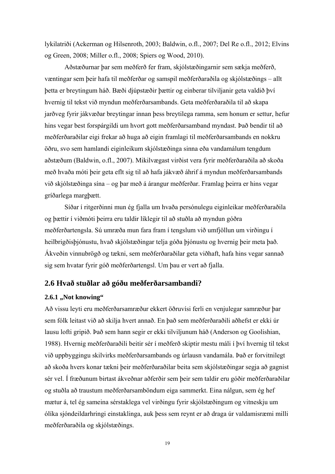lykilatriði (Ackerman og Hilsenroth, 2003; Baldwin, o.fl., 2007; Del Re o.fl., 2012; Elvins og Green, 2008; Miller o.fl., 2008; Spiers og Wood, 2010).

 Aðstæðurnar þar sem meðferð fer fram, skjólstæðingarnir sem sækja meðferð, væntingar sem þeir hafa til meðferðar og samspil meðferðaraðila og skjólstæðings – allt þetta er breytingum háð. Bæði djúpstæðir þættir og einberar tilviljanir geta valdið því hvernig til tekst við myndun meðferðarsambands. Geta meðferðaraðila til að skapa jarðveg fyrir jákvæðar breytingar innan þess breytilega ramma, sem honum er settur, hefur hins vegar best forspárgildi um hvort gott meðferðarsamband myndast. Það bendir til að meðferðaraðilar eigi frekar að huga að eigin framlagi til meðferðarsambands en nokkru öðru, svo sem hamlandi eiginleikum skjólstæðinga sinna eða vandamálum tengdum aðstæðum (Baldwin, o.fl., 2007). Mikilvægast virðist vera fyrir meðferðaraðila að skoða með hvaða móti þeir geta eflt sig til að hafa jákvæð áhrif á myndun meðferðarsambands við skjólstæðinga sína – og þar með á árangur meðferðar. Framlag þeirra er hins vegar gríðarlega margþætt.

 Síðar í ritgerðinni mun ég fjalla um hvaða persónulegu eiginleikar meðferðaraðila og þættir í viðmóti þeirra eru taldir líklegir til að stuðla að myndun góðra meðferðartengsla. Sú umræða mun fara fram í tengslum við umfjöllun um virðingu í heilbrigðisþjónustu, hvað skjólstæðingar telja góða þjónustu og hvernig þeir meta það. Ákveðin vinnubrögð og tækni, sem meðferðaraðilar geta viðhaft, hafa hins vegar sannað sig sem hvatar fyrir góð meðferðartengsl. Um þau er vert að fjalla.

## **2.6 Hvað stuðlar að góðu meðferðarsambandi?**

#### **2.6.1 "Not knowing"**

Að vissu leyti eru meðferðarsamræður ekkert öðruvísi ferli en venjulegar samræður þar sem fólk leitast við að skilja hvert annað. En það sem meðferðaraðili aðhefst er ekki úr lausu lofti gripið. Það sem hann segir er ekki tilviljunum háð (Anderson og Goolishian, 1988). Hvernig meðferðaraðili beitir sér í meðferð skiptir mestu máli í því hvernig til tekst við uppbyggingu skilvirks meðferðarsambands og úrlausn vandamála. Það er forvitnilegt að skoða hvers konar tækni þeir meðferðaraðilar beita sem skjólstæðingar segja að gagnist sér vel. Í fræðunum birtast ákveðnar aðferðir sem þeir sem taldir eru góðir meðferðaraðilar og stuðla að traustum meðferðarsamböndum eiga sammerkt. Eina nálgun, sem ég hef mætur á, tel ég sameina sérstaklega vel virðingu fyrir skjólstæðingum og vitneskju um ólíka sjóndeildarhringi einstaklinga, auk þess sem reynt er að draga úr valdamisræmi milli meðferðaraðila og skjólstæðings.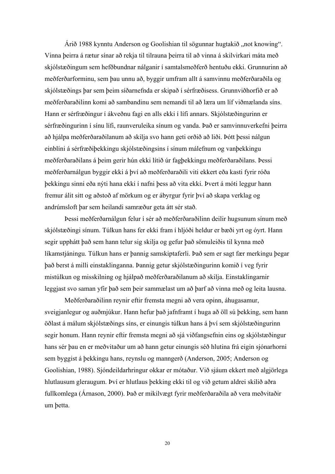Árið 1988 kynntu Anderson og Goolishian til sögunnar hugtakið "not knowing". Vinna þeirra á rætur sínar að rekja til tilrauna þeirra til að vinna á skilvirkari máta með skjólstæðingum sem hefðbundnar nálganir í samtalsmeðferð hentuðu ekki. Grunnurinn að meðferðarforminu, sem þau unnu að, byggir umfram allt á samvinnu meðferðaraðila og skjólstæðings þar sem þeim síðarnefnda er skipað í sérfræðisess. Grunnviðhorfið er að meðferðaraðilinn komi að sambandinu sem nemandi til að læra um líf viðmælanda síns. Hann er sérfræðingur í ákveðnu fagi en alls ekki í lífi annars. Skjólstæðingurinn er sérfræðingurinn í sínu lífi, raunveruleika sínum og vanda. Það er samvinnuverkefni þeirra að hjálpa meðferðaraðilanum að skilja svo hann geti orðið að liði. Þótt þessi nálgun einblíni á sérfræðiþekkingu skjólstæðingsins í sínum málefnum og vanþekkingu meðferðaraðilans á þeim gerir hún ekki lítið úr fagþekkingu meðferðaraðilans. Þessi meðferðarnálgun byggir ekki á því að meðferðaraðili viti ekkert eða kasti fyrir róða þekkingu sinni eða nýti hana ekki í nafni þess að vita ekki. Þvert á móti leggur hann fremur álit sitt og aðstoð af mörkum og er ábyrgur fyrir því að skapa verklag og andrúmsloft þar sem heilandi samræður geta átt sér stað.

 Þessi meðferðarnálgun felur í sér að meðferðaraðilinn deilir hugsunum sínum með skjólstæðingi sínum. Túlkun hans fer ekki fram í hljóði heldur er bæði yrt og óyrt. Hann segir upphátt það sem hann telur sig skilja og gefur það sömuleiðis til kynna með líkamstjáningu. Túlkun hans er þannig samskiptaferli. Það sem er sagt fær merkingu þegar það berst á milli einstaklinganna. Þannig getur skjólstæðingurinn komið í veg fyrir mistúlkun og misskilning og hjálpað meðferðaraðilanum að skilja. Einstaklingarnir leggjast svo saman yfir það sem þeir sammælast um að þarf að vinna með og leita lausna.

 Meðferðaraðilinn reynir eftir fremsta megni að vera opinn, áhugasamur, sveigjanlegur og auðmjúkur. Hann hefur það jafnframt í huga að öll sú þekking, sem hann öðlast á málum skjólstæðings síns, er einungis túlkun hans á því sem skjólstæðingurinn segir honum. Hann reynir eftir fremsta megni að sjá viðfangsefnin eins og skjólstæðingur hans sér þau en er meðvitaður um að hann getur einungis séð hlutina frá eigin sjónarhorni sem byggist á þekkingu hans, reynslu og manngerð (Anderson, 2005; Anderson og Goolishian, 1988). Sjóndeildarhringur okkar er mótaður. Við sjáum ekkert með algjörlega hlutlausum gleraugum. Því er hlutlaus þekking ekki til og við getum aldrei skilið aðra fullkomlega (Árnason, 2000). Það er mikilvægt fyrir meðferðaraðila að vera meðvitaðir um þetta.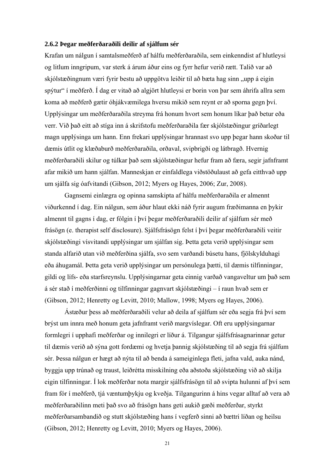#### **2.6.2 Þegar meðferðaraðili deilir af sjálfum sér**

Krafan um nálgun í samtalsmeðferð af hálfu meðferðaraðila, sem einkenndist af hlutleysi og litlum inngripum, var sterk á árum áður eins og fyrr hefur verið rætt. Talið var að skjólstæðingnum væri fyrir bestu að uppgötva leiðir til að bæta hag sinn "upp á eigin spýtur" í meðferð. Í dag er vitað að algjört hlutleysi er borin von þar sem áhrifa allra sem koma að meðferð gætir óhjákvæmilega hversu mikið sem reynt er að sporna gegn því. Upplýsingar um meðferðaraðila streyma frá honum hvort sem honum líkar það betur eða verr. Við það eitt að stíga inn á skrifstofu meðferðaraðila fær skjólstæðingur gríðarlegt magn upplýsinga um hann. Enn frekari upplýsingar hrannast svo upp þegar hann skoðar til dæmis útlit og klæðaburð meðferðaraðila, orðaval, svipbrigði og látbragð. Hvernig meðferðaraðili skilur og túlkar það sem skjólstæðingur hefur fram að færa, segir jafnframt afar mikið um hann sjálfan. Manneskjan er einfaldlega viðstöðulaust að gefa eitthvað upp um sjálfa sig óafvitandi (Gibson, 2012; Myers og Hayes, 2006; Zur, 2008).

 Gagnsemi einlægra og opinna samskipta af hálfu meðferðaraðila er almennt viðurkennd í dag. Ein nálgun, sem áður hlaut ekki náð fyrir augum fræðimanna en þykir almennt til gagns í dag, er fólgin í því þegar meðferðaraðili deilir af sjálfum sér með frásögn (e. therapist self disclosure). Sjálfsfrásögn felst í því þegar meðferðaraðili veitir skjólstæðingi vísvitandi upplýsingar um sjálfan sig. Þetta geta verið upplýsingar sem standa alfarið utan við meðferðina sjálfa, svo sem varðandi búsetu hans, fjölskylduhagi eða áhugamál. Þetta geta verið upplýsingar um persónulega þætti, til dæmis tilfinningar, gildi og lífs- eða starfsreynslu. Upplýsingarnar geta einnig varðað vangaveltur um það sem á sér stað í meðferðinni og tilfinningar gagnvart skjólstæðingi – í raun hvað sem er (Gibson, 2012; Henretty og Levitt, 2010; Mallow, 1998; Myers og Hayes, 2006).

 Ástæður þess að meðferðaraðili velur að deila af sjálfum sér eða segja frá því sem brýst um innra með honum geta jafnframt verið margvíslegar. Oft eru upplýsingarnar formlegri í upphafi meðferðar og innilegri er líður á. Tilgangur sjálfsfrásagnarinnar getur til dæmis verið að sýna gott fordæmi og hvetja þannig skjólstæðing til að segja frá sjálfum sér. Þessa nálgun er hægt að nýta til að benda á sameiginlega fleti, jafna vald, auka nánd, byggja upp trúnað og traust, leiðrétta misskilning eða aðstoða skjólstæðing við að skilja eigin tilfinningar. Í lok meðferðar nota margir sjálfsfrásögn til að svipta hulunni af því sem fram fór í meðferð, tjá væntumþykju og kveðja. Tilgangurinn á hins vegar alltaf að vera að meðferðaraðilinn meti það svo að frásögn hans geti aukið gæði meðferðar, styrkt meðferðarsambandið og stutt skjólstæðing hans í vegferð sinni að bættri líðan og heilsu (Gibson, 2012; Henretty og Levitt, 2010; Myers og Hayes, 2006).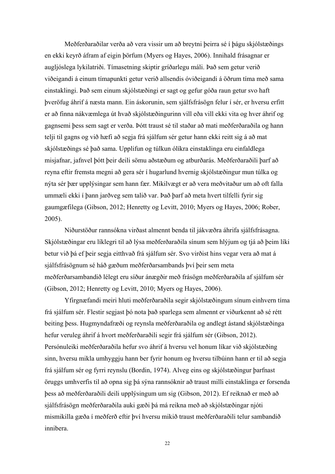Meðferðaraðilar verða að vera vissir um að breytni þeirra sé í þágu skjólstæðings en ekki keyrð áfram af eigin þörfum (Myers og Hayes, 2006). Innihald frásagnar er augljóslega lykilatriði. Tímasetning skiptir gríðarlegu máli. Það sem getur verið viðeigandi á einum tímapunkti getur verið allsendis óviðeigandi á öðrum tíma með sama einstaklingi. Það sem einum skjólstæðingi er sagt og gefur góða raun getur svo haft þveröfug áhrif á næsta mann. Ein áskorunin, sem sjálfsfrásögn felur í sér, er hversu erfitt er að finna nákvæmlega út hvað skjólstæðingurinn vill eða vill ekki vita og hver áhrif og gagnsemi þess sem sagt er verða. Þótt traust sé til staðar að mati meðferðaraðila og hann telji til gagns og við hæfi að segja frá sjálfum sér getur hann ekki reitt sig á að mat skjólstæðings sé það sama. Upplifun og túlkun ólíkra einstaklinga eru einfaldlega misjafnar, jafnvel þótt þeir deili sömu aðstæðum og atburðarás. Meðferðaraðili þarf að reyna eftir fremsta megni að gera sér í hugarlund hvernig skjólstæðingur mun túlka og nýta sér þær upplýsingar sem hann fær. Mikilvægt er að vera meðvitaður um að oft falla ummæli ekki í þann jarðveg sem talið var. Það þarf að meta hvert tilfelli fyrir sig gaumgæfilega (Gibson, 2012; Henretty og Levitt, 2010; Myers og Hayes, 2006; Rober, 2005).

 Niðurstöður rannsókna virðast almennt benda til jákvæðra áhrifa sjálfsfrásagna. Skjólstæðingar eru líklegri til að lýsa meðferðaraðila sínum sem hlýjum og tjá að þeim líki betur við þá ef þeir segja eitthvað frá sjálfum sér. Svo virðist hins vegar vera að mat á sjálfsfrásögnum sé háð gæðum meðferðarsambands því þeir sem meta meðferðarsambandið lélegt eru síður ánægðir með frásögn meðferðaraðila af sjálfum sér (Gibson, 2012; Henretty og Levitt, 2010; Myers og Hayes, 2006).

 Yfirgnæfandi meiri hluti meðferðaraðila segir skjólstæðingum sínum einhvern tíma frá sjálfum sér. Flestir segjast þó nota það sparlega sem almennt er viðurkennt að sé rétt beiting þess. Hugmyndafræði og reynsla meðferðaraðila og andlegt ástand skjólstæðinga hefur veruleg áhrif á hvort meðferðaraðili segir frá sjálfum sér (Gibson, 2012). Persónuleiki meðferðaraðila hefur svo áhrif á hversu vel honum líkar við skjólstæðing sinn, hversu mikla umhyggju hann ber fyrir honum og hversu tilbúinn hann er til að segja frá sjálfum sér og fyrri reynslu (Bordin, 1974). Alveg eins og skjólstæðingur þarfnast öruggs umhverfis til að opna sig þá sýna rannsóknir að traust milli einstaklinga er forsenda þess að meðferðaraðili deili upplýsingum um sig (Gibson, 2012). Ef reiknað er með að sjálfsfrásögn meðferðaraðila auki gæði þá má reikna með að skjólstæðingar njóti mismikilla gæða í meðferð eftir því hversu mikið traust meðferðaraðili telur sambandið innibera.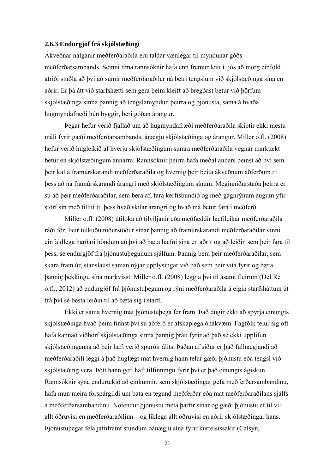#### **2.6.3 Endurgjöf frá skjólstæðingi**

Ákveðnar nálganir meðferðaraðila eru taldar vænlegar til myndunar góðs meðferðarsambands. Seinni tíma rannsóknir hafa enn fremur leitt í ljós að mörg einföld atriði stuðla að því að sumir meðferðaraðilar ná betri tengslum við skjólstæðinga sína en aðrir. Er þá átt við starfshætti sem gera þeim kleift að bregðast betur við þörfum skjólstæðinga sinna þannig að tengslamyndun þeirra og þjónusta, sama á hvaða hugmyndafræði hún byggir, beri góðan árangur.

 Þegar hefur verið fjallað um að hugmyndafræði meðferðaraðila skiptir ekki mestu máli fyrir gæði meðferðarsambands, ánægju skjólstæðinga og árangur. Miller o.fl. (2008) hefur verið hugleikið af hverju skjólstæðingum sumra meðferðaraðila vegnar marktækt betur en skjólstæðingum annarra. Rannsóknir þeirra hafa meðal annars beinst að því sem þeir kalla framúrskarandi meðferðaraðila og hvernig þeir beita ákveðnum aðferðum til þess að ná framúrskarandi árangri með skjólstæðingum sínum. Meginniðurstaða þeirra er sú að þeir meðferðaraðilar, sem bera af, fara kerfisbundið og með gagnrýnum augum yfir störf sín með tilliti til þess hvað skilar árangri og hvað má betur fara í meðferð.

 Miller o.fl. (2008) útiloka að tilviljanir eða meðfæddir hæfileikar meðferðaraðila ráði för. Þeir túlkuðu niðurstöður sínar þannig að framúrskarandi meðferðaraðilar vinni einfaldlega harðari höndum að því að bæta hæfni sína en aðrir og að leiðin sem þeir fara til þess, sé endurgjöf frá þjónustuþegunum sjálfum. Þannig bera þeir meðferðaraðilar, sem skara fram úr, stanslaust saman nýjar upplýsingar við það sem þeir vita fyrir og bæta þannig þekkingu sína markvisst. Miller o.fl. (2008) leggja því til ásamt fleirum (Del Re o.fl., 2012) að endurgjöf frá þjónustuþegum og rýni meðferðaraðila á eigin starfsháttum út frá því sé besta leiðin til að bæta sig í starfi.

 Ekki er sama hvernig mat þjónustuþega fer fram. Það dugir ekki að spyrja einungis skjólstæðinga hvað þeim finnst því sú aðferð er afskaplega ónákvæm. Fagfólk telur sig oft hafa kannað viðhorf skjólstæðinga sinna þannig þrátt fyrir að það sé ekki upplifun skjólstæðinganna að þeir hafi verið spurðir álits. Þaðan af síður er það fullnægjandi að meðferðaraðili leggi á það huglægt mat hvernig hann telur gæði þjónustu eða tengsl við skjólstæðing vera. Þótt hann geti haft tilfinningu fyrir því er það einungis ágiskun. Rannsóknir sýna endurtekið að einkunnir, sem skjólstæðingar gefa meðferðarsambandinu, hafa mun meira forspárgildi um bata en tegund meðferðar eða mat meðferðaraðilans sjálfs á meðferðarsambandinu. Notendur þjónustu meta þarfir sínar og gæði þjónustu ef til vill allt öðruvísi en meðferðaraðilinn – og líklega allt öðruvísi en aðrir skjólstæðingar hans. Þjónustuþegar fela jafnframt stundum óánægju sína fyrir kurteisissakir (Calsyn,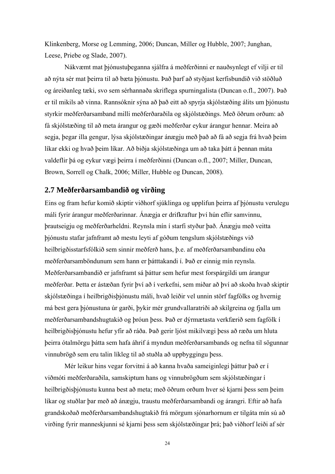Klinkenberg, Morse og Lemming, 2006; Duncan, Miller og Hubble, 2007; Junghan, Leese, Priebe og Slade, 2007).

 Nákvæmt mat þjónustuþeganna sjálfra á meðferðinni er nauðsynlegt ef vilji er til að nýta sér mat þeirra til að bæta þjónustu. Það þarf að styðjast kerfisbundið við stöðluð og áreiðanleg tæki, svo sem sérhannaða skriflega spurningalista (Duncan o.fl., 2007). Það er til mikils að vinna. Rannsóknir sýna að það eitt að spyrja skjólstæðing álits um þjónustu styrkir meðferðarsamband milli meðferðaraðila og skjólstæðings. Með öðrum orðum: að fá skjólstæðing til að meta árangur og gæði meðferðar eykur árangur hennar. Meira að segja, þegar illa gengur, lýsa skjólstæðingar ánægju með það að fá að segja frá hvað þeim líkar ekki og hvað þeim líkar. Að biðja skjólstæðinga um að taka þátt á þennan máta valdeflir þá og eykur vægi þeirra í meðferðinni (Duncan o.fl., 2007; Miller, Duncan, Brown, Sorrell og Chalk, 2006; Miller, Hubble og Duncan, 2008).

## **2.7 Meðferðarsambandið og virðing**

Eins og fram hefur komið skiptir viðhorf sjúklinga og upplifun þeirra af þjónustu verulegu máli fyrir árangur meðferðarinnar. Ánægja er drifkraftur því hún eflir samvinnu, þrautseigju og meðferðarheldni. Reynsla mín í starfi styður það. Ánægju með veitta þjónustu stafar jafnframt að mestu leyti af góðum tengslum skjólstæðings við heilbrigðisstarfsfólkið sem sinnir meðferð hans, þ.e. af meðferðarsambandinu eða meðferðarsamböndunum sem hann er þátttakandi í. Það er einnig mín reynsla. Meðferðarsambandið er jafnframt sá þáttur sem hefur mest forspárgildi um árangur meðferðar. Þetta er ástæðan fyrir því að í verkefni, sem miðar að því að skoða hvað skiptir skjólstæðinga í heilbrigðisþjónustu máli, hvað leiðir vel unnin störf fagfólks og hvernig má best gera þjónustuna úr garði, þykir mér grundvallaratriði að skilgreina og fjalla um meðferðarsambandshugtakið og þróun þess. Það er dýrmætasta verkfærið sem fagfólk í heilbrigðisþjónustu hefur yfir að ráða. Það gerir ljóst mikilvægi þess að ræða um hluta þeirra ótalmörgu þátta sem hafa áhrif á myndun meðferðarsambands og nefna til sögunnar vinnubrögð sem eru talin líkleg til að stuðla að uppbyggingu þess.

 Mér leikur hins vegar forvitni á að kanna hvaða sameiginlegi þáttur það er í viðmóti meðferðaraðila, samskiptum hans og vinnubrögðum sem skjólstæðingar í heilbrigðisþjónustu kunna best að meta; með öðrum orðum hver sé kjarni þess sem þeim líkar og stuðlar þar með að ánægju, traustu meðferðarsambandi og árangri. Eftir að hafa grandskoðað meðferðarsambandshugtakið frá mörgum sjónarhornum er tilgáta mín sú að virðing fyrir manneskjunni sé kjarni þess sem skjólstæðingar þrá; það viðhorf leiði af sér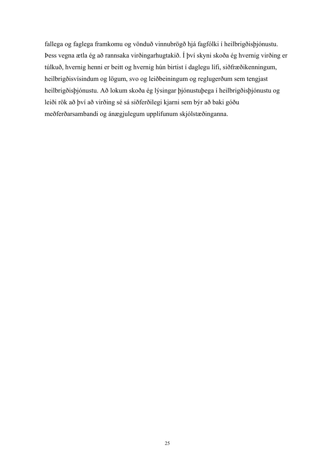fallega og faglega framkomu og vönduð vinnubrögð hjá fagfólki í heilbrigðisþjónustu. Þess vegna ætla ég að rannsaka virðingarhugtakið. Í því skyni skoða ég hvernig virðing er túlkuð, hvernig henni er beitt og hvernig hún birtist í daglegu lífi, siðfræðikenningum, heilbrigðisvísindum og lögum, svo og leiðbeiningum og reglugerðum sem tengjast heilbrigðisþjónustu. Að lokum skoða ég lýsingar þjónustuþega í heilbrigðisþjónustu og leiði rök að því að virðing sé sá siðferðilegi kjarni sem býr að baki góðu meðferðarsambandi og ánægjulegum upplifunum skjólstæðinganna.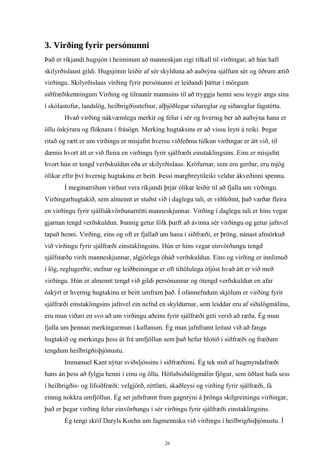# **3. Virðing fyrir persónunni**

Það er ríkjandi hugsjón í heiminum að manneskjan eigi tilkall til virðingar, að hún hafi skilyrðislaust gildi. Hugsjónin leiðir af sér skylduna að auðsýna sjálfum sér og öðrum ætíð virðingu. Skilyrðislaus virðing fyrir persónunni er leiðandi þáttur í mörgum siðfræðikenningum Virðing og tilraunir mannsins til að tryggja henni sess teygir anga sína í skólastofur, landslög, heilbrigðisstefnur, alþjóðlegar siðareglur og siðareglur fagstétta.

 Hvað virðing nákvæmlega merkir og felur í sér og hvernig ber að auðsýna hana er öllu óskýrara og flóknara í frásögn. Merking hugtaksins er að vissu leyti á reiki. Þegar ritað og rætt er um virðingu er misjafnt hversu víðfeðma túlkun virðingar er átt við, til dæmis hvort átt er við fleira en virðingu fyrir sjálfræði einstaklingsins. Eins er misjafnt hvort hún er tengd verðskuldun eða er skilyrðislaus. Kröfurnar, sem eru gerðar, eru mjög ólíkar eftir því hvernig hugtakinu er beitt. Þessi margbreytileiki veldur ákveðinni spennu.

 Í meginatriðum virðast vera ríkjandi þrjár ólíkar leiðir til að fjalla um virðingu. Virðingarhugtakið, sem almennt er stuðst við í daglegu tali, er víðfeðmt, það varðar fleira en virðingu fyrir sjálfsákvörðunarrétti manneskjunnar. Virðing í daglegu tali er hins vegar gjarnan tengd verðskuldun. Þannig getur fólk þurft að ávinna sér virðingu og getur jafnvel tapað henni. Virðing, eins og oft er fjallað um hana í siðfræði, er þröng, nánast afmörkuð við virðingu fyrir sjálfræði einstaklingsins. Hún er hins vegar einvörðungu tengd sjálfstæðu virði manneskjunnar, algjörlega óháð verðskuldun. Eins og virðing er innlimuð í lög, reglugerðir, stefnur og leiðbeiningar er oft tiltölulega óljóst hvað átt er við með virðingu. Hún er almennt tengd við gildi persónunnar og ótengd verðskuldun en afar óskýrt er hvernig hugtakinu er beitt umfram það. Í ofannefndum skjölum er virðing fyrir sjálfræði einstaklingsins jafnvel ein nefnd en skyldurnar, sem leiddar eru af siðalögmálinu, eru mun víðari en svo að um virðingu aðeins fyrir sjálfræði geti verið að ræða. Ég mun fjalla um þennan merkingarmun í kaflanum. Ég mun jafnframt leitast við að fanga hugtakið og merkingu þess út frá umfjöllun sem það hefur hlotið í siðfræði og fræðum tengdum heilbrigðisþjónustu.

 Immanuel Kant nýtur sviðsljóssins í siðfræðinni. Ég tek mið af hugmyndafræði hans án þess að fylgja henni í einu og öllu. Höfuðsiðalögmálin fjögur, sem öðlast hafa sess í heilbrigðis- og lífsiðfræði: velgjörð, réttlæti, skaðleysi og virðing fyrir sjálfræði, fá einnig nokkra umfjöllun. Ég set jafnframt fram gagnrýni á þrönga skilgreiningu virðingar, það er þegar virðing felur einvörðungu í sér virðingu fyrir sjálfræði einstaklingsins.

Ég tengi skrif Daryls Koehn um fagmennsku við virðingu í heilbrigðisþjónustu. Í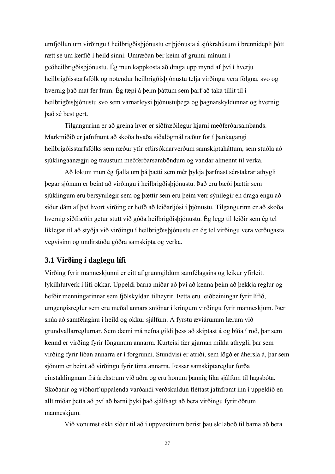umfjöllun um virðingu í heilbrigðisþjónustu er þjónusta á sjúkrahúsum í brennidepli þótt rætt sé um kerfið í heild sinni. Umræðan ber keim af grunni mínum í geðheilbrigðisþjónustu. Ég mun kappkosta að draga upp mynd af því í hverju heilbrigðisstarfsfólk og notendur heilbrigðisþjónustu telja virðingu vera fólgna, svo og hvernig það mat fer fram. Ég tæpi á þeim þáttum sem þarf að taka tillit til í heilbrigðisþjónustu svo sem varnarleysi þjónustuþega og þagnarskyldunnar og hvernig það sé best gert.

 Tilgangurinn er að greina hver er siðfræðilegur kjarni meðferðarsambands. Markmiðið er jafnframt að skoða hvaða siðalögmál ræður för í þankagangi heilbrigðisstarfsfólks sem ræður yfir eftirsóknarverðum samskiptaháttum, sem stuðla að sjúklingaánægju og traustum meðferðarsamböndum og vandar almennt til verka.

 Að lokum mun ég fjalla um þá þætti sem mér þykja þarfnast sérstakrar athygli þegar sjónum er beint að virðingu í heilbrigðisþjónustu. Það eru bæði þættir sem sjúklingum eru bersýnilegir sem og þættir sem eru þeim verr sýnilegir en draga engu að síður dám af því hvort virðing er höfð að leiðarljósi í þjónustu. Tilgangurinn er að skoða hvernig siðfræðin getur stutt við góða heilbrigðisþjónustu. Ég legg til leiðir sem ég tel líklegar til að styðja við virðingu í heilbrigðisþjónustu en ég tel virðingu vera verðugasta vegvísinn og undirstöðu góðra samskipta og verka.

## **3.1 Virðing í daglegu lífi**

Virðing fyrir manneskjunni er eitt af grunngildum samfélagsins og leikur yfirleitt lykilhlutverk í lífi okkar. Uppeldi barna miðar að því að kenna þeim að þekkja reglur og hefðir menningarinnar sem fjölskyldan tilheyrir. Þetta eru leiðbeiningar fyrir lífið, umgengisreglur sem eru meðal annars sniðnar í kringum virðingu fyrir manneskjum. Þær snúa að samfélaginu í heild og okkur sjálfum. Á fyrstu æviárunum lærum við grundvallarreglurnar. Sem dæmi má nefna gildi þess að skiptast á og bíða í röð, þar sem kennd er virðing fyrir löngunum annarra. Kurteisi fær gjarnan mikla athygli, þar sem virðing fyrir líðan annarra er í forgrunni. Stundvísi er atriði, sem lögð er áhersla á, þar sem sjónum er beint að virðingu fyrir tíma annarra. Þessar samskiptareglur forða einstaklingnum frá árekstrum við aðra og eru honum þannig líka sjálfum til hagsbóta. Skoðanir og viðhorf uppalenda varðandi verðskuldun fléttast jafnframt inn í uppeldið en allt miðar þetta að því að barni þyki það sjálfsagt að bera virðingu fyrir öðrum manneskjum.

Við vonumst ekki síður til að í uppvextinum berist þau skilaboð til barna að bera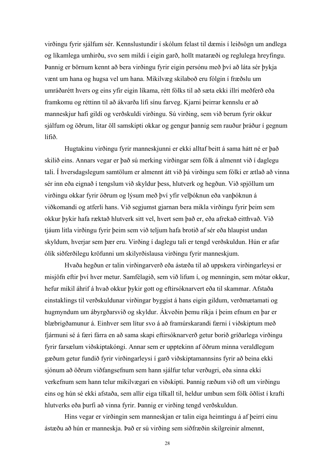virðingu fyrir sjálfum sér. Kennslustundir í skólum felast til dæmis í leiðsögn um andlega og líkamlega umhirðu, svo sem mildi í eigin garð, hollt mataræði og reglulega hreyfingu. Þannig er börnum kennt að bera virðingu fyrir eigin persónu með því að láta sér þykja vænt um hana og hugsa vel um hana. Mikilvæg skilaboð eru fólgin í fræðslu um umráðarétt hvers og eins yfir eigin líkama, rétt fólks til að sæta ekki illri meðferð eða framkomu og réttinn til að ákvarða lífi sínu farveg. Kjarni þeirrar kennslu er að manneskjur hafi gildi og verðskuldi virðingu. Sú virðing, sem við berum fyrir okkur sjálfum og öðrum, litar öll samskipti okkar og gengur þannig sem rauður þráður í gegnum lífið.

 Hugtakinu virðingu fyrir manneskjunni er ekki alltaf beitt á sama hátt né er það skilið eins. Annars vegar er það sú merking virðingar sem fólk á almennt við í daglegu tali. Í hversdagslegum samtölum er almennt átt við þá virðingu sem fólki er ætlað að vinna sér inn eða eignað í tengslum við skyldur þess, hlutverk og hegðun. Við spjöllum um virðingu okkar fyrir öðrum og lýsum með því yfir velþóknun eða vanþóknun á viðkomandi og atferli hans. Við segjumst gjarnan bera mikla virðingu fyrir þeim sem okkur þykir hafa ræktað hlutverk sitt vel, hvert sem það er, eða afrekað eitthvað. Við tjáum litla virðingu fyrir þeim sem við teljum hafa brotið af sér eða hlaupist undan skyldum, hverjar sem þær eru. Virðing í daglegu tali er tengd verðskuldun. Hún er afar ólík siðferðilegu kröfunni um skilyrðislausa virðingu fyrir manneskjum.

 Hvaða hegðun er talin virðingarverð eða ástæða til að uppskera virðingarleysi er misjöfn eftir því hver metur. Samfélagið, sem við lifum í, og menningin, sem mótar okkur, hefur mikil áhrif á hvað okkur þykir gott og eftirsóknarvert eða til skammar. Afstaða einstaklings til verðskuldunar virðingar byggist á hans eigin gildum, verðmætamati og hugmyndum um ábyrgðarsvið og skyldur. Ákveðin þemu ríkja í þeim efnum en þar er blæbrigðamunur á. Einhver sem lítur svo á að framúrskarandi færni í viðskiptum með fjármuni sé á færi fárra en að sama skapi eftirsóknarverð getur borið gríðarlega virðingu fyrir farsælum viðskiptakóngi. Annar sem er upptekinn af öðrum minna veraldlegum gæðum getur fundið fyrir virðingarleysi í garð viðskiptamannsins fyrir að beina ekki sjónum að öðrum viðfangsefnum sem hann sjálfur telur verðugri, eða sinna ekki verkefnum sem hann telur mikilvægari en viðskipti. Þannig ræðum við oft um virðingu eins og hún sé ekki afstaða, sem allir eiga tilkall til, heldur umbun sem fólk öðlist í krafti hlutverks eða þurfi að vinna fyrir. Þannig er virðing tengd verðskuldun.

 Hins vegar er virðingin sem manneskjan er talin eiga heimtingu á af þeirri einu ástæðu að hún er manneskja. Það er sú virðing sem siðfræðin skilgreinir almennt,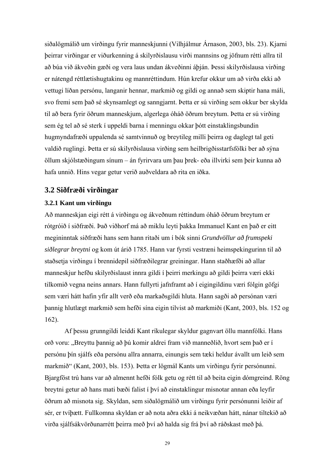siðalögmálið um virðingu fyrir manneskjunni (Vilhjálmur Árnason, 2003, bls. 23). Kjarni þeirrar virðingar er viðurkenning á skilyrðislausu virði mannsins og jöfnum rétti allra til að búa við ákveðin gæði og vera laus undan ákveðinni áþján. Þessi skilyrðislausa virðing er nátengd réttlætishugtakinu og mannréttindum. Hún krefur okkur um að virða ekki að vettugi líðan persónu, langanir hennar, markmið og gildi og annað sem skiptir hana máli, svo fremi sem það sé skynsamlegt og sanngjarnt. Þetta er sú virðing sem okkur ber skylda til að bera fyrir öðrum manneskjum, algerlega óháð öðrum breytum. Þetta er sú virðing sem ég tel að sé sterk í uppeldi barna í menningu okkar þótt einstaklingsbundin hugmyndafræði uppalenda sé samtvinnuð og breytileg milli þeirra og daglegt tal geti valdið ruglingi. Þetta er sú skilyrðislausa virðing sem heilbrigðisstarfsfólki ber að sýna öllum skjólstæðingum sínum – án fyrirvara um þau þrek- eða illvirki sem þeir kunna að hafa unnið. Hins vegar getur verið auðveldara að rita en iðka.

## **3.2 Siðfræði virðingar**

#### **3.2.1 Kant um virðingu**

Að manneskjan eigi rétt á virðingu og ákveðnum réttindum óháð öðrum breytum er rótgróið í siðfræði. Það viðhorf má að miklu leyti þakka Immanuel Kant en það er eitt megininntak siðfræði hans sem hann ritaði um í bók sinni *Grundvöllur að frumspeki siðlegrar breytni* og kom út árið 1785. Hann var fyrsti vestræni heimspekingurinn til að staðsetja virðingu í brennidepil siðfræðilegrar greiningar. Hann staðhæfði að allar manneskjur hefðu skilyrðislaust innra gildi í þeirri merkingu að gildi þeirra væri ekki tilkomið vegna neins annars. Hann fullyrti jafnframt að í eigingildinu væri fólgin göfgi sem væri hátt hafin yfir allt verð eða markaðsgildi hluta. Hann sagði að persónan væri þannig hlutlægt markmið sem hefði sína eigin tilvist að markmiði (Kant, 2003, bls. 152 og 162).

 Af þessu grunngildi leiddi Kant ríkulegar skyldur gagnvart öllu mannfólki. Hans orð voru: "Breyttu þannig að þú komir aldrei fram við manneðlið, hvort sem það er í persónu þín sjálfs eða persónu allra annarra, einungis sem tæki heldur ávallt um leið sem markmið" (Kant, 2003, bls. 153). Þetta er lögmál Kants um virðingu fyrir persónunni. Bjargföst trú hans var að almennt hefði fólk getu og rétt til að beita eigin dómgreind. Röng breytni getur að hans mati bæði falist í því að einstaklingur misnotar annan eða leyfir öðrum að misnota sig. Skyldan, sem siðalögmálið um virðingu fyrir persónunni leiðir af sér, er tvíþætt. Fullkomna skyldan er að nota aðra ekki á neikvæðan hátt, nánar tiltekið að virða sjálfsákvörðunarrétt þeirra með því að halda sig frá því að ráðskast með þá.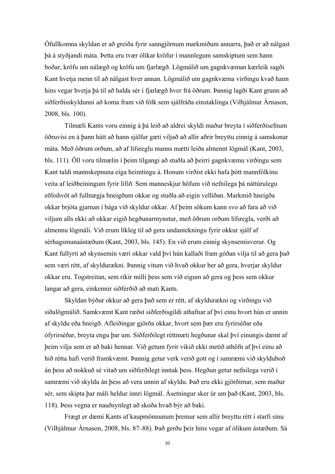Ófullkomna skyldan er að greiða fyrir sanngjörnum markmiðum annarra, það er að nálgast þá á styðjandi máta. Þetta eru tvær ólíkar kröfur í mannlegum samskiptum sem hann boðar, kröfu um nálægð og kröfu um fjarlægð. Lögmálið um gagnkvæman kærleik sagði Kant hvetja menn til að nálgast hver annan. Lögmálið um gagnkvæma virðingu kvað hann hins vegar hvetja þá til að halda sér í fjarlægð hver frá öðrum. Þannig lagði Kant grunn að siðferðisskyldunni að koma fram við fólk sem sjálfráða einstaklinga (Vilhjálmur Árnason, 2008, bls. 100).

 Tilmæli Kants voru einnig á þá leið að aldrei skyldi maður breyta í siðferðisefnum öðruvísi en á þann hátt að hann sjálfur gæti viljað að allir aðrir breyttu einnig á samskonar máta. Með öðrum orðum, að af lífsreglu manns mætti leiða almennt lögmál (Kant, 2003, bls. 111). Öll voru tilmælin í þeim tilgangi að stuðla að þeirri gagnkvæmu virðingu sem Kant taldi mannskepnuna eiga heimtingu á. Honum virðist ekki hafa þótt mannfólkinu veita af leiðbeiningum fyrir lífið. Sem manneskjur höfum við nefnilega þá náttúrulegu eðlishvöt að fullnægja hneigðum okkar og stuðla að eigin vellíðan. Markmið hneigða okkar brjóta gjarnan í bága við skyldur okkar. Af þeim sökum kann svo að fara að við viljum alls ekki að okkar eigið hegðunarmynstur, með öðrum orðum lífsregla, verði að almennu lögmáli. Við erum líkleg til að gera undantekningu fyrir okkur sjálf af sérhagsmunaástæðum (Kant, 2003, bls. 145). En við erum einnig skynsemisverur. Og Kant fullyrti að skynsemin væri okkar vald því hún kallaði fram góðan vilja til að gera það sem væri rétt, af skyldurækni. Þannig vitum við hvað okkur ber að gera, hverjar skyldur okkar eru. Togstreitan, sem ríkir milli þess sem við eigum að gera og þess sem okkur langar að gera, einkennir siðferðið að mati Kants.

 Skyldan býður okkur að gera það sem er rétt, af skyldurækni og virðingu við siðalögmálið. Samkvæmt Kant ræðst siðferðisgildi athafnar af því einu hvort hún er unnin af skyldu eða hneigð. Afleiðingar gjörða okkar, hvort sem þær eru fyrirséðar eða ófyrirséðar, breyta engu þar um. Siðferðilegt réttmæti hegðunar skal því einungis dæmt af þeim vilja sem er að baki hennar. Við getum fyrir vikið ekki metið athöfn af því einu að hið rétta hafi verið framkvæmt. Þannig getur verk verið gott og í samræmi við skylduboð án þess að nokkuð sé vitað um siðferðilegt inntak þess. Hegðun getur nefnilega verið í samræmi við skyldu án þess að vera unnin af skyldu. Það eru ekki gjörðirnar, sem maður sér, sem skipta þar máli heldur innri lögmál. Ásetningur sker úr um það (Kant, 2003, bls. 118). Þess vegna er nauðsynlegt að skoða hvað býr að baki.

 Frægt er dæmi Kants af kaupmönnunum þremur sem allir breyttu rétt í starfi sínu (Vilhjálmur Árnason, 2008, bls. 87*–*88). Það gerðu þeir hins vegar af ólíkum ástæðum. Sá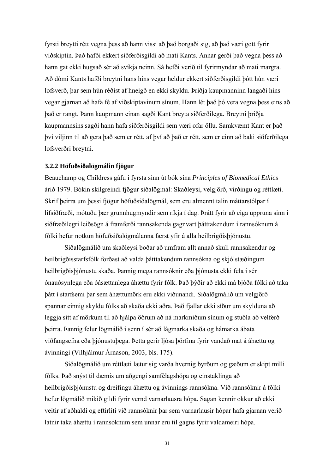fyrsti breytti rétt vegna þess að hann vissi að það borgaði sig, að það væri gott fyrir viðskiptin. Það hafði ekkert siðferðisgildi að mati Kants. Annar gerði það vegna þess að hann gat ekki hugsað sér að svíkja neinn. Sá hefði verið til fyrirmyndar að mati margra. Að dómi Kants hafði breytni hans hins vegar heldur ekkert siðferðisgildi þótt hún væri lofsverð, þar sem hún réðist af hneigð en ekki skyldu. Þriðja kaupmanninn langaði hins vegar gjarnan að hafa fé af viðskiptavinum sínum. Hann lét það þó vera vegna þess eins að það er rangt. Þann kaupmann einan sagði Kant breyta siðferðilega. Breytni þriðja kaupmannsins sagði hann hafa siðferðisgildi sem væri ofar öllu. Samkvæmt Kant er það því viljinn til að gera það sem er rétt, af því að það er rétt, sem er einn að baki siðferðilega lofsverðri breytni.

#### **3.2.2 Höfuðsiðalögmálin fjögur**

Beauchamp og Childress gáfu í fyrsta sinn út bók sína *Principles of Biomedical Ethics* árið 1979. Bókin skilgreindi fjögur siðalögmál: Skaðleysi, velgjörð, virðingu og réttlæti. Skrif þeirra um þessi fjögur höfuðsiðalögmál, sem eru almennt talin máttarstólpar í lífsiðfræði, mótuðu þær grunnhugmyndir sem ríkja í dag. Þrátt fyrir að eiga uppruna sinn í siðfræðilegri leiðsögn á framferði rannsakenda gagnvart þátttakendum í rannsóknum á fólki hefur notkun höfuðsiðalögmálanna færst yfir á alla heilbrigðisþjónustu.

 Siðalögmálið um skaðleysi boðar að umfram allt annað skuli rannsakendur og heilbrigðisstarfsfólk forðast að valda þátttakendum rannsókna og skjólstæðingum heilbrigðisþjónustu skaða. Þannig mega rannsóknir eða þjónusta ekki fela í sér ónauðsynlega eða óásættanlega áhættu fyrir fólk. Það þýðir að ekki má bjóða fólki að taka þátt í starfsemi þar sem áhættumörk eru ekki viðunandi. Siðalögmálið um velgjörð spannar einnig skyldu fólks að skaða ekki aðra. Það fjallar ekki síður um skylduna að leggja sitt af mörkum til að hjálpa öðrum að ná markmiðum sínum og stuðla að velferð þeirra. Þannig felur lögmálið í senn í sér að lágmarka skaða og hámarka ábata viðfangsefna eða þjónustuþega. Þetta gerir ljósa þörfina fyrir vandað mat á áhættu og ávinningi (Vilhjálmur Árnason, 2003, bls. 175).

 Siðalögmálið um réttlæti lætur sig varða hvernig byrðum og gæðum er skipt milli fólks. Það snýst til dæmis um aðgengi samfélagshópa og einstaklinga að heilbrigðisþjónustu og dreifingu áhættu og ávinnings rannsókna. Við rannsóknir á fólki hefur lögmálið mikið gildi fyrir vernd varnarlausra hópa. Sagan kennir okkur að ekki veitir af aðhaldi og eftirliti við rannsóknir þar sem varnarlausir hópar hafa gjarnan verið látnir taka áhættu í rannsóknum sem unnar eru til gagns fyrir valdameiri hópa.

<sup>31</sup>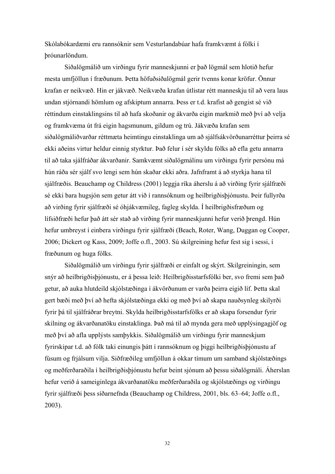Skólabókardæmi eru rannsóknir sem Vesturlandabúar hafa framkvæmt á fólki í þróunarlöndum.

 Siðalögmálið um virðingu fyrir manneskjunni er það lögmál sem hlotið hefur mesta umfjöllun í fræðunum. Þetta höfuðsiðalögmál gerir tvenns konar kröfur. Önnur krafan er neikvæð. Hin er jákvæð. Neikvæða krafan útlistar rétt manneskju til að vera laus undan stjórnandi hömlum og afskiptum annarra. Þess er t.d. krafist að gengist sé við réttindum einstaklingsins til að hafa skoðanir og ákvarða eigin markmið með því að velja og framkvæma út frá eigin hagsmunum, gildum og trú. Jákvæða krafan sem siðalögmáliðvarðar réttmæta heimtingu einstaklinga um að sjálfsákvörðunarréttur þeirra sé ekki aðeins virtur heldur einnig styrktur. Það felur í sér skyldu fólks að efla getu annarra til að taka sjálfráðar ákvarðanir. Samkvæmt siðalögmálinu um virðingu fyrir persónu má hún ráða sér sjálf svo lengi sem hún skaðar ekki aðra. Jafnframt á að styrkja hana til sjálfræðis. Beauchamp og Childress (2001) leggja ríka áherslu á að virðing fyrir sjálfræði sé ekki bara hugsjón sem getur átt við í rannsóknum og heilbrigðisþjónustu. Þeir fullyrða að virðing fyrir sjálfræði sé óhjákvæmileg, fagleg skylda. Í heilbrigðisfræðum og lífsiðfræði hefur það átt sér stað að virðing fyrir manneskjunni hefur verið þrengd. Hún hefur umbreyst í einbera virðingu fyrir sjálfræði (Beach, Roter, Wang, Duggan og Cooper, 2006; Dickert og Kass, 2009; Joffe o.fl., 2003. Sú skilgreining hefur fest sig í sessi, í fræðunum og huga fólks.

 Siðalögmálið um virðingu fyrir sjálfræði er einfalt og skýrt. Skilgreiningin, sem snýr að heilbrigðisþjónustu, er á þessa leið: Heilbrigðisstarfsfólki ber, svo fremi sem það getur, að auka hlutdeild skjólstæðinga í ákvörðunum er varða þeirra eigið líf. Þetta skal gert bæði með því að hefta skjólstæðinga ekki og með því að skapa nauðsynleg skilyrði fyrir þá til sjálfráðrar breytni. Skylda heilbrigðisstarfsfólks er að skapa forsendur fyrir skilning og ákvarðanatöku einstaklinga. Það má til að mynda gera með upplýsingagjöf og með því að afla upplýsts samþykkis. Siðalögmálið um virðingu fyrir manneskjum fyrirskipar t.d. að fólk taki einungis þátt í rannsóknum og þiggi heilbrigðisþjónustu af fúsum og frjálsum vilja. Siðfræðileg umfjöllun á okkar tímum um samband skjólstæðings og meðferðaraðila í heilbrigðisþjónustu hefur beint sjónum að þessu siðalögmáli. Áherslan hefur verið á sameiginlega ákvarðanatöku meðferðaraðila og skjólstæðings og virðingu fyrir sjálfræði þess síðarnefnda (Beauchamp og Childress, 2001, bls. 63–64; Joffe o.fl., 2003).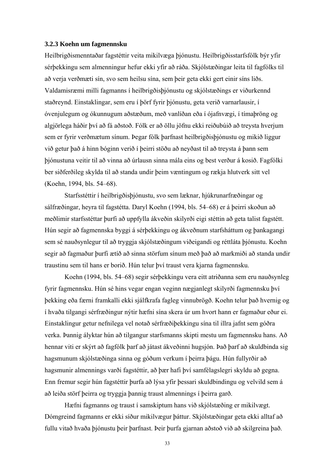#### **3.2.3 Koehn um fagmennsku**

Heilbrigðismenntaðar fagstéttir veita mikilvæga þjónustu. Heilbrigðisstarfsfólk býr yfir sérþekkingu sem almenningur hefur ekki yfir að ráða. Skjólstæðingar leita til fagfólks til að verja verðmæti sín, svo sem heilsu sína, sem þeir geta ekki gert einir síns liðs. Valdamisræmi milli fagmanns í heilbrigðisþjónustu og skjólstæðings er viðurkennd staðreynd. Einstaklingar, sem eru í þörf fyrir þjónustu, geta verið varnarlausir, í óvenjulegum og ókunnugum aðstæðum, með vanlíðan eða í ójafnvægi, í tímaþröng og algjörlega háðir því að fá aðstoð. Fólk er að öllu jöfnu ekki reiðubúið að treysta hverjum sem er fyrir verðmætum sínum. Þegar fólk þarfnast heilbrigðisþjónustu og mikið liggur við getur það á hinn bóginn verið í þeirri stöðu að neyðast til að treysta á þann sem þjónustuna veitir til að vinna að úrlausn sinna mála eins og best verður á kosið. Fagfólki ber siðferðileg skylda til að standa undir þeim væntingum og rækja hlutverk sitt vel (Koehn, 1994, bls. 54–68).

 Starfsstéttir í heilbrigðisþjónustu, svo sem læknar, hjúkrunarfræðingar og sálfræðingar, heyra til fagstétta. Daryl Koehn (1994, bls. 54–68) er á þeirri skoðun að meðlimir starfsstéttar þurfi að uppfylla ákveðin skilyrði eigi stéttin að geta talist fagstétt. Hún segir að fagmennska byggi á sérþekkingu og ákveðnum starfsháttum og þankagangi sem sé nauðsynlegur til að tryggja skjólstæðingum viðeigandi og réttláta þjónustu. Koehn segir að fagmaður þurfi ætíð að sinna störfum sínum með það að markmiði að standa undir traustinu sem til hans er borið. Hún telur því traust vera kjarna fagmennsku.

 Koehn (1994, bls. 54–68) segir sérþekkingu vera eitt atriðanna sem eru nauðsynleg fyrir fagmennsku. Hún sé hins vegar engan veginn nægjanlegt skilyrði fagmennsku því þekking eða færni framkalli ekki sjálfkrafa fagleg vinnubrögð. Koehn telur það hvernig og í hvaða tilgangi sérfræðingur nýtir hæfni sína skera úr um hvort hann er fagmaður eður ei. Einstaklingur getur nefnilega vel notað sérfræðiþekkingu sína til illra jafnt sem góðra verka. Þannig ályktar hún að tilgangur starfsmanns skipti mestu um fagmennsku hans. Að hennar viti er skýrt að fagfólk þarf að játast ákveðinni hugsjón. Það þarf að skuldbinda sig hagsmunum skjólstæðinga sinna og góðum verkum í þeirra þágu. Hún fullyrðir að hagsmunir almennings varði fagstéttir, að þær hafi því samfélagslegri skyldu að gegna. Enn fremur segir hún fagstéttir þurfa að lýsa yfir þessari skuldbindingu og velvild sem á að leiða störf þeirra og tryggja þannig traust almennings í þeirra garð.

 Hæfni fagmanns og traust í samskiptum hans við skjólstæðing er mikilvægt. Dómgreind fagmanns er ekki síður mikilvægur þáttur. Skjólstæðingar geta ekki alltaf að fullu vitað hvaða þjónustu þeir þarfnast. Þeir þurfa gjarnan aðstoð við að skilgreina það.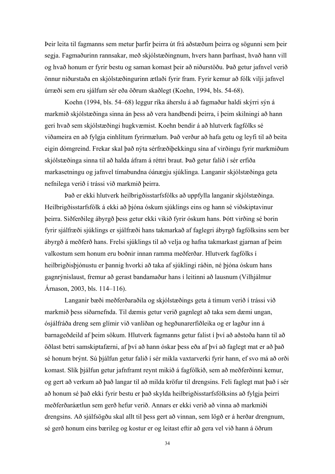Þeir leita til fagmanns sem metur þarfir þeirra út frá aðstæðum þeirra og sögunni sem þeir segja. Fagmaðurinn rannsakar, með skjólstæðingnum, hvers hann þarfnast, hvað hann vill og hvað honum er fyrir bestu og saman komast þeir að niðurstöðu. Það getur jafnvel verið önnur niðurstaða en skjólstæðingurinn ætlaði fyrir fram. Fyrir kemur að fólk vilji jafnvel úrræði sem eru sjálfum sér eða öðrum skaðlegt (Koehn, 1994, bls. 54-68).

 Koehn (1994, bls. 54–68) leggur ríka áherslu á að fagmaður haldi skýrri sýn á markmið skjólstæðinga sinna án þess að vera handbendi þeirra, í þeim skilningi að hann geri hvað sem skjólstæðingi hugkvæmist. Koehn bendir á að hlutverk fagfólks sé viðameira en að fylgja einhlítum fyrirmælum. Það verður að hafa getu og leyfi til að beita eigin dómgreind. Frekar skal það nýta sérfræðiþekkingu sína af virðingu fyrir markmiðum skjólstæðinga sinna til að halda áfram á réttri braut. Það getur falið í sér erfiða markasetningu og jafnvel tímabundna óánægju sjúklinga. Langanir skjólstæðinga geta nefnilega verið í trássi við markmið þeirra.

 Það er ekki hlutverk heilbrigðisstarfsfólks að uppfylla langanir skjólstæðinga. Heilbrigðisstarfsfólk á ekki að þjóna óskum sjúklings eins og hann sé viðskiptavinur þeirra. Siðferðileg ábyrgð þess getur ekki vikið fyrir óskum hans. Þótt virðing sé borin fyrir sjálfræði sjúklings er sjálfræði hans takmarkað af faglegri ábyrgð fagfólksins sem ber ábyrgð á meðferð hans. Frelsi sjúklings til að velja og hafna takmarkast gjarnan af þeim valkostum sem honum eru boðnir innan ramma meðferðar. Hlutverk fagfólks í heilbrigðisþjónustu er þannig hvorki að taka af sjúklingi ráðin, né þjóna óskum hans gagnrýnislaust, fremur að gerast bandamaður hans í leitinni að lausnum (Vilhjálmur Árnason, 2003, bls. 114–116).

 Langanir bæði meðferðaraðila og skjólstæðings geta á tímum verið í trássi við markmið þess síðarnefnda. Til dæmis getur verið gagnlegt að taka sem dæmi ungan, ósjálfráða dreng sem glímir við vanlíðan og hegðunarerfiðleika og er lagður inn á barnageðdeild af þeim sökum. Hlutverk fagmanns getur falist í því að aðstoða hann til að öðlast betri samskiptafærni, af því að hann óskar þess eða af því að faglegt mat er að það sé honum brýnt. Sú þjálfun getur falið í sér mikla vaxtarverki fyrir hann, ef svo má að orði komast. Slík þjálfun getur jafnframt reynt mikið á fagfólkið, sem að meðferðinni kemur, og gert að verkum að það langar til að milda kröfur til drengsins. Feli faglegt mat það í sér að honum sé það ekki fyrir bestu er það skylda heilbrigðisstarfsfólksins að fylgja þeirri meðferðaráætlun sem gerð hefur verið. Annars er ekki verið að vinna að markmiði drengsins. Að sjálfsögðu skal allt til þess gert að vinnan, sem lögð er á herðar drengnum, sé gerð honum eins bærileg og kostur er og leitast eftir að gera vel við hann á öðrum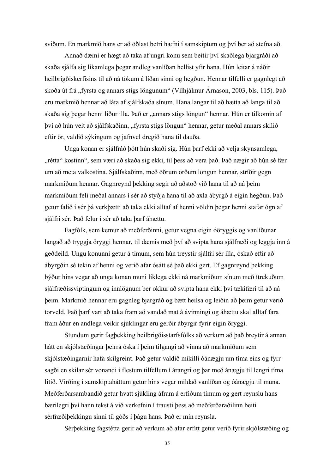sviðum. En markmið hans er að öðlast betri hæfni í samskiptum og því ber að stefna að.

 Annað dæmi er hægt að taka af ungri konu sem beitir því skaðlega bjargráði að skaða sjálfa sig líkamlega þegar andleg vanlíðan hellist yfir hana. Hún leitar á náðir heilbrigðiskerfisins til að ná tökum á líðan sinni og hegðun. Hennar tilfelli er gagnlegt að skoða út frá "fyrsta og annars stigs löngunum" (Vilhjálmur Árnason, 2003, bls. 115). Það eru markmið hennar að láta af sjálfskaða sínum. Hana langar til að hætta að langa til að skaða sig þegar henni líður illa. Það er "annars stigs löngun" hennar. Hún er tilkomin af því að hún veit að sjálfskaðinn, "fyrsta stigs löngun" hennar, getur meðal annars skilið eftir ör, valdið sýkingum og jafnvel dregið hana til dauða.

 Unga konan er sjálfráð þótt hún skaði sig. Hún þarf ekki að velja skynsamlega, "rétta" kostinn", sem væri að skaða sig ekki, til þess að vera það. Það nægir að hún sé fær um að meta valkostina. Sjálfskaðinn, með öðrum orðum löngun hennar, stríðir gegn markmiðum hennar. Gagnreynd þekking segir að aðstoð við hana til að ná þeim markmiðum feli meðal annars í sér að styðja hana til að axla ábyrgð á eigin hegðun. Það getur falið í sér þá verkþætti að taka ekki alltaf af henni völdin þegar henni stafar ógn af sjálfri sér. Það felur í sér að taka þarf áhættu.

 Fagfólk, sem kemur að meðferðinni, getur vegna eigin óöryggis og vanlíðunar langað að tryggja öryggi hennar, til dæmis með því að svipta hana sjálfræði og leggja inn á geðdeild. Ungu konunni getur á tímum, sem hún treystir sjálfri sér illa, óskað eftir að ábyrgðin sé tekin af henni og verið afar ósátt sé það ekki gert. Ef gagnreynd þekking býður hins vegar að unga konan muni líklega ekki ná markmiðum sínum með ítrekuðum sjálfræðissviptingum og innlögnum ber okkur að svipta hana ekki því tækifæri til að ná þeim. Markmið hennar eru gagnleg bjargráð og bætt heilsa og leiðin að þeim getur verið torveld. Það þarf vart að taka fram að vandað mat á ávinningi og áhættu skal alltaf fara fram áður en andlega veikir sjúklingar eru gerðir ábyrgir fyrir eigin öryggi.

 Stundum gerir fagþekking heilbrigðisstarfsfólks að verkum að það breytir á annan hátt en skjólstæðingar þeirra óska í þeim tilgangi að vinna að markmiðum sem skjólstæðingarnir hafa skilgreint. Það getur valdið mikilli óánægju um tíma eins og fyrr sagði en skilar sér vonandi í flestum tilfellum í árangri og þar með ánægju til lengri tíma litið. Virðing í samskiptaháttum getur hins vegar mildað vanlíðan og óánægju til muna. Meðferðarsambandið getur hvatt sjúkling áfram á erfiðum tímum og gert reynslu hans bærilegri því hann tekst á við verkefnin í trausti þess að meðferðaraðilinn beiti sérfræðiþekkingu sinni til góðs í þágu hans. Það er mín reynsla.

Sérþekking fagstétta gerir að verkum að afar erfitt getur verið fyrir skjólstæðing og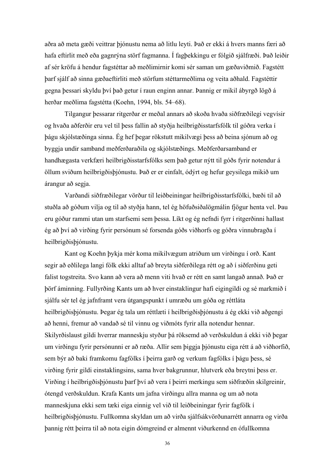aðra að meta gæði veittrar þjónustu nema að litlu leyti. Það er ekki á hvers manns færi að hafa eftirlit með eða gagnrýna störf fagmanna. Í fagþekkingu er fólgið sjálfræði. Það leiðir af sér kröfu á hendur fagstéttar að meðlimirnir komi sér saman um gæðaviðmið. Fagstétt þarf sjálf að sinna gæðaeftirliti með störfum stéttarmeðlima og veita aðhald. Fagstéttir gegna þessari skyldu því það getur í raun enginn annar. Þannig er mikil ábyrgð lögð á herðar meðlima fagstétta (Koehn, 1994, bls. 54–68).

 Tilgangur þessarar ritgerðar er meðal annars að skoða hvaða siðfræðilegi vegvísir og hvaða aðferðir eru vel til þess fallin að styðja heilbrigðisstarfsfólk til góðra verka í þágu skjólstæðinga sinna. Ég hef þegar rökstutt mikilvægi þess að beina sjónum að og byggja undir samband meðferðaraðila og skjólstæðings. Meðferðarsamband er handhægasta verkfæri heilbrigðisstarfsfólks sem það getur nýtt til góðs fyrir notendur á öllum sviðum heilbrigðisþjónustu. Það er er einfalt, ódýrt og hefur geysilega mikið um árangur að segja.

 Varðandi siðfræðilegar vörður til leiðbeiningar heilbrigðisstarfsfólki, bæði til að stuðla að góðum vilja og til að styðja hann, tel ég höfuðsiðalögmálin fjögur henta vel. Þau eru góður rammi utan um starfsemi sem þessa. Líkt og ég nefndi fyrr í ritgerðinni hallast ég að því að virðing fyrir persónum sé forsenda góðs viðhorfs og góðra vinnubragða í heilbrigðisþjónustu.

 Kant og Koehn þykja mér koma mikilvægum atriðum um virðingu í orð. Kant segir að eðlilega langi fólk ekki alltaf að breyta siðferðilega rétt og að í siðferðinu geti falist togstreita. Svo kann að vera að menn viti hvað er rétt en samt langað annað. Það er þörf áminning. Fullyrðing Kants um að hver einstaklingur hafi eigingildi og sé markmið í sjálfu sér tel ég jafnframt vera útgangspunkt í umræðu um góða og réttláta heilbrigðisþjónustu. Þegar ég tala um réttlæti í heilbrigðisþjónustu á ég ekki við aðgengi að henni, fremur að vandað sé til vinnu og viðmóts fyrir alla notendur hennar. Skilyrðislaust gildi hverrar manneskju styður þá röksemd að verðskuldun á ekki við þegar um virðingu fyrir persónunni er að ræða. Allir sem þiggja þjónustu eiga rétt á að viðhorfið, sem býr að baki framkomu fagfólks í þeirra garð og verkum fagfólks í þágu þess, sé virðing fyrir gildi einstaklingsins, sama hver bakgrunnur, hlutverk eða breytni þess er. Virðing í heilbrigðisþjónustu þarf því að vera í þeirri merkingu sem siðfræðin skilgreinir, ótengd verðskuldun. Krafa Kants um jafna virðingu allra manna og um að nota manneskjuna ekki sem tæki eiga einnig vel við til leiðbeiningar fyrir fagfólk í heilbrigðisþjónustu. Fullkomna skyldan um að virða sjálfsákvörðunarrétt annarra og virða þannig rétt þeirra til að nota eigin dómgreind er almennt viðurkennd en ófullkomna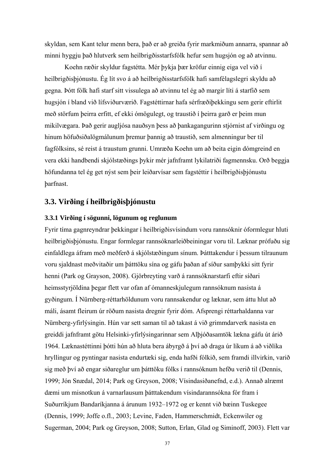skyldan, sem Kant telur menn bera, það er að greiða fyrir markmiðum annarra, spannar að minni hyggju það hlutverk sem heilbrigðisstarfsfólk hefur sem hugsjón og að atvinnu.

 Koehn ræðir skyldur fagstétta. Mér þykja þær kröfur einnig eiga vel við í heilbrigðisþjónustu. Ég lít svo á að heilbrigðisstarfsfólk hafi samfélagslegri skyldu að gegna. Þótt fólk hafi starf sitt vissulega að atvinnu tel ég að margir líti á starfið sem hugsjón í bland við lífsviðurværið. Fagstéttirnar hafa sérfræðiþekkingu sem gerir eftirlit með störfum þeirra erfitt, ef ekki ómögulegt, og traustið í þeirra garð er þeim mun mikilvægara. Það gerir augljósa nauðsyn þess að þankagangurinn stjórnist af virðingu og hinum höfuðsiðalögmálunum þremur þannig að traustið, sem almenningur ber til fagfólksins, sé reist á traustum grunni. Umræða Koehn um að beita eigin dómgreind en vera ekki handbendi skjólstæðings þykir mér jafnframt lykilatriði fagmennsku. Orð beggja höfundanna tel ég get nýst sem þeir leiðarvísar sem fagstéttir í heilbrigðisþjónustu þarfnast.

## **3.3. Virðing í heilbrigðisþjónustu**

#### **3.3.1 Virðing í sögunni, lögunum og reglunum**

Fyrir tíma gagnreyndrar þekkingar í heilbrigðisvísindum voru rannsóknir óformlegur hluti heilbrigðisþjónustu. Engar formlegar rannsóknarleiðbeiningar voru til. Læknar prófuðu sig einfaldlega áfram með meðferð á skjólstæðingum sínum. Þátttakendur í þessum tilraunum voru sjaldnast meðvitaðir um þátttöku sína og gáfu þaðan af síður samþykki sitt fyrir henni (Park og Grayson, 2008). Gjörbreyting varð á rannsóknarstarfi eftir síðari heimsstyrjöldina þegar flett var ofan af ómanneskjulegum rannsóknum nasista á gyðingum. Í Nürnberg-réttarhöldunum voru rannsakendur og læknar, sem áttu hlut að máli, ásamt fleirum úr röðum nasista dregnir fyrir dóm. Afsprengi réttarhaldanna var Nürnberg-yfirlýsingin. Hún var sett saman til að takast á við grimmdarverk nasista en greiddi jafnframt götu Helsinki-yfirlýsingarinnar sem Alþjóðasamtök lækna gáfu út árið 1964. Læknastéttinni þótti hún að hluta bera ábyrgð á því að draga úr líkum á að viðlíka hryllingur og pyntingar nasista endurtæki sig, enda hafði fólkið, sem framdi illvirkin, varið sig með því að engar siðareglur um þátttöku fólks í rannsóknum hefðu verið til (Dennis, 1999; Jón Snædal, 2014; Park og Greyson, 2008; Vísindasiðanefnd, e.d.). Annað alræmt dæmi um misnotkun á varnarlausum þátttakendum vísindarannsókna fór fram í Suðurríkjum Bandaríkjanna á árunum 1932–1972 og er kennt við bæinn Tuskegee (Dennis, 1999; Joffe o.fl., 2003; Levine, Faden, Hammerschmidt, Eckenwiler og Sugerman, 2004; Park og Greyson, 2008; Sutton, Erlan, Glad og Siminoff, 2003). Flett var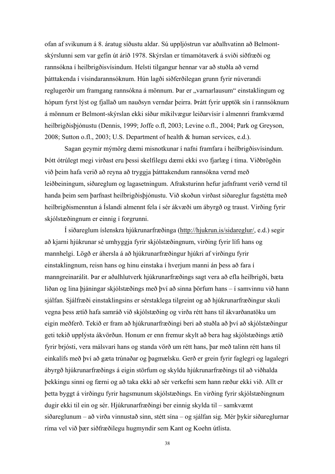ofan af svikunum á 8. áratug síðustu aldar. Sú uppljóstrun var aðalhvatinn að Belmontskýrslunni sem var gefin út árið 1978. Skýrslan er tímamótaverk á sviði siðfræði og rannsókna í heilbrigðisvísindum. Helsti tilgangur hennar var að stuðla að vernd þátttakenda í vísindarannsóknum. Hún lagði siðferðilegan grunn fyrir núverandi reglugerðir um framgang rannsókna á mönnum. Þar er "varnarlausum" einstaklingum og hópum fyrst lýst og fjallað um nauðsyn verndar þeirra. Þrátt fyrir upptök sín í rannsóknum á mönnum er Belmont-skýrslan ekki síður mikilvægur leiðarvísir í almennri framkvæmd heilbrigðisþjónustu (Dennis, 1999; Joffe o.fl, 2003; Levine o.fl., 2004; Park og Greyson, 2008; Sutton o.fl., 2003; U.S. Department of health & human services, e.d.).

 Sagan geymir mýmörg dæmi misnotkunar í nafni framfara í heilbrigðisvísindum. Þótt ótrúlegt megi virðast eru þessi skelfilegu dæmi ekki svo fjarlæg í tíma. Viðbrögðin við þeim hafa verið að reyna að tryggja þátttakendum rannsókna vernd með leiðbeiningum, siðareglum og lagasetningum. Afraksturinn hefur jafnframt verið vernd til handa þeim sem þarfnast heilbrigðisþjónustu. Við skoðun virðast siðareglur fagstétta með heilbrigðismenntun á Íslandi almennt fela í sér ákvæði um ábyrgð og traust. Virðing fyrir skjólstæðingnum er einnig í forgrunni.

 Í siðareglum íslenskra hjúkrunarfræðinga (http://hjukrun.is/sidareglur/, e.d.) segir að kjarni hjúkrunar sé umhyggja fyrir skjólstæðingnum, virðing fyrir lífi hans og mannhelgi. Lögð er áhersla á að hjúkrunarfræðingur hjúkri af virðingu fyrir einstaklingnum, reisn hans og hinu einstaka í hverjum manni án þess að fara í manngreinarálit. Þar er aðalhlutverk hjúkrunarfræðings sagt vera að efla heilbrigði, bæta líðan og lina þjáningar skjólstæðings með því að sinna þörfum hans – í samvinnu við hann sjálfan. Sjálfræði einstaklingsins er sérstaklega tilgreint og að hjúkrunarfræðingur skuli vegna þess ætíð hafa samráð við skjólstæðing og virða rétt hans til ákvarðanatöku um eigin meðferð. Tekið er fram að hjúkrunarfræðingi beri að stuðla að því að skjólstæðingur geti tekið upplýsta ákvörðun. Honum er enn fremur skylt að bera hag skjólstæðings ætíð fyrir brjósti, vera málsvari hans og standa vörð um rétt hans, þar með talinn rétt hans til einkalífs með því að gæta trúnaðar og þagmælsku. Gerð er grein fyrir faglegri og lagalegri ábyrgð hjúkrunarfræðings á eigin störfum og skyldu hjúkrunarfræðings til að viðhalda þekkingu sinni og færni og að taka ekki að sér verkefni sem hann ræður ekki við. Allt er þetta byggt á virðingu fyrir hagsmunum skjólstæðings. En virðing fyrir skjólstæðingnum dugir ekki til ein og sér. Hjúkrunarfræðingi ber einnig skylda til – samkvæmt siðareglunum – að virða vinnustað sinn, stétt sína – og sjálfan sig. Mér þykir siðareglurnar ríma vel við þær siðfræðilegu hugmyndir sem Kant og Koehn útlista.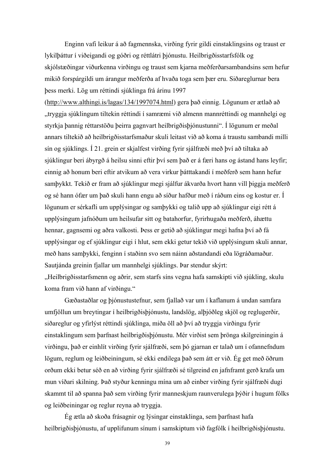Enginn vafi leikur á að fagmennska, virðing fyrir gildi einstaklingsins og traust er lykilþáttur í viðeigandi og góðri og réttlátri þjónustu. Heilbrigðisstarfsfólk og skjólstæðingar viðurkenna virðingu og traust sem kjarna meðferðarsambandsins sem hefur mikið forspárgildi um árangur meðferða af hvaða toga sem þær eru. Siðareglurnar bera þess merki. Lög um réttindi sjúklinga frá árinu 1997

(http://www.althingi.is/lagas/134/1997074.html) gera það einnig. Lögunum er ætlað að "tryggja sjúklingum tiltekin réttindi í samræmi við almenn mannréttindi og mannhelgi og styrkja þannig réttarstöðu þeirra gagnvart heilbrigðisþjónustunni". Í lögunum er meðal annars tiltekið að heilbrigðisstarfsmaður skuli leitast við að koma á traustu sambandi milli sín og sjúklings. Í 21. grein er skjalfest virðing fyrir sjálfræði með því að tiltaka að sjúklingur beri ábyrgð á heilsu sinni eftir því sem það er á færi hans og ástand hans leyfir; einnig að honum beri eftir atvikum að vera virkur þátttakandi í meðferð sem hann hefur samþykkt. Tekið er fram að sjúklingur megi sjálfur ákvarða hvort hann vill þiggja meðferð og sé hann ófær um það skuli hann engu að síður hafður með í ráðum eins og kostur er. Í lögunum er sérkafli um upplýsingar og samþykki og talið upp að sjúklingur eigi rétt á upplýsingum jafnóðum um heilsufar sitt og batahorfur, fyrirhugaða meðferð, áhættu hennar, gagnsemi og aðra valkosti. Þess er getið að sjúklingur megi hafna því að fá upplýsingar og ef sjúklingur eigi í hlut, sem ekki getur tekið við upplýsingum skuli annar, með hans samþykki, fenginn í staðinn svo sem náinn aðstandandi eða lögráðamaður. Sautjánda greinin fjallar um mannhelgi sjúklings. Þar stendur skýrt: "Heilbrigðisstarfsmenn og aðrir, sem starfs síns vegna hafa samskipti við sjúkling, skulu koma fram við hann af virðingu."

 Gæðastaðlar og þjónustustefnur, sem fjallað var um í kaflanum á undan samfara umfjöllun um breytingar í heilbrigðisþjónustu, landslög, alþjóðleg skjöl og reglugerðir, siðareglur og yfirlýst réttindi sjúklinga, miða öll að því að tryggja virðingu fyrir einstaklingum sem þarfnast heilbrigðisþjónustu. Mér virðist sem þrönga skilgreiningin á virðingu, það er einhlít virðing fyrir sjálfræði, sem þó gjarnan er talað um í ofannefndum lögum, reglum og leiðbeiningum, sé ekki endilega það sem átt er við. Ég get með öðrum orðum ekki betur séð en að virðing fyrir sjálfræði sé tilgreind en jafnframt gerð krafa um mun víðari skilning. Það styður kenningu mína um að einber virðing fyrir sjálfræði dugi skammt til að spanna það sem virðing fyrir manneskjum raunverulega þýðir í hugum fólks og leiðbeiningar og reglur reyna að tryggja.

 Ég ætla að skoða frásagnir og lýsingar einstaklinga, sem þarfnast hafa heilbrigðisþjónustu, af upplifunum sínum í samskiptum við fagfólk í heilbrigðisþjónustu.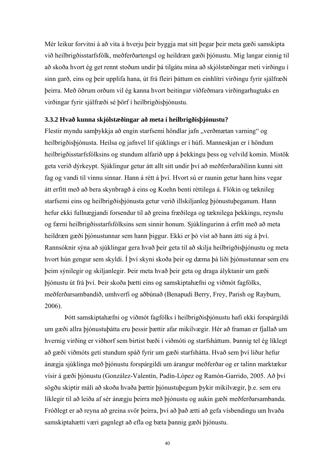Mér leikur forvitni á að vita á hverju þeir byggja mat sitt þegar þeir meta gæði samskipta við heilbrigðisstarfsfólk, meðferðartengsl og heildræn gæði þjónustu. Mig langar einnig til að skoða hvort ég get rennt stoðum undir þá tilgátu mína að skjólstæðingar meti virðingu í sinn garð, eins og þeir upplifa hana, út frá fleiri þáttum en einhlítri virðingu fyrir sjálfræði þeirra. Með öðrum orðum vil ég kanna hvort beitingar víðfeðmara virðingarhugtaks en virðingar fyrir sjálfræði sé þörf í heilbrigðisþjónustu.

#### **3.3.2 Hvað kunna skjólstæðingar að meta í heilbrigðisþjónustu?**

Flestir myndu sambykkja að engin starfsemi höndlar jafn "verðmætan varning" og heilbrigðisþjónusta. Heilsa og jafnvel líf sjúklings er í húfi. Manneskjan er í höndum heilbrigðisstarfsfólksins og stundum alfarið upp á þekkingu þess og velvild komin. Mistök geta verið dýrkeypt. Sjúklingur getur átt allt sitt undir því að meðferðaraðilinn kunni sitt fag og vandi til vinnu sinnar. Hann á rétt á því. Hvort sú er raunin getur hann hins vegar átt erfitt með að bera skynbragð á eins og Koehn benti réttilega á. Flókin og tæknileg starfsemi eins og heilbrigðisþjónusta getur verið illskiljanleg þjónustuþeganum. Hann hefur ekki fullnægjandi forsendur til að greina fræðilega og tæknilega þekkingu, reynslu og færni heilbrigðisstarfsfólksins sem sinnir honum. Sjúklingurinn á erfitt með að meta heildræn gæði þjónustunnar sem hann þiggur. Ekki er þó víst að hann átti sig á því. Rannsóknir sýna að sjúklingar gera hvað þeir geta til að skilja heilbrigðisþjónustu og meta hvort hún gengur sem skyldi. Í því skyni skoða þeir og dæma þá liði þjónustunnar sem eru þeim sýnilegir og skiljanlegir. Þeir meta hvað þeir geta og draga ályktanir um gæði þjónustu út frá því. Þeir skoða þætti eins og samskiptahæfni og viðmót fagfólks, meðferðarsambandið, umhverfi og aðbúnað (Benapudi Berry, Frey, Parish og Rayburn, 2006).

 Þótt samskiptahæfni og viðmót fagfólks í heilbrigðisþjónustu hafi ekki forspárgildi um gæði allra þjónustuþátta eru þessir þættir afar mikilvægir. Hér að framan er fjallað um hvernig virðing er viðhorf sem birtist bæði í viðmóti og starfsháttum. Þannig tel ég líklegt að gæði viðmóts geti stundum spáð fyrir um gæði starfshátta. Hvað sem því líður hefur ánægja sjúklinga með þjónustu forspárgildi um árangur meðferðar og er talinn marktækur vísir á gæði þjónustu (González-Valentín, Padín-López og Ramón-Garrido, 2005. Að því sögðu skiptir máli að skoða hvaða þættir þjónustuþegum þykir mikilvægir, þ.e. sem eru líklegir til að leiða af sér ánægju þeirra með þjónustu og aukin gæði meðferðarsambanda. Fróðlegt er að reyna að greina svör þeirra, því að það ætti að gefa vísbendingu um hvaða samskiptahætti væri gagnlegt að efla og bæta þannig gæði þjónustu.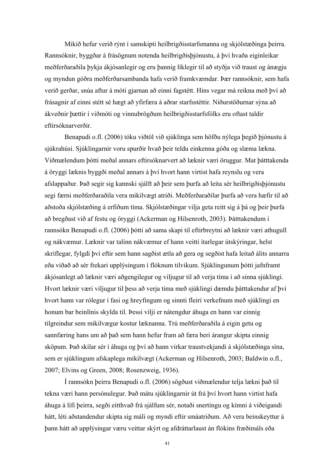Mikið hefur verið rýnt í samskipti heilbrigðisstarfsmanna og skjólstæðinga þeirra. Rannsóknir, byggðar á frásögnum notenda heilbrigðisþjónustu, á því hvaða eiginleikar meðferðaraðila þykja ákjósanlegir og eru þannig líklegir til að styðja við traust og ánægju og myndun góðra meðferðarsambanda hafa verið framkvæmdar. Þær rannsóknir, sem hafa verið gerðar, snúa aftur á móti gjarnan að einni fagstétt. Hins vegar má reikna með því að frásagnir af einni stétt sé hægt að yfirfæra á aðrar starfsstéttir. Niðurstöðurnar sýna að ákveðnir þættir í viðmóti og vinnubrögðum heilbrigðisstarfsfólks eru oftast taldir eftirsóknarverðir.

 Benapudi o.fl. (2006) tóku viðtöl við sjúklinga sem höfðu nýlega þegið þjónustu á sjúkrahúsi. Sjúklingarnir voru spurðir hvað þeir teldu einkenna góða og slæma lækna. Viðmælendum þótti meðal annars eftirsóknarvert að læknir væri öruggur. Mat þátttakenda á öryggi læknis byggði meðal annars á því hvort hann virtist hafa reynslu og vera afslappaður. Það segir sig kannski sjálft að þeir sem þurfa að leita sér heilbrigðisþjónustu segi færni meðferðaraðila vera mikilvægt atriði. Meðferðaraðilar þurfa að vera hæfir til að aðstoða skjólstæðing á erfiðum tíma. Skjólstæðingar vilja geta reitt sig á þá og þeir þurfa að bregðast við af festu og öryggi (Ackerman og Hilsenroth, 2003). Þátttakendum í rannsókn Benapudi o.fl. (2006) þótti að sama skapi til eftirbreytni að læknir væri athugull og nákvæmur. Læknir var talinn nákvæmur ef hann veitti ítarlegar útskýringar, helst skriflegar, fylgdi því eftir sem hann sagðist ætla að gera og segðist hafa leitað álits annarra eða viðað að sér frekari upplýsingum í flóknum tilvikum. Sjúklingunum þótti jafnframt ákjósanlegt að læknir væri aðgengilegur og viljugur til að verja tíma í að sinna sjúklingi. Hvort læknir væri viljugur til þess að verja tíma með sjúklingi dæmdu þátttakendur af því hvort hann var rólegur í fasi og hreyfingum og sinnti fleiri verkefnum með sjúklingi en honum bar beinlínis skylda til. Þessi vilji er nátengdur áhuga en hann var einnig tilgreindur sem mikilvægur kostur læknanna. Trú meðferðaraðila á eigin getu og sannfæring hans um að það sem hann hefur fram að færa beri árangur skipta einnig sköpum. Það skilar sér í áhuga og því að hann virkar traustvekjandi á skjólstæðinga sína, sem er sjúklingum afskaplega mikilvægt (Ackerman og Hilsenroth, 2003; Baldwin o.fl., 2007; Elvins og Green, 2008; Rosenzweig, 1936).

 Í rannsókn þeirra Benapudi o.fl. (2006) sögðust viðmælendur telja lækni það til tekna væri hann persónulegur. Það mátu sjúklingarnir út frá því hvort hann virtist hafa áhuga á lífi þeirra, segði eitthvað frá sjálfum sér, notaði snertingu og kímni á viðeigandi hátt, léti aðstandendur skipta sig máli og myndi eftir smáatriðum. Að vera beinskeyttur á þann hátt að upplýsingar væru veittar skýrt og afdráttarlaust án flókins fræðimáls eða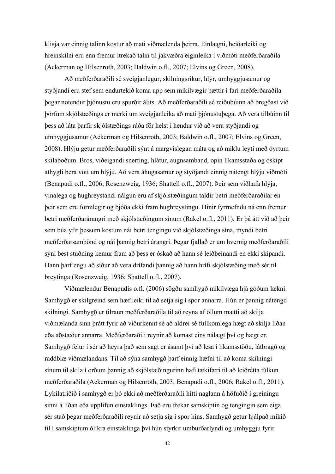klisja var einnig talinn kostur að mati viðmælenda þeirra. Einlægni, heiðarleiki og hreinskilni eru enn fremur ítrekað talin til jákvæðra eiginleika í viðmóti meðferðaraðila (Ackerman og Hilsenroth, 2003; Baldwin o.fl., 2007; Elvins og Green, 2008).

 Að meðferðaraðili sé sveigjanlegur, skilningsríkur, hlýr, umhyggjusamur og styðjandi eru stef sem endurtekið koma upp sem mikilvægir þættir í fari meðferðaraðila þegar notendur þjónustu eru spurðir álits. Að meðferðaraðili sé reiðubúinn að bregðast við þörfum skjólstæðings er merki um sveigjanleika að mati þjónustuþega. Að vera tilbúinn til þess að láta þarfir skjólstæðings ráða för helst í hendur við að vera styðjandi og umhyggjusamur (Ackerman og Hilsenroth, 2003; Baldwin o.fl., 2007; Elvins og Green, 2008). Hlýju getur meðferðaraðili sýnt á margvíslegan máta og að miklu leyti með óyrtum skilaboðum. Bros, viðeigandi snerting, hlátur, augnsamband, opin líkamsstaða og óskipt athygli bera vott um hlýju. Að vera áhugasamur og styðjandi einnig nátengt hlýju viðmóti (Benapudi o.fl., 2006; Rosenzweig, 1936; Shattell o.fl., 2007). Þeir sem viðhafa hlýja, vinalega og hughreystandi nálgun eru af skjólstæðingum taldir betri meðferðaraðilar en þeir sem eru formlegir og bjóða ekki fram hughreystingu. Hinir fyrrnefndu ná enn fremur betri meðferðarárangri með skjólstæðingum sínum (Rakel o.fl., 2011). Er þá átt við að þeir sem búa yfir þessum kostum nái betri tengingu við skjólstæðinga sína, myndi betri meðferðarsambönd og nái þannig betri árangri. Þegar fjallað er um hvernig meðferðaraðili sýni best stuðning kemur fram að þess er óskað að hann sé leiðbeinandi en ekki skipandi. Hann þarf engu að síður að vera drífandi þannig að hann hrífi skjólstæðing með sér til breytinga (Rosenzweig, 1936; Shattell o.fl., 2007).

 Viðmælendur Benapudis o.fl. (2006) sögðu samhygð mikilvæga hjá góðum lækni. Samhygð er skilgreind sem hæfileiki til að setja sig í spor annarra. Hún er þannig nátengd skilningi. Samhygð er tilraun meðferðaraðila til að reyna af öllum mætti að skilja viðmælanda sinn þrátt fyrir að viðurkennt sé að aldrei sé fullkomlega hægt að skilja líðan eða aðstæður annarra. Meðferðaraðili reynir að komast eins nálægt því og hægt er. Samhygð felur í sér að heyra það sem sagt er ásamt því að lesa í líkamsstöðu, látbragð og raddblæ viðmælandans. Til að sýna samhygð þarf einnig hæfni til að koma skilningi sínum til skila í orðum þannig að skjólstæðingurinn hafi tækifæri til að leiðrétta túlkun meðferðaraðila (Ackerman og Hilsenroth, 2003; Benapudi o.fl., 2006; Rakel o.fl., 2011). Lykilatriðið í samhygð er þó ekki að meðferðaraðili hitti naglann á höfuðið í greiningu sinni á líðan eða upplifun einstaklings. Það eru frekar samskiptin og tengingin sem eiga sér stað þegar meðferðaraðili reynir að setja sig í spor hins. Samhygð getur hjálpað mikið til í samskiptum ólíkra einstaklinga því hún styrkir umburðarlyndi og umhyggju fyrir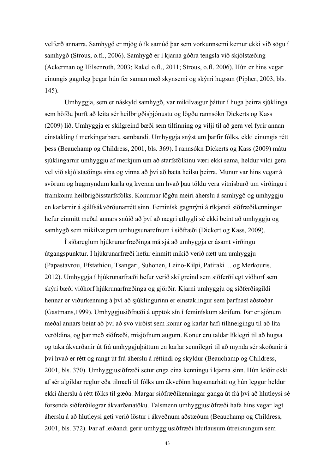velferð annarra. Samhygð er mjög ólík samúð þar sem vorkunnsemi kemur ekki við sögu í samhygð (Strous, o.fl., 2006). Samhygð er í kjarna góðra tengsla við skjólstæðing (Ackerman og Hilsenroth, 2003; Rakel o.fl., 2011; Strous, o.fl. 2006). Hún er hins vegar einungis gagnleg þegar hún fer saman með skynsemi og skýrri hugsun (Pipher, 2003, bls. 145).

 Umhyggja, sem er náskyld samhygð, var mikilvægur þáttur í huga þeirra sjúklinga sem höfðu þurft að leita sér heilbrigðisþjónustu og lögðu rannsókn Dickerts og Kass (2009) lið. Umhyggja er skilgreind bæði sem tilfinning og vilji til að gera vel fyrir annan einstakling í merkingarbæru sambandi. Umhyggja snýst um þarfir fólks, ekki einungis rétt þess (Beauchamp og Childress, 2001, bls. 369). Í rannsókn Dickerts og Kass (2009) mátu sjúklingarnir umhyggju af merkjum um að starfsfólkinu væri ekki sama, heldur vildi gera vel við skjólstæðinga sína og vinna að því að bæta heilsu þeirra. Munur var hins vegar á svörum og hugmyndum karla og kvenna um hvað þau töldu vera vitnisburð um virðingu í framkomu heilbrigðisstarfsfólks. Konurnar lögðu meiri áherslu á samhygð og umhyggju en karlarnir á sjálfsákvörðunarrétt sinn. Feminísk gagnrýni á ríkjandi siðfræðikenningar hefur einmitt meðal annars snúið að því að nægri athygli sé ekki beint að umhyggju og samhygð sem mikilvægum umhugsunarefnum í siðfræði (Dickert og Kass, 2009).

 Í siðareglum hjúkrunarfræðinga má sjá að umhyggja er ásamt virðingu útgangspunktur. Í hjúkrunarfræði hefur einmitt mikið verið rætt um umhyggju (Papastavrou, Efstathiou, Tsangari, Suhonen, Leino-Kilpi, Patiraki ... og Merkouris, 2012). Umhyggja í hjúkrunarfræði hefur verið skilgreind sem siðferðilegt viðhorf sem skýri bæði viðhorf hjúkrunarfræðinga og gjörðir. Kjarni umhyggju og siðferðisgildi hennar er viðurkenning á því að sjúklingurinn er einstaklingur sem þarfnast aðstoðar (Gastmans,1999). Umhyggjusiðfræði á upptök sín í feminískum skrifum. Þar er sjónum meðal annars beint að því að svo virðist sem konur og karlar hafi tilhneigingu til að líta veröldina, og þar með siðfræði, misjöfnum augum. Konur eru taldar líklegri til að hugsa og taka ákvarðanir út frá umhyggjuþáttum en karlar sennilegri til að mynda sér skoðanir á því hvað er rétt og rangt út frá áherslu á réttindi og skyldur (Beauchamp og Childress, 2001, bls. 370). Umhyggjusiðfræði setur enga eina kenningu í kjarna sinn. Hún leiðir ekki af sér algildar reglur eða tilmæli til fólks um ákveðinn hugsunarhátt og hún leggur heldur ekki áherslu á rétt fólks til gæða. Margar siðfræðikenningar ganga út frá því að hlutleysi sé forsenda siðferðilegrar ákvarðanatöku. Talsmenn umhyggjusiðfræði hafa hins vegar lagt áherslu á að hlutleysi geti verið löstur í ákveðnum aðstæðum (Beauchamp og Childress, 2001, bls. 372). Þar af leiðandi gerir umhyggjusiðfræði hlutlausum útreikningum sem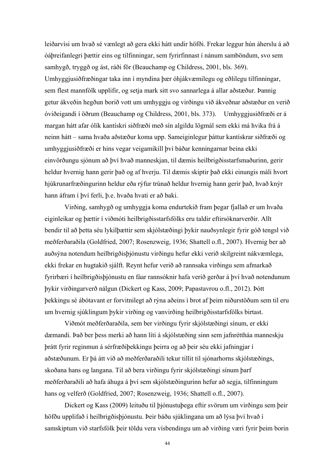leiðarvísi um hvað sé vænlegt að gera ekki hátt undir höfði. Frekar leggur hún áherslu á að óáþreifanlegri þættir eins og tilfinningar, sem fyrirfinnast í nánum samböndum, svo sem samhygð, tryggð og ást, ráði för (Beauchamp og Childress, 2001, bls. 369). Umhyggjusiðfræðingar taka inn í myndina þær óhjákvæmilegu og eðlilegu tilfinningar, sem flest mannfólk upplifir, og setja mark sitt svo sannarlega á allar aðstæður. Þannig getur ákveðin hegðun borið vott um umhyggju og virðingu við ákveðnar aðstæður en verið óviðeigandi í öðrum (Beauchamp og Childress, 2001, bls. 373). Umhyggjusiðfræði er á margan hátt afar ólík kantískri siðfræði með sín algildu lögmál sem ekki má hvika frá á neinn hátt – sama hvaða aðstæður koma upp. Sameiginlegur þáttur kantískrar siðfræði og umhyggjusiðfræði er hins vegar veigamikill því báðar kenningarnar beina ekki einvörðungu sjónum að því hvað manneskjan, til dæmis heilbrigðisstarfsmaðurinn, gerir heldur hvernig hann gerir það og af hverju. Til dæmis skiptir það ekki einungis máli hvort hjúkrunarfræðingurinn heldur eða rýfur trúnað heldur hvernig hann gerir það, hvað knýr hann áfram í því ferli, þ.e. hvaða hvati er að baki.

 Virðing, samhygð og umhyggja koma endurtekið fram þegar fjallað er um hvaða eiginleikar og þættir í viðmóti heilbrigðisstarfsfólks eru taldir eftirsóknarverðir. Allt bendir til að þetta séu lykilþættir sem skjólstæðingi þykir nauðsynlegir fyrir góð tengsl við meðferðaraðila (Goldfried, 2007; Rosenzweig, 1936; Shattell o.fl., 2007). Hvernig ber að auðsýna notendum heilbrigðisþjónustu virðingu hefur ekki verið skilgreint nákvæmlega, ekki frekar en hugtakið sjálft. Reynt hefur verið að rannsaka virðingu sem afmarkað fyrirbæri í heilbrigðisþjónustu en fáar rannsóknir hafa verið gerðar á því hvað notendunum þykir virðingarverð nálgun (Dickert og Kass, 2009; Papastavrou o.fl., 2012). Þótt þekkingu sé ábótavant er forvitnilegt að rýna aðeins í brot af þeim niðurstöðum sem til eru um hvernig sjúklingum þykir virðing og vanvirðing heilbrigðisstarfsfólks birtast.

 Viðmót meðferðaraðila, sem ber virðingu fyrir skjólstæðingi sínum, er ekki dæmandi. Það ber þess merki að hann líti á skjólstæðing sinn sem jafnréttháa manneskju þrátt fyrir reginmun á sérfræðiþekkingu þeirra og að þeir séu ekki jafningjar í aðstæðunum. Er þá átt við að meðferðaraðili tekur tillit til sjónarhorns skjólstæðings, skoðana hans og langana. Til að bera virðingu fyrir skjólstæðingi sínum þarf meðferðaraðili að hafa áhuga á því sem skjólstæðingurinn hefur að segja, tilfinningum hans og velferð (Goldfried, 2007; Rosenzweig, 1936; Shattell o.fl., 2007).

 Dickert og Kass (2009) leituðu til þjónustuþega eftir svörum um virðingu sem þeir höfðu upplifað í heilbrigðisþjónustu. Þeir báðu sjúklingana um að lýsa því hvað í samskiptum við starfsfólk þeir töldu vera vísbendingu um að virðing væri fyrir þeim borin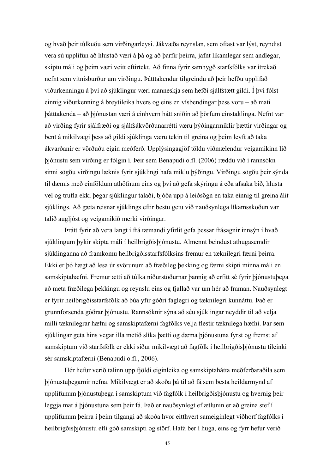og hvað þeir túlkuðu sem virðingarleysi. Jákvæða reynslan, sem oftast var lýst, reyndist vera sú upplifun að hlustað væri á þá og að þarfir þeirra, jafnt líkamlegar sem andlegar, skiptu máli og þeim væri veitt eftirtekt. Að finna fyrir samhygð starfsfólks var ítrekað nefnt sem vitnisburður um virðingu. Þátttakendur tilgreindu að þeir hefðu upplifað viðurkenningu á því að sjúklingur væri manneskja sem hefði sjálfstætt gildi. Í því fólst einnig viðurkenning á breytileika hvers og eins en vísbendingar þess voru – að mati þátttakenda – að þjónustan væri á einhvern hátt sniðin að þörfum einstaklinga. Nefnt var að virðing fyrir sjálfræði og sjálfsákvörðunarrétti væru þýðingarmiklir þættir virðingar og bent á mikilvægi þess að gildi sjúklinga væru tekin til greina og þeim leyft að taka ákvarðanir er vörðuðu eigin meðferð. Upplýsingagjöf töldu viðmælendur veigamikinn lið þjónustu sem virðing er fólgin í. Þeir sem Benapudi o.fl. (2006) ræddu við í rannsókn sinni sögðu virðingu læknis fyrir sjúklingi hafa miklu þýðingu. Virðingu sögðu þeir sýnda til dæmis með einföldum athöfnum eins og því að gefa skýringu á eða afsaka bið, hlusta vel og trufla ekki þegar sjúklingur talaði, bjóða upp á leiðsögn en taka einnig til greina álit sjúklings. Að gæta reisnar sjúklings eftir bestu getu við nauðsynlega líkamsskoðun var talið augljóst og veigamikið merki virðingar.

 Þrátt fyrir að vera langt í frá tæmandi yfirlit gefa þessar frásagnir innsýn í hvað sjúklingum þykir skipta máli í heilbrigðisþjónustu. Almennt beindust athugasemdir sjúklinganna að framkomu heilbrigðisstarfsfólksins fremur en tæknilegri færni þeirra. Ekki er þó hægt að lesa úr svörunum að fræðileg þekking og færni skipti minna máli en samskiptahæfni. Fremur ætti að túlka niðurstöðurnar þannig að erfitt sé fyrir þjónustuþega að meta fræðilega þekkingu og reynslu eins og fjallað var um hér að framan. Nauðsynlegt er fyrir heilbrigðisstarfsfólk að búa yfir góðri faglegri og tæknilegri kunnáttu. Það er grunnforsenda góðrar þjónustu. Rannsóknir sýna að séu sjúklingar neyddir til að velja milli tæknilegrar hæfni og samskiptafærni fagfólks velja flestir tæknilega hæfni. Þar sem sjúklingar geta hins vegar illa metið slíka þætti og dæma þjónustuna fyrst og fremst af samskiptum við starfsfólk er ekki síður mikilvægt að fagfólk í heilbrigðisþjónustu tileinki sér samskiptafærni (Benapudi o.fl., 2006).

 Hér hefur verið talinn upp fjöldi eiginleika og samskiptahátta meðferðaraðila sem þjónustuþegarnir nefna. Mikilvægt er að skoða þá til að fá sem besta heildarmynd af upplifunum þjónustuþega í samskiptum við fagfólk í heilbrigðisþjónustu og hvernig þeir leggja mat á þjónustuna sem þeir fá. Það er nauðsynlegt ef ætlunin er að greina stef í upplifunum þeirra í þeim tilgangi að skoða hvor eitthvert sameiginlegt viðhorf fagfólks í heilbrigðisþjónustu efli góð samskipti og störf. Hafa ber í huga, eins og fyrr hefur verið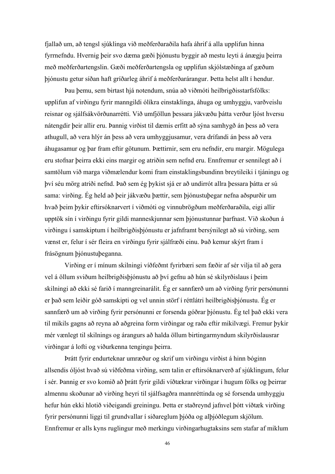fjallað um, að tengsl sjúklinga við meðferðaraðila hafa áhrif á alla upplifun hinna fyrrnefndu. Hvernig þeir svo dæma gæði þjónustu byggir að mestu leyti á ánægju þeirra með meðferðartengslin. Gæði meðferðartengsla og upplifun skjólstæðinga af gæðum þjónustu getur síðan haft gríðarleg áhrif á meðferðarárangur. Þetta helst allt í hendur.

 Þau þemu, sem birtast hjá notendum, snúa að viðmóti heilbrigðisstarfsfólks: upplifun af virðingu fyrir manngildi ólíkra einstaklinga, áhuga og umhyggju, varðveislu reisnar og sjálfsákvörðunarrétti. Við umfjöllun þessara jákvæðu þátta verður ljóst hversu nátengdir þeir allir eru. Þannig virðist til dæmis erfitt að sýna samhygð án þess að vera athugull, að vera hlýr án þess að vera umhyggjusamur, vera drífandi án þess að vera áhugasamur og þar fram eftir götunum. Þættirnir, sem eru nefndir, eru margir. Mögulega eru stofnar þeirra ekki eins margir og atriðin sem nefnd eru. Ennfremur er sennilegt að í samtölum við marga viðmælendur komi fram einstaklingsbundinn breytileiki í tjáningu og því séu mörg atriði nefnd. Það sem ég þykist sjá er að undirrót allra þessara þátta er sú sama: virðing. Ég held að þeir jákvæðu þættir, sem þjónustuþegar nefna aðspurðir um hvað þeim þykir eftirsóknarvert í viðmóti og vinnubrögðum meðferðaraðila, eigi allir upptök sín í virðingu fyrir gildi manneskjunnar sem þjónustunnar þarfnast. Við skoðun á virðingu í samskiptum í heilbrigðisþjónustu er jafnframt bersýnilegt að sú virðing, sem vænst er, felur í sér fleira en virðingu fyrir sjálfræði einu. Það kemur skýrt fram í frásögnum þjónustuþeganna.

 Virðing er í mínum skilningi víðfeðmt fyrirbæri sem fæðir af sér vilja til að gera vel á öllum sviðum heilbrigðisþjónustu að því gefnu að hún sé skilyrðislaus í þeim skilningi að ekki sé farið í manngreinarálit. Ég er sannfærð um að virðing fyrir persónunni er það sem leiðir góð samskipti og vel unnin störf í réttlátri heilbrigðisþjónustu. Ég er sannfærð um að virðing fyrir persónunni er forsenda góðrar þjónustu. Ég tel það ekki vera til mikils gagns að reyna að aðgreina form virðingar og raða eftir mikilvægi. Fremur þykir mér vænlegt til skilnings og árangurs að halda öllum birtingarmyndum skilyrðislausrar virðingar á lofti og viðurkenna tengingu þeirra.

 Þrátt fyrir endurteknar umræður og skrif um virðingu virðist á hinn bóginn allsendis óljóst hvað sú víðfeðma virðing, sem talin er eftirsóknarverð af sjúklingum, felur í sér. Þannig er svo komið að þrátt fyrir gildi víðtækrar virðingar í hugum fólks og þeirrar almennu skoðunar að virðing heyri til sjálfsagðra mannréttinda og sé forsenda umhyggju hefur hún ekki hlotið viðeigandi greiningu. Þetta er staðreynd jafnvel þótt víðtæk virðing fyrir persónunni liggi til grundvallar í siðareglum þjóða og alþjóðlegum skjölum. Ennfremur er alls kyns ruglingur með merkingu virðingarhugtaksins sem stafar af miklum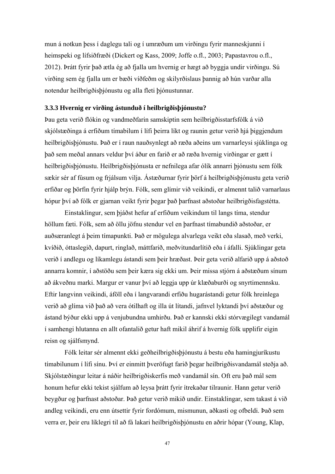mun á notkun þess í daglegu tali og í umræðum um virðingu fyrir manneskjunni í heimspeki og lífsiðfræði (Dickert og Kass, 2009; Joffe o.fl., 2003; Papastavrou o.fl., 2012). Þrátt fyrir það ætla ég að fjalla um hvernig er hægt að byggja undir virðingu. Sú virðing sem ég fjalla um er bæði víðfeðm og skilyrðislaus þannig að hún varðar alla notendur heilbrigðisþjónustu og alla fleti þjónustunnar.

#### **3.3.3 Hvernig er virðing ástunduð í heilbrigðisþjónustu?**

Þau geta verið flókin og vandmeðfarin samskiptin sem heilbrigðisstarfsfólk á við skjólstæðinga á erfiðum tímabilum í lífi þeirra líkt og raunin getur verið hjá þiggjendum heilbrigðisþjónustu. Það er í raun nauðsynlegt að ræða aðeins um varnarleysi sjúklinga og það sem meðal annars veldur því áður en farið er að ræða hvernig virðingar er gætt í heilbrigðisþjónustu. Heilbrigðisþjónusta er nefnilega afar ólík annarri þjónustu sem fólk sækir sér af fúsum og frjálsum vilja. Ástæðurnar fyrir þörf á heilbrigðisþjónustu geta verið erfiðar og þörfin fyrir hjálp brýn. Fólk, sem glímir við veikindi, er almennt talið varnarlaus hópur því að fólk er gjarnan veikt fyrir þegar það þarfnast aðstoðar heilbrigðisfagstétta.

 Einstaklingur, sem þjáðst hefur af erfiðum veikindum til langs tíma, stendur höllum fæti. Fólk, sem að öllu jöfnu stendur vel en þarfnast tímabundið aðstoðar, er auðsæranlegt á þeim tímapunkti. Það er mögulega alvarlega veikt eða slasað, með verki, kvíðið, óttaslegið, dapurt, ringlað, máttfarið, meðvitundarlítið eða í áfalli. Sjúklingar geta verið í andlegu og líkamlegu ástandi sem þeir hræðast. Þeir geta verið alfarið upp á aðstoð annarra komnir, í aðstöðu sem þeir kæra sig ekki um. Þeir missa stjórn á aðstæðum sínum að ákveðnu marki. Margur er vanur því að leggja upp úr klæðaburði og snyrtimennsku. Eftir langvinn veikindi, áföll eða í langvarandi erfiðu hugarástandi getur fólk hreinlega verið að glíma við það að vera ótilhaft og illa út lítandi, jafnvel lyktandi því aðstæður og ástand býður ekki upp á venjubundna umhirðu. Það er kannski ekki stórvægilegt vandamál í samhengi hlutanna en allt ofantalið getur haft mikil áhrif á hvernig fólk upplifir eigin reisn og sjálfsmynd.

 Fólk leitar sér almennt ekki geðheilbrigðisþjónustu á bestu eða hamingjuríkustu tímabilunum í lífi sínu. Því er einmitt þveröfugt farið þegar heilbrigðisvandamál steðja að. Skjólstæðingur leitar á náðir heilbrigðiskerfis með vandamál sín. Oft eru það mál sem honum hefur ekki tekist sjálfum að leysa þrátt fyrir ítrekaðar tilraunir. Hann getur verið beygður og þarfnast aðstoðar. Það getur verið mikið undir. Einstaklingar, sem takast á við andleg veikindi, eru enn útsettir fyrir fordómum, mismunun, aðkasti og ofbeldi. Það sem verra er, þeir eru líklegri til að fá lakari heilbrigðisþjónustu en aðrir hópar (Young, Klap,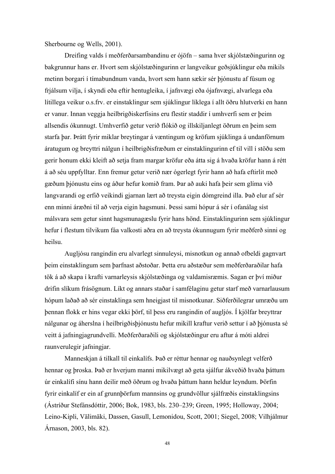Sherbourne og Wells, 2001).

 Dreifing valds í meðferðarsambandinu er ójöfn – sama hver skjólstæðingurinn og bakgrunnur hans er. Hvort sem skjólstæðingurinn er langveikur geðsjúklingur eða mikils metinn borgari í tímabundnum vanda, hvort sem hann sækir sér þjónustu af fúsum og frjálsum vilja, í skyndi eða eftir hentugleika, í jafnvægi eða ójafnvægi, alvarlega eða lítillega veikur o.s.frv. er einstaklingur sem sjúklingur líklega í allt öðru hlutverki en hann er vanur. Innan veggja heilbrigðiskerfisins eru flestir staddir í umhverfi sem er þeim allsendis ókunnugt. Umhverfið getur verið flókið og illskiljanlegt öðrum en þeim sem starfa þar. Þrátt fyrir miklar breytingar á væntingum og kröfum sjúklinga á undanförnum áratugum og breyttri nálgun í heilbrigðisfræðum er einstaklingurinn ef til vill í stöðu sem gerir honum ekki kleift að setja fram margar kröfur eða átta sig á hvaða kröfur hann á rétt á að séu uppfylltar. Enn fremur getur verið nær ógerlegt fyrir hann að hafa eftirlit með gæðum þjónustu eins og áður hefur komið fram. Þar að auki hafa þeir sem glíma við langvarandi og erfið veikindi gjarnan lært að treysta eigin dómgreind illa. Það elur af sér enn minni áræðni til að verja eigin hagsmuni. Þessi sami hópur á sér í ofanálag síst málsvara sem getur sinnt hagsmunagæslu fyrir hans hönd. Einstaklingurinn sem sjúklingur hefur í flestum tilvikum fáa valkosti aðra en að treysta ókunnugum fyrir meðferð sinni og heilsu.

 Augljósu rangindin eru alvarlegt sinnuleysi, misnotkun og annað ofbeldi gagnvart þeim einstaklingum sem þarfnast aðstoðar. Þetta eru aðstæður sem meðferðaraðilar hafa tök á að skapa í krafti varnarleysis skjólstæðinga og valdamisræmis. Sagan er því miður drifin slíkum frásögnum. Líkt og annars staðar í samfélaginu getur starf með varnarlausum hópum laðað að sér einstaklinga sem hneigjast til misnotkunar. Siðferðilegrar umræðu um þennan flokk er hins vegar ekki þörf, til þess eru rangindin of augljós. Í kjölfar breyttrar nálgunar og áherslna í heilbrigðisþjónustu hefur mikill kraftur verið settur í að þjónusta sé veitt á jafningjagrundvelli. Meðferðaraðili og skjólstæðingur eru aftur á móti aldrei raunverulegir jafningjar.

 Manneskjan á tilkall til einkalífs. Það er réttur hennar og nauðsynlegt velferð hennar og þroska. Það er hverjum manni mikilvægt að geta sjálfur ákveðið hvaða þáttum úr einkalífi sínu hann deilir með öðrum og hvaða þáttum hann heldur leyndum. Þörfin fyrir einkalíf er ein af grunnþörfum mannsins og grundvöllur sjálfræðis einstaklingsins (Ástríður Stefánsdóttir, 2006; Bok, 1983, bls. 230–239; Green, 1995; Holloway, 2004; Leino-Kipli, Välimäki, Dassen, Gasull, Lemonidou, Scott, 2001; Siegel, 2008; Vilhjálmur Árnason, 2003, bls. 82).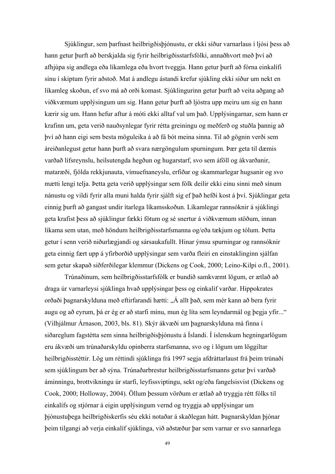Sjúklingur, sem þarfnast heilbrigðisþjónustu, er ekki síður varnarlaus í ljósi þess að hann getur þurft að berskjalda sig fyrir heilbrigðisstarfsfólki, annaðhvort með því að afhjúpa sig andlega eða líkamlega eða hvort tveggja. Hann getur þurft að fórna einkalífi sínu í skiptum fyrir aðstoð. Mat á andlegu ástandi krefur sjúkling ekki síður um nekt en líkamleg skoðun, ef svo má að orði komast. Sjúklingurinn getur þurft að veita aðgang að viðkvæmum upplýsingum um sig. Hann getur þurft að ljóstra upp meiru um sig en hann kærir sig um. Hann hefur aftur á móti ekki alltaf val um það. Upplýsingarnar, sem hann er krafinn um, geta verið nauðsynlegar fyrir rétta greiningu og meðferð og stuðla þannig að því að hann eigi sem besta möguleika á að fá bót meina sinna. Til að gögnin verði sem áreiðanlegust getur hann þurft að svara nærgöngulum spurningum. Þær geta til dæmis varðað lífsreynslu, heilsutengda hegðun og hugarstarf, svo sem áföll og ákvarðanir, mataræði, fjölda rekkjunauta, vímuefnaneyslu, erfiðar og skammarlegar hugsanir og svo mætti lengi telja. Þetta geta verið upplýsingar sem fólk deilir ekki einu sinni með sínum nánustu og vildi fyrir alla muni halda fyrir sjálft sig ef það hefði kost á því. Sjúklingar geta einnig þurft að gangast undir ítarlega líkamsskoðun. Líkamlegar rannsóknir á sjúklingi geta krafist þess að sjúklingur fækki fötum og sé snertur á viðkvæmum stöðum, innan líkama sem utan, með höndum heilbrigðisstarfsmanna og/eða tækjum og tólum. Þetta getur í senn verið niðurlægjandi og sársaukafullt. Hinar ýmsu spurningar og rannsóknir geta einnig fært upp á yfirborðið upplýsingar sem varða fleiri en einstaklinginn sjálfan sem getur skapað siðferðilegar klemmur (Dickens og Cook, 2000; Leino-Kilpi o.fl., 2001).

 Trúnaðinum, sem heilbrigðisstarfsfólk er bundið samkvæmt lögum, er ætlað að draga úr varnarleysi sjúklinga hvað upplýsingar þess og einkalíf varðar. Hippokrates orðaði þagnarskylduna með eftirfarandi hætti: "Á allt það, sem mér kann að bera fyrir augu og að eyrum, þá er ég er að starfi mínu, mun ég líta sem leyndarmál og þegja yfir..." (Vilhjálmur Árnason, 2003, bls. 81). Skýr ákvæði um þagnarskylduna má finna í siðareglum fagstétta sem sinna heilbrigðisþjónustu á Íslandi. Í íslenskum hegningarlögum eru ákvæði um trúnaðarskyldu opinberra starfsmanna, svo og í lögum um löggiltar heilbrigðisstéttir. Lög um réttindi sjúklinga frá 1997 segja afdráttarlaust frá þeim trúnaði sem sjúklingum ber að sýna. Trúnaðarbrestur heilbrigðisstarfsmanns getur því varðað áminningu, brottvikningu úr starfi, leyfissviptingu, sekt og/eða fangelsisvist (Dickens og Cook, 2000; Holloway, 2004). Öllum þessum vörðum er ætlað að tryggja rétt fólks til einkalífs og stjórnar á eigin upplýsingum vernd og tryggja að upplýsingar um þjónustuþega heilbrigðiskerfis séu ekki notaðar á skaðlegan hátt. Þagnarskyldan þjónar þeim tilgangi að verja einkalíf sjúklinga, við aðstæður þar sem varnar er svo sannarlega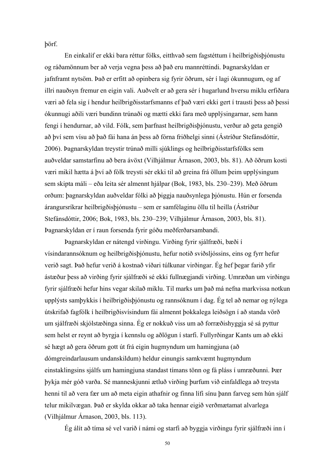þörf.

 En einkalíf er ekki bara réttur fólks, eitthvað sem fagstéttum í heilbrigðisþjónustu og ráðamönnum ber að verja vegna þess að það eru mannréttindi. Þagnarskyldan er jafnframt nytsöm. Það er erfitt að opinbera sig fyrir öðrum, sér í lagi ókunnugum, og af illri nauðsyn fremur en eigin vali. Auðvelt er að gera sér í hugarlund hversu miklu erfiðara væri að fela sig í hendur heilbrigðisstarfsmanns ef það væri ekki gert í trausti þess að þessi ókunnugi aðili væri bundinn trúnaði og mætti ekki fara með upplýsingarnar, sem hann fengi í hendurnar, að vild. Fólk, sem þarfnast heilbrigðisþjónustu, verður að geta gengið að því sem vísu að það fái hana án þess að fórna friðhelgi sinni (Ástríður Stefánsdóttir, 2006). Þagnarskyldan treystir trúnað milli sjúklings og heilbrigðisstarfsfólks sem auðveldar samstarfinu að bera ávöxt (Vilhjálmur Árnason, 2003, bls. 81). Að öðrum kosti væri mikil hætta á því að fólk treysti sér ekki til að greina frá öllum þeim upplýsingum sem skipta máli – eða leita sér almennt hjálpar (Bok, 1983, bls. 230–239). Með öðrum orðum: þagnarskyldan auðveldar fólki að þiggja nauðsynlega þjónustu. Hún er forsenda árangursríkrar heilbrigðisþjónustu – sem er samfélaginu öllu til heilla (Ástríður Stefánsdóttir, 2006; Bok, 1983, bls. 230–239; Vilhjálmur Árnason, 2003, bls. 81). Þagnarskyldan er í raun forsenda fyrir góðu meðferðarsambandi.

 Þagnarskyldan er nátengd virðingu. Virðing fyrir sjálfræði, bæði í vísindarannsóknum og heilbrigðisþjónustu, hefur notið sviðsljóssins, eins og fyrr hefur verið sagt. Það hefur verið á kostnað víðari túlkunar virðingar. Ég hef þegar farið yfir ástæður þess að virðing fyrir sjálfræði sé ekki fullnægjandi virðing. Umræðan um virðingu fyrir sjálfræði hefur hins vegar skilað miklu. Til marks um það má nefna markvissa notkun upplýsts samþykkis í heilbrigðisþjónustu og rannsóknum í dag. Ég tel að nemar og nýlega útskrifað fagfólk í heilbrigðisvísindum fái almennt þokkalega leiðsögn í að standa vörð um sjálfræði skjólstæðinga sinna. Ég er nokkuð viss um að forræðishyggja sé sá pyttur sem helst er reynt að byrgja í kennslu og aðlögun í starfi. Fullyrðingar Kants um að ekki sé hægt að gera öðrum gott út frá eigin hugmyndum um hamingjuna (að dómgreindarlausum undanskildum) heldur einungis samkvæmt hugmyndum einstaklingsins sjálfs um hamingjuna standast tímans tönn og fá pláss í umræðunni. Þær þykja mér góð varða. Sé manneskjunni ætluð virðing þurfum við einfaldlega að treysta henni til að vera fær um að meta eigin athafnir og finna lífi sínu þann farveg sem hún sjálf telur mikilvægan. Það er skylda okkar að taka hennar eigið verðmætamat alvarlega (Vilhjálmur Árnason, 2003, bls. 113).

Ég álít að tíma sé vel varið í námi og starfi að byggja virðingu fyrir sjálfræði inn í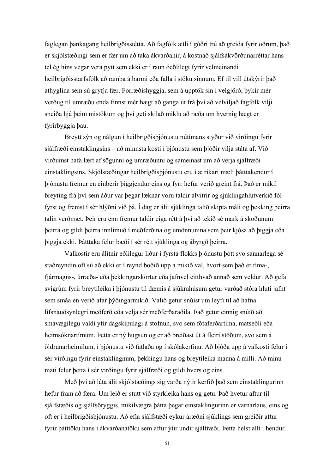faglegan þankagang heilbrigðisstétta. Að fagfólk ætli í góðri trú að greiða fyrir öðrum, það er skjólstæðingi sem er fær um að taka ákvarðanir, á kostnað sjálfsákvörðunarréttar hans tel ég hins vegar vera pytt sem ekki er í raun óeðlilegt fyrir velmeinandi heilbrigðisstarfsfólk að ramba á barmi eða falla í stöku sinnum. Ef til vill útskýrir það athyglina sem sú gryfja fær. Forræðishyggja, sem á upptök sín í velgjörð, þykir mér verðug til umræðu enda finnst mér hægt að ganga út frá því að velviljað fagfólk vilji sneiða hjá þeim mistökum og því geti skilað miklu að ræða um hvernig hægt er fyrirbyggja þau.

 Breytt sýn og nálgun í heilbrigðisþjónustu nútímans styður við virðingu fyrir sjálfræði einstaklingsins – að minnsta kosti í þjónustu sem þjóðir vilja státa af. Við virðumst hafa lært af sögunni og umræðunni og sameinast um að verja sjálfræði einstaklingsins. Skjólstæðingar heilbrigðisþjónustu eru í æ ríkari mæli þátttakendur í þjónustu fremur en einberir þiggjendur eins og fyrr hefur verið greint frá. Það er mikil breyting frá því sem áður var þegar læknar voru taldir alvitrir og sjúklingahlutverkið fól fyrst og fremst í sér hlýðni við þá. Í dag er álit sjúklinga talið skipta máli og þekking þeirra talin verðmæt. Þeir eru enn fremur taldir eiga rétt á því að tekið sé mark á skoðunum þeirra og gildi þeirra innlimuð í meðferðina og umönnunina sem þeir kjósa að þiggja eða þiggja ekki. Þátttaka felur bæði í sér rétt sjúklinga og ábyrgð þeirra.

 Valkostir eru álitnir eðlilegur liður í fyrsta flokks þjónustu þótt svo sannarlega sé staðreyndin oft sú að ekki er í reynd boðið upp á mikið val, hvort sem það er tíma-, fjármagns-, úrræða- eða þekkingarskortur eða jafnvel eitthvað annað sem veldur. Að gefa svigrúm fyrir breytileika í þjónustu til dæmis á sjúkrahúsum getur varðað stóra hluti jafnt sem smáa en verið afar þýðingarmikið. Valið getur snúist um leyfi til að hafna lífsnauðsynlegri meðferð eða velja sér meðferðaraðila. Það getur einnig snúið að smávægilegu valdi yfir dagskipulagi á stofnun, svo sem fótaferðartíma, matseðli eða heimsóknartímum. Þetta er ný hugsun og er að breiðast út á fleiri stöðum, svo sem á öldrunarheimilum, í þjónustu við fatlaða og í skólakerfinu. Að bjóða upp á valkosti felur í sér virðingu fyrir einstaklingnum, þekkingu hans og breytileika manna á milli. Að mínu mati felur þetta í sér virðingu fyrir sjálfræði og gildi hvers og eins.

 Með því að láta álit skjólstæðings sig varða nýtir kerfið það sem einstaklingurinn hefur fram að færa. Um leið er stutt við styrkleika hans og getu. Það hvetur aftur til sjálfstæðis og sjálfsöryggis, mikilvægra þátta þegar einstaklingurinn er varnarlaus, eins og oft er í heilbrigðisþjónustu. Að efla sjálfstæði eykur áræðni sjúklings sem greiðir aftur fyrir þátttöku hans í ákvarðanatöku sem aftur ýtir undir sjálfræði. Þetta helst allt í hendur.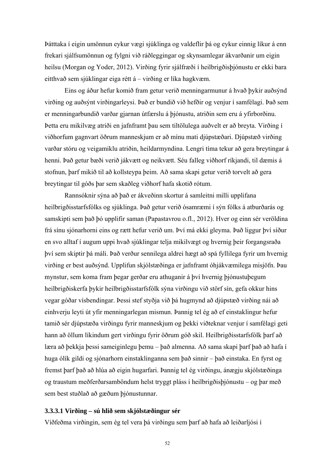Þátttaka í eigin umönnun eykur vægi sjúklinga og valdeflir þá og eykur einnig líkur á enn frekari sjálfsumönnun og fylgni við ráðleggingar og skynsamlegar ákvarðanir um eigin heilsu (Morgan og Yoder, 2012). Virðing fyrir sjálfræði í heilbrigðisþjónustu er ekki bara eitthvað sem sjúklingar eiga rétt á – virðing er líka hagkvæm.

Eins og áður hefur komið fram getur verið menningarmunur á hvað þykir auðsýnd virðing og auðsýnt virðingarleysi. Það er bundið við hefðir og venjur í samfélagi. Það sem er menningarbundið varðar gjarnan útfærslu á þjónustu, atriðin sem eru á yfirborðinu. Þetta eru mikilvæg atriði en jafnframt þau sem tiltölulega auðvelt er að breyta. Virðing í viðhorfum gagnvart öðrum manneskjum er að mínu mati djúpstæðari. Djúpstæð virðing varðar stóru og veigamiklu atriðin, heildarmyndina. Lengri tíma tekur að gera breytingar á henni. Það getur bæði verið jákvætt og neikvætt. Séu falleg viðhorf ríkjandi, til dæmis á stofnun, þarf mikið til að kollsteypa þeim. Að sama skapi getur verið torvelt að gera breytingar til góðs þar sem skaðleg viðhorf hafa skotið rótum.

 Rannsóknir sýna að það er ákveðinn skortur á samleitni milli upplifana heilbrigðisstarfsfólks og sjúklinga. Það getur verið ósamræmi í sýn fólks á atburðarás og samskipti sem það þó upplifir saman (Papastavrou o.fl., 2012). Hver og einn sér veröldina frá sínu sjónarhorni eins og rætt hefur verið um. Því má ekki gleyma. Það liggur því síður en svo alltaf í augum uppi hvað sjúklingar telja mikilvægt og hvernig þeir forgangsraða því sem skiptir þá máli. Það verður sennilega aldrei hægt að spá fyllilega fyrir um hvernig virðing er best auðsýnd. Upplifun skjólstæðinga er jafnframt óhjákvæmilega misjöfn. Þau mynstur, sem koma fram þegar gerðar eru athuganir á því hvernig þjónustuþegum heilbrigðiskerfa þykir heilbrigðisstarfsfólk sýna virðingu við störf sín, gefa okkur hins vegar góðar vísbendingar. Þessi stef styðja við þá hugmynd að djúpstæð virðing nái að einhverju leyti út yfir menningarlegan mismun. Þannig tel ég að ef einstaklingur hefur tamið sér djúpstæða virðingu fyrir manneskjum og þekki viðteknar venjur í samfélagi geti hann að öllum líkindum gert virðingu fyrir öðrum góð skil. Heilbrigðisstarfsfólk þarf að læra að þekkja þessi sameiginlegu þemu – það almenna. Að sama skapi þarf það að hafa í huga ólík gildi og sjónarhorn einstaklinganna sem það sinnir – það einstaka. En fyrst og fremst þarf það að hlúa að eigin hugarfari. Þannig tel ég virðingu, ánægju skjólstæðinga og traustum meðferðarsamböndum helst tryggt pláss í heilbrigðisþjónustu – og þar með sem best stuðlað að gæðum þjónustunnar.

#### **3.3.3.1 Virðing – sú hlið sem skjólstæðingur sér**

Víðfeðma virðingin, sem ég tel vera þá virðingu sem þarf að hafa að leiðarljósi í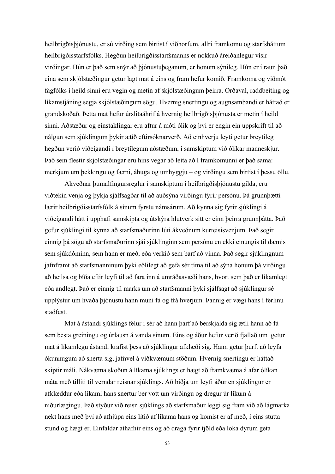heilbrigðisþjónustu, er sú virðing sem birtist í viðhorfum, allri framkomu og starfsháttum heilbrigðisstarfsfólks. Hegðun heilbrigðisstarfsmanns er nokkuð áreiðanlegur vísir virðingar. Hún er það sem snýr að þjónustuþeganum, er honum sýnileg. Hún er í raun það eina sem skjólstæðingur getur lagt mat á eins og fram hefur komið. Framkoma og viðmót fagfólks í heild sinni eru vegin og metin af skjólstæðingum þeirra. Orðaval, raddbeiting og líkamstjáning segja skjólstæðingum sögu. Hvernig snertingu og augnsambandi er háttað er grandskoðað. Þetta mat hefur úrslitaáhrif á hvernig heilbrigðisþjónusta er metin í heild sinni. Aðstæður og einstaklingar eru aftur á móti ólík og því er engin ein uppskrift til að nálgun sem sjúklingum þykir ætíð eftirsóknarverð. Að einhverju leyti getur breytileg hegðun verið viðeigandi í breytilegum aðstæðum, í samskiptum við ólíkar manneskjur. Það sem flestir skjólstæðingar eru hins vegar að leita að í framkomunni er það sama: merkjum um þekkingu og færni, áhuga og umhyggju – og virðingu sem birtist í þessu öllu.

 Ákveðnar þumalfingursreglur í samskiptum í heilbrigðisþjónustu gilda, eru viðtekin venja og þykja sjálfsagðar til að auðsýna virðingu fyrir persónu. Þá grunnþætti lærir heilbrigðisstarfsfólk á sínum fyrstu námsárum. Að kynna sig fyrir sjúklingi á viðeigandi hátt í upphafi samskipta og útskýra hlutverk sitt er einn þeirra grunnþátta. Það gefur sjúklingi til kynna að starfsmaðurinn lúti ákveðnum kurteisisvenjum. Það segir einnig þá sögu að starfsmaðurinn sjái sjúklinginn sem persónu en ekki einungis til dæmis sem sjúkdóminn, sem hann er með, eða verkið sem þarf að vinna. Það segir sjúklingnum jafnframt að starfsmanninum þyki eðlilegt að gefa sér tíma til að sýna honum þá virðingu að heilsa og bíða eftir leyfi til að fara inn á umráðasvæði hans, hvort sem það er líkamlegt eða andlegt. Það er einnig til marks um að starfsmanni þyki sjálfsagt að sjúklingur sé upplýstur um hvaða þjónustu hann muni fá og frá hverjum. Þannig er vægi hans í ferlinu staðfest.

 Mat á ástandi sjúklings felur í sér að hann þarf að berskjalda sig ætli hann að fá sem besta greiningu og úrlausn á vanda sínum. Eins og áður hefur verið fjallað um getur mat á líkamlegu ástandi krafist þess að sjúklingur afklæði sig. Hann getur þurft að leyfa ókunnugum að snerta sig, jafnvel á viðkvæmum stöðum. Hvernig snertingu er háttað skiptir máli. Nákvæma skoðun á líkama sjúklings er hægt að framkvæma á afar ólíkan máta með tilliti til verndar reisnar sjúklings. Að biðja um leyfi áður en sjúklingur er afklæddur eða líkami hans snertur ber vott um virðingu og dregur úr líkum á niðurlægingu. Það styður við reisn sjúklings að starfsmaður leggi sig fram við að lágmarka nekt hans með því að afhjúpa eins lítið af líkama hans og komist er af með, í eins stutta stund og hægt er. Einfaldar athafnir eins og að draga fyrir tjöld eða loka dyrum geta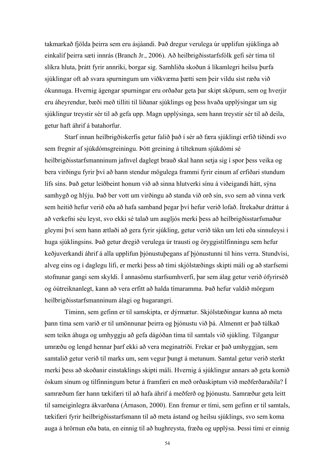takmarkað fjölda þeirra sem eru ásjáandi. Það dregur verulega úr upplifun sjúklinga að einkalíf þeirra sæti innrás (Branch Jr., 2006). Að heilbrigðisstarfsfólk gefi sér tíma til slíkra hluta, þrátt fyrir annríki, borgar sig. Samhliða skoðun á líkamlegri heilsu þurfa sjúklingar oft að svara spurningum um viðkvæma þætti sem þeir vildu síst ræða við ókunnuga. Hvernig ágengar spurningar eru orðaðar geta þar skipt sköpum, sem og hverjir eru áheyrendur, bæði með tilliti til líðanar sjúklings og þess hvaða upplýsingar um sig sjúklingur treystir sér til að gefa upp. Magn upplýsinga, sem hann treystir sér til að deila, getur haft áhrif á batahorfur.

 Starf innan heilbrigðiskerfis getur falið það í sér að færa sjúklingi erfið tíðindi svo sem fregnir af sjúkdómsgreiningu. Þótt greining á tilteknum sjúkdómi sé heilbrigðisstarfsmanninum jafnvel daglegt brauð skal hann setja sig í spor þess veika og bera virðingu fyrir því að hann stendur mögulega frammi fyrir einum af erfiðari stundum lífs síns. Það getur leiðbeint honum við að sinna hlutverki sínu á viðeigandi hátt, sýna samhygð og hlýju. Það ber vott um virðingu að standa við orð sín, svo sem að vinna verk sem heitið hefur verið eða að hafa samband þegar því hefur verið lofað. Ítrekaður dráttur á að verkefni séu leyst, svo ekki sé talað um augljós merki þess að heilbrigðisstarfsmaður gleymi því sem hann ætlaði að gera fyrir sjúkling, getur verið tákn um leti eða sinnuleysi í huga sjúklingsins. Það getur dregið verulega úr trausti og öryggistilfinningu sem hefur keðjuverkandi áhrif á alla upplifun þjónustuþegans af þjónustunni til hins verra. Stundvísi, alveg eins og í daglegu lífi, er merki þess að tími skjólstæðings skipti máli og að starfsemi stofnunar gangi sem skyldi. Í annasömu starfsumhverfi, þar sem álag getur verið ófyrirséð og óútreiknanlegt, kann að vera erfitt að halda tímaramma. Það hefur valdið mörgum heilbrigðisstarfsmanninum álagi og hugarangri.

 Tíminn, sem gefinn er til samskipta, er dýrmætur. Skjólstæðingar kunna að meta þann tíma sem varið er til umönnunar þeirra og þjónustu við þá. Almennt er það túlkað sem teikn áhuga og umhyggju að gefa dágóðan tíma til samtals við sjúkling. Tilgangur umræðu og lengd hennar þarf ekki að vera meginatriði. Frekar er það umhyggjan, sem samtalið getur verið til marks um, sem vegur þungt á metunum. Samtal getur verið sterkt merki þess að skoðanir einstaklings skipti máli. Hvernig á sjúklingur annars að geta komið óskum sínum og tilfinningum betur á framfæri en með orðaskiptum við meðferðaraðila? Í samræðum fær hann tækifæri til að hafa áhrif á meðferð og þjónustu. Samræður geta leitt til sameiginlegra ákvarðana (Árnason, 2000). Enn fremur er tími, sem gefinn er til samtals, tækifæri fyrir heilbrigðisstarfsmann til að meta ástand og heilsu sjúklings, svo sem koma auga á hrörnun eða bata, en einnig til að hughreysta, fræða og upplýsa. Þessi tími er einnig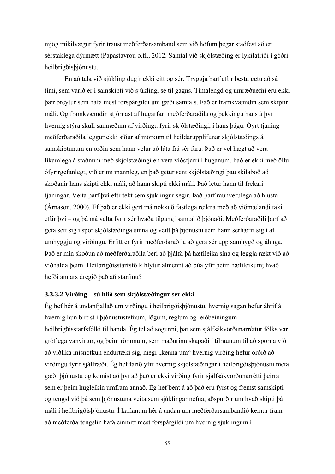mjög mikilvægur fyrir traust meðferðarsamband sem við höfum þegar staðfest að er sérstaklega dýrmætt (Papastavrou o.fl., 2012. Samtal við skjólstæðing er lykilatriði í góðri heilbrigðisþjónustu.

 En að tala við sjúkling dugir ekki eitt og sér. Tryggja þarf eftir bestu getu að sá tími, sem varið er í samskipti við sjúkling, sé til gagns. Tímalengd og umræðuefni eru ekki þær breytur sem hafa mest forspárgildi um gæði samtals. Það er framkvæmdin sem skiptir máli. Og framkvæmdin stjórnast af hugarfari meðferðaraðila og þekkingu hans á því hvernig stýra skuli samræðum af virðingu fyrir skjólstæðingi, í hans þágu. Óyrt tjáning meðferðaraðila leggur ekki síður af mörkum til heildarupplifunar skjólstæðings á samskiptunum en orðin sem hann velur að láta frá sér fara. Það er vel hægt að vera líkamlega á staðnum með skjólstæðingi en vera víðsfjarri í huganum. Það er ekki með öllu ófyrirgefanlegt, við erum mannleg, en það getur sent skjólstæðingi þau skilaboð að skoðanir hans skipti ekki máli, að hann skipti ekki máli. Það letur hann til frekari tjáningar. Veita þarf því eftirtekt sem sjúklingur segir. Það þarf raunverulega að hlusta (Árnason, 2000). Ef það er ekki gert má nokkuð fastlega reikna með að viðmælandi taki eftir því – og þá má velta fyrir sér hvaða tilgangi samtalið þjónaði. Meðferðaraðili þarf að geta sett sig í spor skjólstæðinga sinna og veitt þá þjónustu sem hann sérhæfir sig í af umhyggju og virðingu. Erfitt er fyrir meðferðaraðila að gera sér upp samhygð og áhuga. Það er mín skoðun að meðferðaraðila beri að þjálfa þá hæfileika sína og leggja rækt við að viðhalda þeim. Heilbrigðisstarfsfólk hlýtur almennt að búa yfir þeim hæfileikum; hvað hefði annars dregið það að starfinu?

### **3.3.3.2 Virðing – sú hlið sem skjólstæðingur sér ekki**

Ég hef hér á undanfjallað um virðingu í heilbrigðisþjónustu, hvernig sagan hefur áhrif á hvernig hún birtist í þjónustustefnum, lögum, reglum og leiðbeiningum heilbrigðisstarfsfólki til handa. Ég tel að sögunni, þar sem sjálfsákvörðunarréttur fólks var gróflega vanvirtur, og þeim römmum, sem maðurinn skapaði í tilraunum til að sporna við að viðlíka misnotkun endurtæki sig, megi "kenna um" hvernig virðing hefur orðið að virðingu fyrir sjálfræði. Ég hef farið yfir hvernig skjólstæðingar í heilbrigðisþjónustu meta gæði þjónustu og komist að því að það er ekki virðing fyrir sjálfsákvörðunarrétti þeirra sem er þeim hugleikin umfram annað. Ég hef bent á að það eru fyrst og fremst samskipti og tengsl við þá sem þjónustuna veita sem sjúklingar nefna, aðspurðir um hvað skipti þá máli í heilbrigðisþjónustu. Í kaflanum hér á undan um meðferðarsambandið kemur fram að meðferðartengslin hafa einmitt mest forspárgildi um hvernig sjúklingum í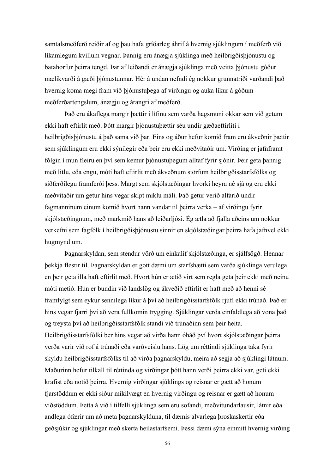samtalsmeðferð reiðir af og þau hafa gríðarleg áhrif á hvernig sjúklingum í meðferð við líkamlegum kvillum vegnar. Þannig eru ánægja sjúklinga með heilbrigðisþjónustu og batahorfur þeirra tengd. Þar af leiðandi er ánægja sjúklinga með veitta þjónustu góður mælikvarði á gæði þjónustunnar. Hér á undan nefndi ég nokkur grunnatriði varðandi það hvernig koma megi fram við þjónustuþega af virðingu og auka líkur á góðum meðferðartengslum, ánægju og árangri af meðferð.

 Það eru ákaflega margir þættir í lífinu sem varða hagsmuni okkar sem við getum ekki haft eftirlit með. Þótt margir þjónustuþættir séu undir gæðaeftirliti í heilbrigðisþjónustu á það sama við þar. Eins og áður hefur komið fram eru ákveðnir þættir sem sjúklingum eru ekki sýnilegir eða þeir eru ekki meðvitaðir um. Virðing er jafnframt fólgin í mun fleiru en því sem kemur þjónustuþegum alltaf fyrir sjónir. Þeir geta þannig með litlu, eða engu, móti haft eftirlit með ákveðnum störfum heilbrigðisstarfsfólks og siðferðilegu framferði þess. Margt sem skjólstæðingar hvorki heyra né sjá og eru ekki meðvitaðir um getur hins vegar skipt miklu máli. Það getur verið alfarið undir fagmanninum einum komið hvort hann vandar til þeirra verka – af virðingu fyrir skjólstæðingnum, með markmið hans að leiðarljósi. Ég ætla að fjalla aðeins um nokkur verkefni sem fagfólk í heilbrigðisþjónustu sinnir en skjólstæðingar þeirra hafa jafnvel ekki hugmynd um.

 Þagnarskyldan, sem stendur vörð um einkalíf skjólstæðinga, er sjálfsögð. Hennar þekkja flestir til. Þagnarskyldan er gott dæmi um starfshætti sem varða sjúklinga verulega en þeir geta illa haft eftirlit með. Hvort hún er ætíð virt sem regla geta þeir ekki með neinu móti metið. Hún er bundin við landslög og ákveðið eftirlit er haft með að henni sé framfylgt sem eykur sennilega líkur á því að heilbrigðisstarfsfólk rjúfi ekki trúnað. Það er hins vegar fjarri því að vera fullkomin trygging. Sjúklingar verða einfaldlega að vona það og treysta því að heilbrigðisstarfsfólk standi við trúnaðinn sem þeir heita. Heilbrigðisstarfsfólki ber hins vegar að virða hann óháð því hvort skjólstæðingar þeirra verða varir við rof á trúnaði eða varðveislu hans. Lög um réttindi sjúklinga taka fyrir skyldu heilbrigðisstarfsfólks til að virða þagnarskyldu, meira að segja að sjúklingi látnum. Maðurinn hefur tilkall til réttinda og virðingar þótt hann verði þeirra ekki var, geti ekki krafist eða notið þeirra. Hvernig virðingar sjúklings og reisnar er gætt að honum fjarstöddum er ekki síður mikilvægt en hvernig virðingu og reisnar er gætt að honum viðstöddum. Þetta á við í tilfelli sjúklinga sem eru sofandi, meðvitundarlausir, látnir eða andlega ófærir um að meta þagnarskylduna, til dæmis alvarlega þroskaskertir eða geðsjúkir og sjúklingar með skerta heilastarfsemi. Þessi dæmi sýna einmitt hvernig virðing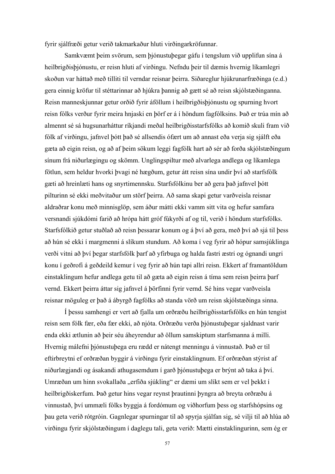fyrir sjálfræði getur verið takmarkaður hluti virðingarkröfunnar.

 Samkvæmt þeim svörum, sem þjónustuþegar gáfu í tengslum við upplifun sína á heilbrigðisþjónustu, er reisn hluti af virðingu. Nefndu þeir til dæmis hvernig líkamlegri skoðun var háttað með tilliti til verndar reisnar þeirra. Siðareglur hjúkrunarfræðinga (e.d.) gera einnig kröfur til stéttarinnar að hjúkra þannig að gætt sé að reisn skjólstæðinganna. Reisn manneskjunnar getur orðið fyrir áföllum í heilbrigðisþjónustu og spurning hvort reisn fólks verður fyrir meira hnjaski en þörf er á í höndum fagfólksins. Það er trúa mín að almennt sé sá hugsunarháttur ríkjandi meðal heilbrigðisstarfsfólks að komið skuli fram við fólk af virðingu, jafnvel þótt það sé allsendis ófært um að annast eða verja sig sjálft eða gæta að eigin reisn, og að af þeim sökum leggi fagfólk hart að sér að forða skjólstæðingum sínum frá niðurlægingu og skömm. Unglingspiltur með alvarlega andlega og líkamlega fötlun, sem heldur hvorki þvagi né hægðum, getur átt reisn sína undir því að starfsfólk gæti að hreinlæti hans og snyrtimennsku. Starfsfólkinu ber að gera það jafnvel þótt pilturinn sé ekki meðvitaður um störf þeirra. Að sama skapi getur varðveisla reisnar aldraðrar konu með minnisglöp, sem áður mátti ekki vamm sitt vita og hefur samfara versnandi sjúkdómi farið að hrópa hátt gróf fúkyrði af og til, verið í höndum starfsfólks. Starfsfólkið getur stuðlað að reisn þessarar konum og á því að gera, með því að sjá til þess að hún sé ekki í margmenni á slíkum stundum. Að koma í veg fyrir að hópur samsjúklinga verði vitni að því þegar starfsfólk þarf að yfirbuga og halda fastri æstri og ógnandi ungri konu í geðrofi á geðdeild kemur í veg fyrir að hún tapi allri reisn. Ekkert af framantöldum einstaklingum hefur andlega getu til að gæta að eigin reisn á tíma sem reisn þeirra þarf vernd. Ekkert þeirra áttar sig jafnvel á þörfinni fyrir vernd. Sé hins vegar varðveisla reisnar möguleg er það á ábyrgð fagfólks að standa vörð um reisn skjólstæðinga sinna.

 Í þessu samhengi er vert að fjalla um orðræðu heilbrigðisstarfsfólks en hún tengist reisn sem fólk fær, eða fær ekki, að njóta. Orðræðu verða þjónustuþegar sjaldnast varir enda ekki ætlunin að þeir séu áheyrendur að öllum samskiptum starfsmanna á milli. Hvernig málefni þjónustuþega eru rædd er nátengt menningu á vinnustað. Það er til eftirbreytni ef orðræðan byggir á virðingu fyrir einstaklingnum. Ef orðræðan stýrist af niðurlægjandi og ásakandi athugasemdum í garð þjónustuþega er brýnt að taka á því. Umræðan um hinn svokallaða "erfiða sjúkling" er dæmi um slíkt sem er vel þekkt í heilbrigðiskerfum. Það getur hins vegar reynst þrautinni þyngra að breyta orðræðu á vinnustað, því ummæli fólks byggja á fordómum og viðhorfum þess og starfshópsins og þau geta verið rótgróin. Gagnlegar spurningar til að spyrja sjálfan sig, sé vilji til að hlúa að virðingu fyrir skjólstæðingum í daglegu tali, geta verið: Mætti einstaklingurinn, sem ég er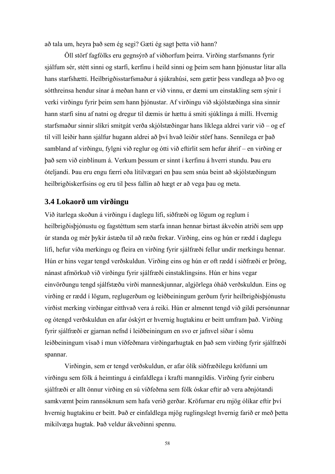að tala um, heyra það sem ég segi? Gæti ég sagt þetta við hann?

 Öll störf fagfólks eru gegnsýrð af viðhorfum þeirra. Virðing starfsmanns fyrir sjálfum sér, stétt sinni og starfi, kerfinu í heild sinni og þeim sem hann þjónustar litar alla hans starfshætti. Heilbrigðisstarfsmaður á sjúkrahúsi, sem gætir þess vandlega að þvo og sótthreinsa hendur sínar á meðan hann er við vinnu, er dæmi um einstakling sem sýnir í verki virðingu fyrir þeim sem hann þjónustar. Af virðingu við skjólstæðinga sína sinnir hann starfi sínu af natni og dregur til dæmis úr hættu á smiti sjúklinga á milli. Hvernig starfsmaður sinnir slíkri smitgát verða skjólstæðingar hans líklega aldrei varir við – og ef til vill leiðir hann sjálfur hugann aldrei að því hvað leiðir störf hans. Sennilega er það sambland af virðingu, fylgni við reglur og ótti við eftirlit sem hefur áhrif – en virðing er það sem við einblínum á. Verkum þessum er sinnt í kerfinu á hverri stundu. Þau eru óteljandi. Þau eru engu færri eða lítilvægari en þau sem snúa beint að skjólstæðingum heilbrigðiskerfisins og eru til þess fallin að hægt er að vega þau og meta.

#### **3.4 Lokaorð um virðingu**

Við ítarlega skoðun á virðingu í daglegu lífi, siðfræði og lögum og reglum í heilbrigðisþjónustu og fagstéttum sem starfa innan hennar birtast ákveðin atriði sem upp úr standa og mér þykir ástæða til að ræða frekar. Virðing, eins og hún er rædd í daglegu lífi, hefur víða merkingu og fleira en virðing fyrir sjálfræði fellur undir merkingu hennar. Hún er hins vegar tengd verðskuldun. Virðing eins og hún er oft rædd í siðfræði er þröng, nánast afmörkuð við virðingu fyrir sjálfræði einstaklingsins. Hún er hins vegar einvörðungu tengd sjálfstæðu virði manneskjunnar, algjörlega óháð verðskuldun. Eins og virðing er rædd í lögum, reglugerðum og leiðbeiningum gerðum fyrir heilbrigðisþjónustu virðist merking virðingar eitthvað vera á reiki. Hún er almennt tengd við gildi persónunnar og ótengd verðskuldun en afar óskýrt er hvernig hugtakinu er beitt umfram það. Virðing fyrir sjálfræði er gjarnan nefnd í leiðbeiningum en svo er jafnvel síðar í sömu leiðbeiningum vísað í mun víðfeðmara virðingarhugtak en það sem virðing fyrir sjálfræði spannar.

 Virðingin, sem er tengd verðskuldun, er afar ólík siðfræðilegu kröfunni um virðingu sem fólk á heimtingu á einfaldlega í krafti manngildis. Virðing fyrir einberu sjálfræði er allt önnur virðing en sú víðfeðma sem fólk óskar eftir að vera aðnjótandi samkvæmt þeim rannsóknum sem hafa verið gerðar. Kröfurnar eru mjög ólíkar eftir því hvernig hugtakinu er beitt. Það er einfaldlega mjög ruglingslegt hvernig farið er með þetta mikilvæga hugtak. Það veldur ákveðinni spennu.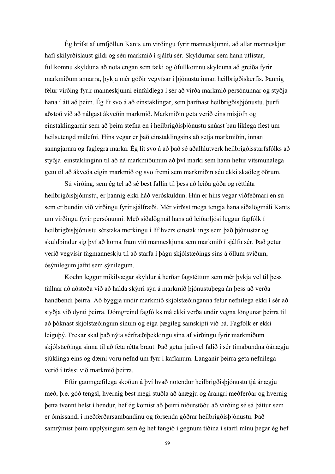Ég hrífst af umfjöllun Kants um virðingu fyrir manneskjunni, að allar manneskjur hafi skilyrðislaust gildi og séu markmið í sjálfu sér. Skyldurnar sem hann útlistar, fullkomnu skylduna að nota engan sem tæki og ófullkomnu skylduna að greiða fyrir markmiðum annarra, þykja mér góðir vegvísar í þjónustu innan heilbrigðiskerfis. Þannig felur virðing fyrir manneskjunni einfaldlega í sér að virða markmið persónunnar og styðja hana í átt að þeim. Ég lít svo á að einstaklingar, sem þarfnast heilbrigðisþjónustu, þurfi aðstoð við að nálgast ákveðin markmið. Markmiðin geta verið eins misjöfn og einstaklingarnir sem að þeim stefna en í heilbrigðisþjónustu snúast þau líklega flest um heilsutengd málefni. Hins vegar er það einstaklingsins að setja markmiðin, innan sanngjarnra og faglegra marka. Ég lít svo á að það sé aðalhlutverk heilbrigðisstarfsfólks að styðja einstaklinginn til að ná markmiðunum að því marki sem hann hefur vitsmunalega getu til að ákveða eigin markmið og svo fremi sem markmiðin séu ekki skaðleg öðrum.

 Sú virðing, sem ég tel að sé best fallin til þess að leiða góða og réttláta heilbrigðisþjónustu, er þannig ekki háð verðskuldun. Hún er hins vegar víðfeðmari en sú sem er bundin við virðingu fyrir sjálfræði. Mér virðist mega tengja hana siðalögmáli Kants um virðingu fyrir persónunni. Með siðalögmál hans að leiðarljósi leggur fagfólk í heilbrigðisþjónustu sérstaka merkingu í líf hvers einstaklings sem það þjónustar og skuldbindur sig því að koma fram við manneskjuna sem markmið í sjálfu sér. Það getur verið vegvísir fagmanneskju til að starfa í þágu skjólstæðings síns á öllum sviðum, ósýnilegum jafnt sem sýnilegum.

 Koehn leggur mikilvægar skyldur á herðar fagstéttum sem mér þykja vel til þess fallnar að aðstoða við að halda skýrri sýn á markmið þjónustuþega án þess að verða handbendi þeirra. Að byggja undir markmið skjólstæðinganna felur nefnilega ekki í sér að styðja við dynti þeirra. Dómgreind fagfólks má ekki verða undir vegna löngunar þeirra til að þóknast skjólstæðingum sínum og eiga þægileg samskipti við þá. Fagfólk er ekki leiguþý. Frekar skal það nýta sérfræðiþekkingu sína af virðingu fyrir markmiðum skjólstæðinga sinna til að feta rétta braut. Það getur jafnvel falið í sér tímabundna óánægju sjúklinga eins og dæmi voru nefnd um fyrr í kaflanum. Langanir þeirra geta nefnilega verið í trássi við markmið þeirra.

 Eftir gaumgæfilega skoðun á því hvað notendur heilbrigðisþjónustu tjá ánægju með, þ.e. góð tengsl, hvernig best megi stuðla að ánægju og árangri meðferðar og hvernig þetta tvennt helst í hendur, hef ég komist að þeirri niðurstöðu að virðing sé sá þáttur sem er ómissandi í meðferðarsambandinu og forsenda góðrar heilbrigðisþjónustu. Það samrýmist þeim upplýsingum sem ég hef fengið í gegnum tíðina í starfi mínu þegar ég hef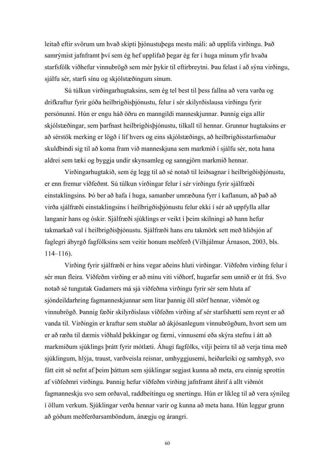leitað eftir svörum um hvað skipti þjónustuþega mestu máli: að upplifa virðingu. Það samrýmist jafnframt því sem ég hef upplifað þegar ég fer í huga mínum yfir hvaða starfsfólk viðhefur vinnubrögð sem mér þykir til eftirbreytni. Þau felast í að sýna virðingu, sjálfu sér, starfi sínu og skjólstæðingum sínum.

 Sú túlkun virðingarhugtaksins, sem ég tel best til þess fallna að vera varða og drifkraftur fyrir góða heilbrigðisþjónustu, felur í sér skilyrðislausa virðingu fyrir persónunni. Hún er engu háð öðru en manngildi manneskjunnar. Þannig eiga allir skjólstæðingar, sem þarfnast heilbrigðisþjónustu, tilkall til hennar. Grunnur hugtaksins er að sérstök merking er lögð í líf hvers og eins skjólstæðings, að heilbrigðisstarfsmaður skuldbindi sig til að koma fram við manneskjuna sem markmið í sjálfu sér, nota hana aldrei sem tæki og byggja undir skynsamleg og sanngjörn markmið hennar.

 Virðingarhugtakið, sem ég legg til að sé notað til leiðsagnar í heilbrigðisþjónustu, er enn fremur víðfeðmt. Sú túlkun virðingar felur í sér virðingu fyrir sjálfræði einstaklingsins. Þó ber að hafa í huga, samanber umræðuna fyrr í kaflanum, að það að virða sjálfræði einstaklingsins í heilbrigðisþjónustu felur ekki í sér að uppfylla allar langanir hans og óskir. Sjálfræði sjúklings er veikt í þeim skilningi að hann hefur takmarkað val í heilbrigðisþjónustu. Sjálfræði hans eru takmörk sett með hliðsjón af faglegri ábyrgð fagfólksins sem veitir honum meðferð (Vilhjálmur Árnason, 2003, bls. 114–116).

 Virðing fyrir sjálfræði er hins vegar aðeins hluti virðingar. Víðfeðm virðing felur í sér mun fleira. Víðfeðm virðing er að mínu viti viðhorf, hugarfar sem unnið er út frá. Svo notað sé tungutak Gadamers má sjá víðfeðma virðingu fyrir sér sem hluta af sjóndeildarhring fagmanneskjunnar sem litar þannig öll störf hennar, viðmót og vinnubrögð. Þannig fæðir skilyrðislaus víðfeðm virðing af sér starfshætti sem reynt er að vanda til. Virðingin er kraftur sem stuðlar að ákjósanlegum vinnubrögðum, hvort sem um er að ræða til dæmis viðhald þekkingar og færni, vinnusemi eða skýra stefnu í átt að markmiðum sjúklings þrátt fyrir mótlæti. Áhugi fagfólks, vilji þeirra til að verja tíma með sjúklingum, hlýja, traust, varðveisla reisnar, umhyggjusemi, heiðarleiki og samhygð, svo fátt eitt sé nefnt af þeim þáttum sem sjúklingar segjast kunna að meta, eru einnig sprottin af víðfeðmri virðingu. Þannig hefur víðfeðm virðing jafnframt áhrif á allt viðmót fagmanneskju svo sem orðaval, raddbeitingu og snertingu. Hún er líkleg til að vera sýnileg í öllum verkum. Sjúklingar verða hennar varir og kunna að meta hana. Hún leggur grunn að góðum meðferðarsamböndum, ánægju og árangri.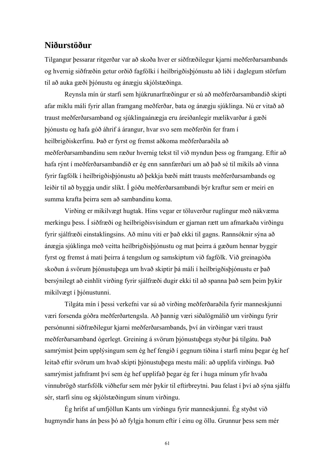# **Niðurstöður**

Tilgangur þessarar ritgerðar var að skoða hver er siðfræðilegur kjarni meðferðarsambands og hvernig siðfræðin getur orðið fagfólki í heilbrigðisþjónustu að liði í daglegum störfum til að auka gæði þjónustu og ánægju skjólstæðinga.

Reynsla mín úr starfi sem hjúkrunarfræðingur er sú að meðferðarsambandið skipti afar miklu máli fyrir allan framgang meðferðar, bata og ánægju sjúklinga. Nú er vitað að traust meðferðarsamband og sjúklingaánægja eru áreiðanlegir mælikvarðar á gæði þjónustu og hafa góð áhrif á árangur, hvar svo sem meðferðin fer fram í heilbrigðiskerfinu. Það er fyrst og fremst aðkoma meðferðaraðila að meðferðarsambandinu sem ræður hvernig tekst til við myndun þess og framgang. Eftir að hafa rýnt í meðferðarsambandið er ég enn sannfærðari um að það sé til mikils að vinna fyrir fagfólk í heilbrigðisþjónustu að þekkja bæði mátt trausts meðferðarsambands og leiðir til að byggja undir slíkt. Í góðu meðferðarsambandi býr kraftur sem er meiri en summa krafta þeirra sem að sambandinu koma.

Virðing er mikilvægt hugtak. Hins vegar er töluverður ruglingur með nákvæma merkingu þess. Í siðfræði og heilbrigðisvísindum er gjarnan rætt um afmarkaða virðingu fyrir sjálfræði einstaklingsins. Að mínu viti er það ekki til gagns. Rannsóknir sýna að ánægja sjúklinga með veitta heilbrigðisþjónustu og mat þeirra á gæðum hennar byggir fyrst og fremst á mati þeirra á tengslum og samskiptum við fagfólk. Við greinagóða skoðun á svörum þjónustuþega um hvað skiptir þá máli í heilbrigðisþjónustu er það bersýnilegt að einhlít virðing fyrir sjálfræði dugir ekki til að spanna það sem þeim þykir mikilvægt í þjónustunni.

 Tilgáta mín í þessi verkefni var sú að virðing meðferðaraðila fyrir manneskjunni væri forsenda góðra meðferðartengsla. Að þannig væri siðalögmálið um virðingu fyrir persónunni siðfræðilegur kjarni meðferðarsambands, því án virðingar væri traust meðferðarsamband ógerlegt. Greining á svörum þjónustuþega styður þá tilgátu. Það samrýmist þeim upplýsingum sem ég hef fengið í gegnum tíðina í starfi mínu þegar ég hef leitað eftir svörum um hvað skipti þjónustuþega mestu máli: að upplifa virðingu. Það samrýmist jafnframt því sem ég hef upplifað þegar ég fer í huga mínum yfir hvaða vinnubrögð starfsfólk viðhefur sem mér þykir til eftirbreytni. Þau felast í því að sýna sjálfu sér, starfi sínu og skjólstæðingum sínum virðingu.

 Ég hrífst af umfjöllun Kants um virðingu fyrir manneskjunni. Ég styðst við hugmyndir hans án þess þó að fylgja honum eftir í einu og öllu. Grunnur þess sem mér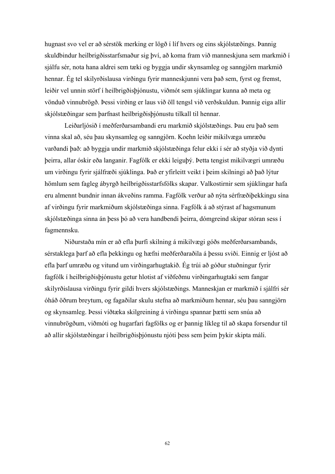hugnast svo vel er að sérstök merking er lögð í líf hvers og eins skjólstæðings. Þannig skuldbindur heilbrigðisstarfsmaður sig því, að koma fram við manneskjuna sem markmið í sjálfu sér, nota hana aldrei sem tæki og byggja undir skynsamleg og sanngjörn markmið hennar. Ég tel skilyrðislausa virðingu fyrir manneskjunni vera það sem, fyrst og fremst, leiðir vel unnin störf í heilbrigðisþjónustu, viðmót sem sjúklingar kunna að meta og vönduð vinnubrögð. Þessi virðing er laus við öll tengsl við verðskuldun. Þannig eiga allir skjólstæðingar sem þarfnast heilbrigðisþjónustu tilkall til hennar.

 Leiðarljósið í meðferðarsambandi eru markmið skjólstæðings. Þau eru það sem vinna skal að, séu þau skynsamleg og sanngjörn. Koehn leiðir mikilvæga umræðu varðandi það: að byggja undir markmið skjólstæðinga felur ekki í sér að styðja við dynti þeirra, allar óskir eða langanir. Fagfólk er ekki leiguþý. Þetta tengist mikilvægri umræðu um virðingu fyrir sjálfræði sjúklinga. Það er yfirleitt veikt í þeim skilningi að það lýtur hömlum sem fagleg ábyrgð heilbrigðisstarfsfólks skapar. Valkostirnir sem sjúklingar hafa eru almennt bundnir innan ákveðins ramma. Fagfólk verður að nýta sérfræðiþekkingu sína af virðingu fyrir markmiðum skjólstæðinga sinna. Fagfólk á að stýrast af hagsmunum skjólstæðinga sinna án þess þó að vera handbendi þeirra, dómgreind skipar stóran sess í fagmennsku.

 Niðurstaða mín er að efla þurfi skilning á mikilvægi góðs meðferðarsambands, sérstaklega þarf að efla þekkingu og hæfni meðferðaraðila á þessu sviði. Einnig er ljóst að efla þarf umræðu og vitund um virðingarhugtakið. Ég trúi að góður stuðningur fyrir fagfólk í heilbrigðisþjónustu getur hlotist af víðfeðmu virðingarhugtaki sem fangar skilyrðislausa virðingu fyrir gildi hvers skjólstæðings. Manneskjan er markmið í sjálfri sér óháð öðrum breytum, og fagaðilar skulu stefna að markmiðum hennar, séu þau sanngjörn og skynsamleg. Þessi víðtæka skilgreining á virðingu spannar þætti sem snúa að vinnubrögðum, viðmóti og hugarfari fagfólks og er þannig líkleg til að skapa forsendur til að allir skjólstæðingar í heilbrigðisþjónustu njóti þess sem þeim þykir skipta máli.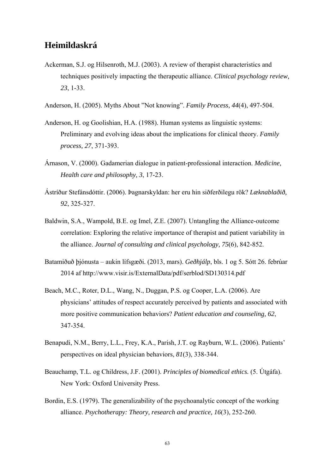# **Heimildaskrá**

- Ackerman, S.J. og Hilsenroth, M.J. (2003). A review of therapist characteristics and techniques positively impacting the therapeutic alliance. *Clinical psychology review, 23*, 1-33.
- Anderson, H. (2005). Myths About "Not knowing". *Family Process, 44*(4), 497-504.
- Anderson, H. og Goolishian, H.A. (1988). Human systems as linguistic systems: Preliminary and evolving ideas about the implications for clinical theory. *Family process, 27*, 371-393.
- Árnason, V. (2000). Gadamerian dialogue in patient-professional interaction. *Medicine, Health care and philosophy, 3*, 17-23.
- Ástríður Stefánsdóttir. (2006). Þagnarskyldan: her eru hin siðferðilegu rök? *Læknablaðið, 92*, 325-327.
- Baldwin, S.A., Wampold, B.E. og Imel, Z.E. (2007). Untangling the Alliance-outcome correlation: Exploring the relative importance of therapist and patient variability in the alliance. *Journal of consulting and clinical psychology, 75*(6), 842-852.
- Batamiðuð þjónusta aukin lífsgæði. (2013, mars). *Geðhjálp*, bls. 1 og 5. Sótt 26. febrúar 2014 af http://www.visir.is/ExternalData/pdf/serblod/SD130314.pdf
- Beach, M.C., Roter, D.L., Wang, N., Duggan, P.S. og Cooper, L.A. (2006). Are physicians' attitudes of respect accurately perceived by patients and associated with more positive communication behaviors? *Patient education and counseling, 62*, 347-354.
- Benapudi, N.M., Berry, L.L., Frey, K.A., Parish, J.T. og Rayburn, W.L. (2006). Patients' perspectives on ideal physician behaviors, *81*(3), 338-344.
- Beauchamp, T.L. og Childress, J.F. (2001). *Principles of biomedical ethics.* (5. Útgáfa). New York: Oxford University Press.
- Bordin, E.S. (1979). The generalizability of the psychoanalytic concept of the working alliance. *Psychotherapy: Theory, research and practice, 16*(3), 252-260.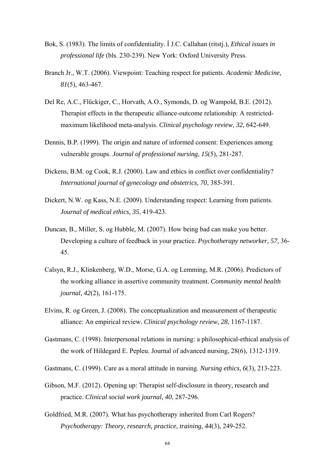- Bok, S. (1983). The limits of confidentiality. Í J.C. Callahan (ritstj.), *Ethical issues in professional life* (bls. 230-239). New York: Oxford University Press.
- Branch Jr., W.T. (2006). Viewpoint: Teaching respect for patients. *Academic Medicine, 81*(5), 463-467.
- Del Re, A.C., Flückiger, C., Horvath, A.O., Symonds, D. og Wampold, B.E. (2012). Therapist effects in the therapeutic alliance-outcome relationship: A restrictedmaximum likelihood meta-analysis. *Clinical psychology review, 32*, 642-649.
- Dennis, B.P. (1999). The origin and nature of informed consent: Experiences among vulnerable groups. *Journal of professional nursing, 15*(5), 281-287.
- Dickens, B.M. og Cook, R.J. (2000). Law and ethics in conflict over confidentiality? *International journal of gynecology and obstetrics, 70*, 385-391.
- Dickert, N.W. og Kass, N.E. (2009). Understanding respect: Learning from patients. *Journal of medical ethics, 35*, 419-423.
- Duncan, B., Miller, S. og Hubble, M. (2007). How being bad can make you better. Developing a culture of feedback in your practice. *Psychotherapy networker, 57*, 36- 45.
- Calsyn, R.J., Klinkenberg, W.D., Morse, G.A. og Lemming, M.R. (2006). Predictors of the working alliance in assertive community treatment. *Community mental health journal, 42*(2), 161-175.
- Elvins, R. og Green, J. (2008). The conceptualization and measurement of therapeutic alliance: An empirical review. *Clinical psychology review, 28*, 1167-1187.
- Gastmans, C. (1998). Interpersonal relations in nursing: a philosophical-ethical analysis of the work of Hildegard E. Pepleu. Journal of advanced nursing, 28(6), 1312-1319.

Gastmans, C. (1999). Care as a moral attitude in nursing. *Nursing ethics, 6*(3), 213-223.

- Gibson, M.F. (2012). Opening up: Therapist self-disclosure in theory, research and practice. *Clinical social work journal, 40*, 287-296.
- Goldfried, M.R. (2007). What has psychotherapy inherited from Carl Rogers? *Psychotherapy: Theory, research, practice, training, 44*(3), 249-252.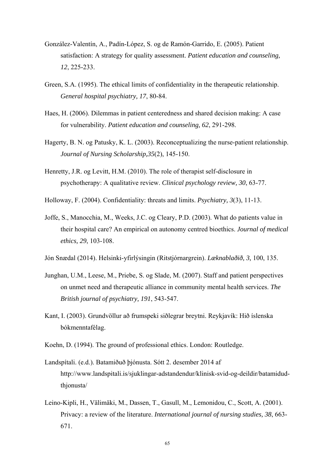- González-Valentín, A., Padín-López, S. og de Ramón-Garrido, E. (2005). Patient satisfaction: A strategy for quality assessment. *Patient education and counseling, 12*, 225-233.
- Green, S.A. (1995). The ethical limits of confidentiality in the therapeutic relationship. *General hospital psychiatry, 17*, 80-84.
- Haes, H. (2006). Dilemmas in patient centeredness and shared decision making: A case for vulnerability. *Patient education and counseling, 62*, 291-298.
- Hagerty, B. N. og Patusky, K. L. (2003). Reconceptualizing the nurse-patient relationship. *Journal of Nursing Scholarship,35*(2), 145-150.
- Henretty, J.R. og Levitt, H.M. (2010). The role of therapist self-disclosure in psychotherapy: A qualitative review. *Clinical psychology review, 30*, 63-77.
- Holloway, F. (2004). Confidentiality: threats and limits. *Psychiatry, 3*(3), 11-13.
- Joffe, S., Manocchia, M., Weeks, J.C. og Cleary, P.D. (2003). What do patients value in their hospital care? An empirical on autonomy centred bioethics. *Journal of medical ethics, 29*, 103-108.
- Jón Snædal (2014). Helsinki-yfirlýsingin (Ritstjórnargrein). *Læknablaðið, 3,* 100, 135.
- Junghan, U.M., Leese, M., Priebe, S. og Slade, M. (2007). Staff and patient perspectives on unmet need and therapeutic alliance in community mental health services. *The British journal of psychiatry, 191*, 543-547.
- Kant, I. (2003). Grundvöllur að frumspeki siðlegrar breytni. Reykjavík: Hið íslenska bókmenntafélag.
- Koehn, D. (1994). The ground of professional ethics. London: Routledge.
- Landspítali. (e.d.). Batamiðuð þjónusta. Sótt 2. desember 2014 af http://www.landspitali.is/sjuklingar-adstandendur/klinisk-svid-og-deildir/batamidudthjonusta/
- Leino-Kipli, H., Välimäki, M., Dassen, T., Gasull, M., Lemonidou, C., Scott, A. (2001). Privacy: a review of the literature. *International journal of nursing studies, 38*, 663- 671.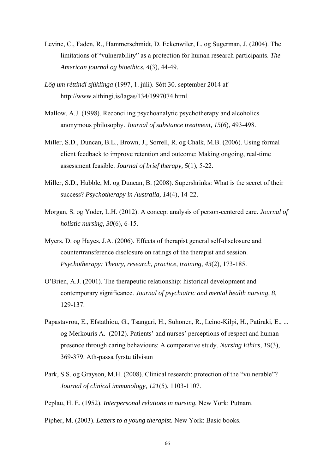- Levine, C., Faden, R., Hammerschmidt, D. Eckenwiler, L. og Sugerman, J. (2004). The limitations of "vulnerability" as a protection for human research participants. *The American journal og bioethics, 4*(3), 44-49.
- *Lög um réttindi sjúklinga* (1997, 1. júlí). Sótt 30. september 2014 af http://www.althingi.is/lagas/134/1997074.html.
- Mallow, A.J. (1998). Reconciling psychoanalytic psychotherapy and alcoholics anonymous philosophy. *Journal of substance treatment, 15*(6), 493-498.
- Miller, S.D., Duncan, B.L., Brown, J., Sorrell, R. og Chalk, M.B. (2006). Using formal client feedback to improve retention and outcome: Making ongoing, real-time assessment feasible. *Journal of brief therapy, 5*(1), 5-22.
- Miller, S.D., Hubble, M. og Duncan, B. (2008). Supershrinks: What is the secret of their success? *Psychotherapy in Australia, 14*(4), 14-22.
- Morgan, S. og Yoder, L.H. (2012). A concept analysis of person-centered care. *Journal of holistic nursing, 30*(6), 6-15.
- Myers, D. og Hayes, J.A. (2006). Effects of therapist general self-disclosure and countertransference disclosure on ratings of the therapist and session. *Psychotherapy: Theory, research, practice, training, 43*(2), 173-185.
- O'Brien, A.J. (2001). The therapeutic relationship: historical development and contemporary significance. *Journal of psychiatric and mental health nursing, 8*, 129-137.
- Papastavrou, E., Efstathiou, G., Tsangari, H., Suhonen, R., Leino-Kilpi, H., Patiraki, E., ... og Merkouris A. (2012). Patients' and nurses' perceptions of respect and human presence through caring behaviours: A comparative study. *Nursing Ethics, 19*(3), 369-379. Ath-passa fyrstu tilvísun
- Park, S.S. og Grayson, M.H. (2008). Clinical research: protection of the "vulnerable"? *Journal of clinical immunology, 121*(5), 1103-1107.
- Peplau, H. E. (1952). *Interpersonal relations in nursing.* New York: Putnam.
- Pipher, M. (2003). *Letters to a young therapist.* New York: Basic books.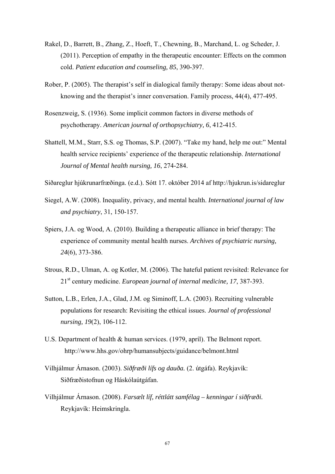- Rakel, D., Barrett, B., Zhang, Z., Hoeft, T., Chewning, B., Marchand, L. og Scheder, J. (2011). Perception of empathy in the therapeutic encounter: Effects on the common cold. *Patient education and counseling, 85*, 390-397.
- Rober, P. (2005). The therapist's self in dialogical family therapy: Some ideas about notknowing and the therapist's inner conversation. Family process, 44(4), 477-495.
- Rosenzweig, S. (1936). Some implicit common factors in diverse methods of psychotherapy. *American journal of orthopsychiatry, 6*, 412-415.
- Shattell, M.M., Starr, S.S. og Thomas, S.P. (2007). "Take my hand, help me out:" Mental health service recipients' experience of the therapeutic relationship. *International Journal of Mental health nursing, 16*, 274-284.
- Siðareglur hjúkrunarfræðinga. (e.d.). Sótt 17. október 2014 af http://hjukrun.is/sidareglur
- Siegel, A.W. (2008). Inequality, privacy, and mental health. *International journal of law and psychiatry*, 31, 150-157.
- Spiers, J.A. og Wood, A. (2010). Building a therapeutic alliance in brief therapy: The experience of community mental health nurses. *Archives of psychiatric nursing, 24*(6), 373-386.
- Strous, R.D., Ulman, A. og Kotler, M. (2006). The hateful patient revisited: Relevance for 21st century medicine. *European journal of internal medicine, 17*, 387-393.
- Sutton, L.B., Erlen, J.A., Glad, J.M. og Siminoff, L.A. (2003). Recruiting vulnerable populations for research: Revisiting the ethical issues. *Journal of professional nursing, 19*(2), 106-112.
- U.S. Department of health & human services. (1979, apríl). The Belmont report. http://www.hhs.gov/ohrp/humansubjects/guidance/belmont.html
- Vilhjálmur Árnason. (2003). *Siðfræði lífs og dauða.* (2. útgáfa). Reykjavík: Siðfræðistofnun og Háskólaútgáfan.
- Vilhjálmur Árnason. (2008). *Farsælt líf, réttlátt samfélag kenningar í siðfræði.* Reykjavík: Heimskringla.